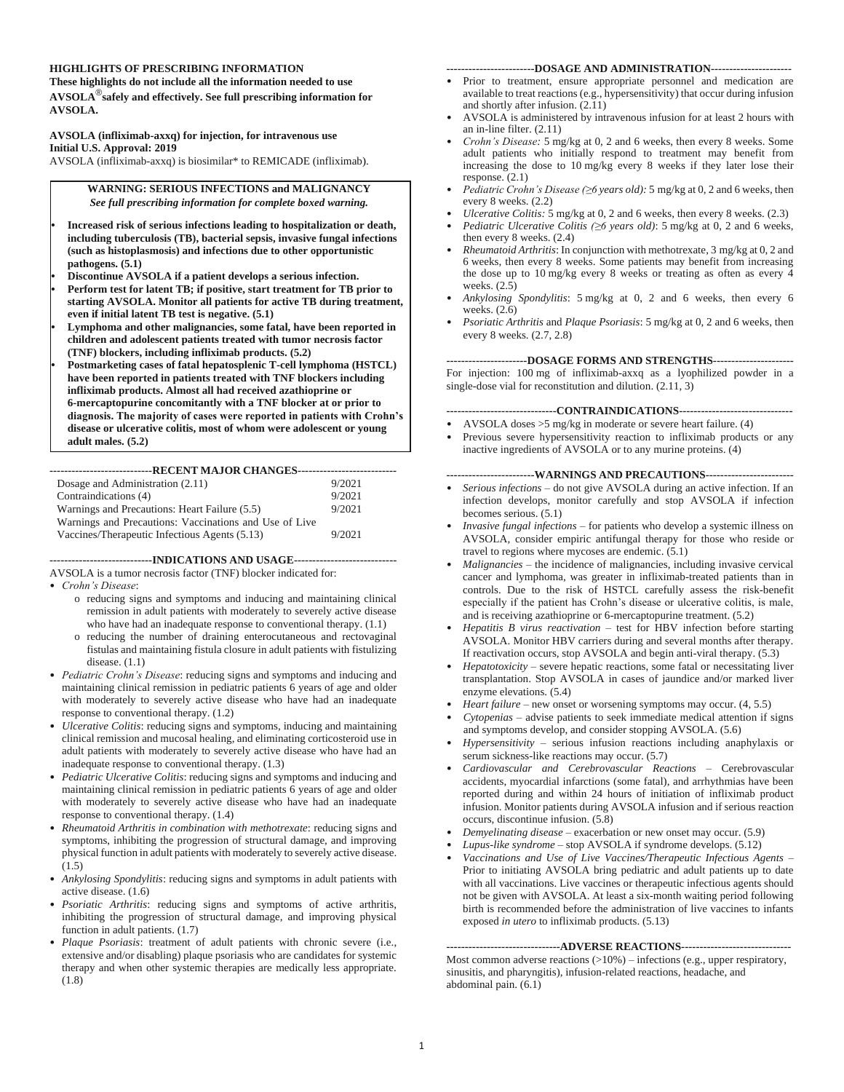#### **HIGHLIGHTS OF PRESCRIBING INFORMATION**

**These highlights do not include all the information needed to use AVSOLA**®**safely and effectively. See full prescribing information for AVSOLA.**

#### **AVSOLA (infliximab-axxq) for injection, for intravenous use Initial U.S. Approval: 2019**

AVSOLA (infliximab-axxq) is biosimilar\* to REMICADE (infliximab).

**WARNING: SERIOUS INFECTIONS and MALIGNANCY** *See full prescribing information for complete boxed warning.*

- **• Increased risk of serious infections leading to hospitalization or death, including tuberculosis (TB), bacterial sepsis, invasive fungal infections (such as histoplasmosis) and infections due to other opportunistic pathogens. (5.1)**
- **• Discontinue AVSOLA if a patient develops a serious infection.**
- **• Perform test for latent TB; if positive, start treatment for TB prior to starting AVSOLA. Monitor all patients for active TB during treatment, even if initial latent TB test is negative. (5.1)**
- **• Lymphoma and other malignancies, some fatal, have been reported in children and adolescent patients treated with tumor necrosis factor (TNF) blockers, including infliximab products. (5.2)**
- **• Postmarketing cases of fatal hepatosplenic T-cell lymphoma (HSTCL) have been reported in patients treated with TNF blockers including infliximab products. Almost all had received azathioprine or 6-mercaptopurine concomitantly with a TNF blocker at or prior to diagnosis. The majority of cases were reported in patients with Crohn's disease or ulcerative colitis, most of whom were adolescent or young adult males. (5.2)**

**----------------------------RECENT MAJOR CHANGES---------------------------** Dosage and Administration (2.11) Contraindications (4) 9/2021 Warnings and Precautions: Heart Failure (5.5) 9/2021 Warnings and Precautions: Vaccinations and Use of Live Vaccines/Therapeutic Infectious Agents (5.13) 9/2021

**----------------------------INDICATIONS AND USAGE----------------------------**

AVSOLA is a tumor necrosis factor (TNF) blocker indicated for:

• *Crohn's Disease*:

- o reducing signs and symptoms and inducing and maintaining clinical remission in adult patients with moderately to severely active disease who have had an inadequate response to conventional therapy. (1.1)
- o reducing the number of draining enterocutaneous and rectovaginal fistulas and maintaining fistula closure in adult patients with fistulizing disease. (1.1)
- *Pediatric Crohn's Disease*: reducing signs and symptoms and inducing and maintaining clinical remission in pediatric patients 6 years of age and older with moderately to severely active disease who have had an inadequate response to conventional therapy. (1.2)
- *Ulcerative Colitis*: reducing signs and symptoms, inducing and maintaining clinical remission and mucosal healing, and eliminating corticosteroid use in adult patients with moderately to severely active disease who have had an inadequate response to conventional therapy. (1.3)
- *Pediatric Ulcerative Colitis*: reducing signs and symptoms and inducing and maintaining clinical remission in pediatric patients 6 years of age and older with moderately to severely active disease who have had an inadequate response to conventional therapy. (1.4)
- *Rheumatoid Arthritis in combination with methotrexate*: reducing signs and symptoms, inhibiting the progression of structural damage, and improving physical function in adult patients with moderately to severely active disease. (1.5)
- *Ankylosing Spondylitis*: reducing signs and symptoms in adult patients with active disease. (1.6)
- *Psoriatic Arthritis*: reducing signs and symptoms of active arthritis, inhibiting the progression of structural damage, and improving physical function in adult patients. (1.7)
- *Plaque Psoriasis*: treatment of adult patients with chronic severe (i.e., extensive and/or disabling) plaque psoriasis who are candidates for systemic therapy and when other systemic therapies are medically less appropriate. (1.8)

#### **------------------------DOSAGE AND ADMINISTRATION----------------------**

- Prior to treatment, ensure appropriate personnel and medication are available to treat reactions (e.g., hypersensitivity) that occur during infusion and shortly after infusion. (2.11)
- AVSOLA is administered by intravenous infusion for at least 2 hours with an in-line filter. (2.11)
- *Crohn's Disease:* 5 mg/kg at 0, 2 and 6 weeks, then every 8 weeks. Some adult patients who initially respond to treatment may benefit from increasing the dose to 10 mg/kg every 8 weeks if they later lose their response. (2.1)
- *Pediatric Crohn's Disease (≥6 years old):* 5 mg/kg at 0, 2 and 6 weeks, then every 8 weeks. (2.2)
- *Ulcerative Colitis:* 5 mg/kg at 0, 2 and 6 weeks, then every 8 weeks. (2.3)
- *Pediatric Ulcerative Colitis (≥6 years old)*: 5 mg/kg at 0, 2 and 6 weeks, then every 8 weeks. (2.4)
- *Rheumatoid Arthritis*: In conjunction with methotrexate, 3 mg/kg at 0, 2 and 6 weeks, then every 8 weeks. Some patients may benefit from increasing the dose up to 10 mg/kg every 8 weeks or treating as often as every 4 weeks. (2.5)
- *Ankylosing Spondylitis*: 5 mg/kg at 0, 2 and 6 weeks, then every 6 weeks. (2.6)
- *Psoriatic Arthritis* and *Plaque Psoriasis*: 5 mg/kg at 0, 2 and 6 weeks, then every 8 weeks. (2.7, 2.8)

**----------------------DOSAGE FORMS AND STRENGTHS----------------------**

For injection: 100 mg of infliximab-axxq as a lyophilized powder in a single-dose vial for reconstitution and dilution. (2.11, 3)

**------------------------------CONTRAINDICATIONS-------------------------------**

- AVSOLA doses >5 mg/kg in moderate or severe heart failure. (4)
- Previous severe hypersensitivity reaction to infliximab products or any inactive ingredients of AVSOLA or to any murine proteins. (4)

**------------------------WARNINGS AND PRECAUTIONS------------------------**

- *Serious infections* do not give AVSOLA during an active infection. If an infection develops, monitor carefully and stop AVSOLA if infection becomes serious. (5.1)
- *Invasive fungal infections* for patients who develop a systemic illness on AVSOLA, consider empiric antifungal therapy for those who reside or travel to regions where mycoses are endemic. (5.1)
- *Malignancies* the incidence of malignancies, including invasive cervical cancer and lymphoma, was greater in infliximab-treated patients than in controls. Due to the risk of HSTCL carefully assess the risk-benefit especially if the patient has Crohn's disease or ulcerative colitis, is male, and is receiving azathioprine or 6-mercaptopurine treatment. (5.2)
- *Hepatitis B virus reactivation* test for HBV infection before starting AVSOLA. Monitor HBV carriers during and several months after therapy. If reactivation occurs, stop AVSOLA and begin anti-viral therapy. (5.3)
- *Hepatotoxicity* severe hepatic reactions, some fatal or necessitating liver transplantation. Stop AVSOLA in cases of jaundice and/or marked liver enzyme elevations. (5.4)
- *Heart failure* new onset or worsening symptoms may occur. (4, 5.5)
- *Cytopenias* advise patients to seek immediate medical attention if signs and symptoms develop, and consider stopping AVSOLA. (5.6)
- *Hypersensitivity* serious infusion reactions including anaphylaxis or serum sickness-like reactions may occur. (5.7)
- *Cardiovascular and Cerebrovascular Reactions* Cerebrovascular accidents, myocardial infarctions (some fatal), and arrhythmias have been reported during and within 24 hours of initiation of infliximab product infusion. Monitor patients during AVSOLA infusion and if serious reaction occurs, discontinue infusion. (5.8)
- *Demyelinating disease* exacerbation or new onset may occur. (5.9)
- *Lupus-like syndrome* stop AVSOLA if syndrome develops. (5.12)
- *Vaccinations and Use of Live Vaccines/Therapeutic Infectious Agents* Prior to initiating AVSOLA bring pediatric and adult patients up to date with all vaccinations. Live vaccines or therapeutic infectious agents should not be given with AVSOLA. At least a six-month waiting period following birth is recommended before the administration of live vaccines to infants exposed *in utero* to infliximab products. (5.13)

#### **-------------------------------ADVERSE REACTIONS------------------------------**

Most common adverse reactions  $(>10%)$  – infections (e.g., upper respiratory, sinusitis, and pharyngitis), infusion-related reactions, headache, and abdominal pain. (6.1)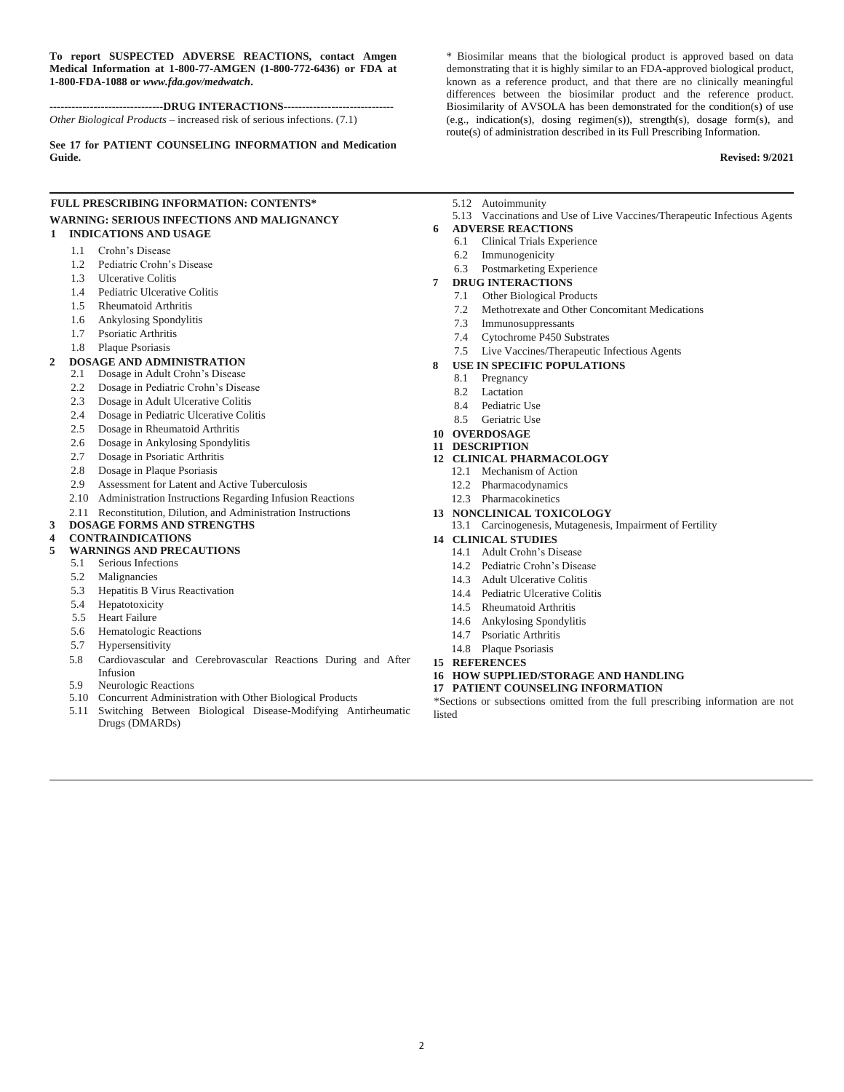**To report SUSPECTED ADVERSE REACTIONS, contact Amgen Medical Information at 1-800-77-AMGEN (1-800-772-6436) or FDA at 1-800-FDA-1088 or** *www.fda.gov/medwatch***.**

**-------------------------------DRUG INTERACTIONS------------------------------** *Other Biological Products* – increased risk of serious infections. (7.1)

**See 17 for PATIENT COUNSELING INFORMATION and Medication Guide.**

### **FULL PRESCRIBING INFORMATION: CONTENTS\* WARNING: SERIOUS INFECTIONS AND MALIGNANCY**

#### **1 INDICATIONS AND USAGE**

- 1.1 Crohn's Disease
- 1.2 Pediatric Crohn's Disease
- 1.3 Ulcerative Colitis
- 1.4 Pediatric Ulcerative Colitis
- 1.5 Rheumatoid Arthritis
- 1.6 Ankylosing Spondylitis
- 1.7 Psoriatic Arthritis
- 1.8 Plaque Psoriasis

#### **2 DOSAGE AND ADMINISTRATION**

- 2.1 Dosage in Adult Crohn's Disease
- 2.2 Dosage in Pediatric Crohn's Disease
- 2.3 Dosage in Adult Ulcerative Colitis
- 2.4 Dosage in Pediatric Ulcerative Colitis
- 2.5 Dosage in Rheumatoid Arthritis
- 2.6 Dosage in Ankylosing Spondylitis
- 2.7 Dosage in Psoriatic Arthritis
- 2.8 Dosage in Plaque Psoriasis
- 2.9 Assessment for Latent and Active Tuberculosis
- 2.10 Administration Instructions Regarding Infusion Reactions
- 2.11 Reconstitution, Dilution, and Administration Instructions
- **3 DOSAGE FORMS AND STRENGTHS**

#### **4 CONTRAINDICATIONS**

#### **5 WARNINGS AND PRECAUTIONS**

- 5.1 Serious Infections
- 5.2 Malignancies
- 5.3 Hepatitis B Virus Reactivation
- 5.4 Hepatotoxicity
- 5.5 Heart Failure
- 5.6 Hematologic Reactions
- 5.7 Hypersensitivity
- 5.8 Cardiovascular and Cerebrovascular Reactions During and After Infusion
- 5.9 Neurologic Reactions
- 5.10 Concurrent Administration with Other Biological Products
- 5.11 Switching Between Biological Disease-Modifying Antirheumatic Drugs (DMARDs)

\* Biosimilar means that the biological product is approved based on data demonstrating that it is highly similar to an FDA-approved biological product, known as a reference product, and that there are no clinically meaningful differences between the biosimilar product and the reference product. Biosimilarity of AVSOLA has been demonstrated for the condition(s) of use (e.g., indication(s), dosing regimen(s)), strength(s), dosage form(s), and route(s) of administration described in its Full Prescribing Information.

#### **Revised: 9/2021**

- 5.12 Autoimmunity
- 5.13 Vaccinations and Use of Live Vaccines/Therapeutic Infectious Agents
- **6 ADVERSE REACTIONS**
	- 6.1 Clinical Trials Experience
	- 6.2 Immunogenicity
	- 6.3 Postmarketing Experience

#### **7 DRUG INTERACTIONS**

- 7.1 Other Biological Products
- 7.2 Methotrexate and Other Concomitant Medications
- 7.3 Immunosuppressants
- 7.4 Cytochrome P450 Substrates
- 7.5 Live Vaccines/Therapeutic Infectious Agents
- **8 USE IN SPECIFIC POPULATIONS**
	- 8.1 Pregnancy
	- 8.2 Lactation
	- 8.4 Pediatric Use
	- 8.5 Geriatric Use
- **10 OVERDOSAGE**
- **11 DESCRIPTION**

#### **12 CLINICAL PHARMACOLOGY**

- 12.1 Mechanism of Action
- 12.2 Pharmacodynamics
- 12.3 Pharmacokinetics
- **13 NONCLINICAL TOXICOLOGY**
- 13.1 Carcinogenesis, Mutagenesis, Impairment of Fertility
- **14 CLINICAL STUDIES**
	- 14.1 Adult Crohn's Disease
	- 14.2 Pediatric Crohn's Disease
	- 14.3 Adult Ulcerative Colitis
	- 14.4 Pediatric Ulcerative Colitis
	- 14.5 Rheumatoid Arthritis
	- 14.6 Ankylosing Spondylitis
	- 14.7 Psoriatic Arthritis
	- 14.8 Plaque Psoriasis
- **15 REFERENCES**
- **16 HOW SUPPLIED/STORAGE AND HANDLING**
- **17 PATIENT COUNSELING INFORMATION**

\*Sections or subsections omitted from the full prescribing information are not listed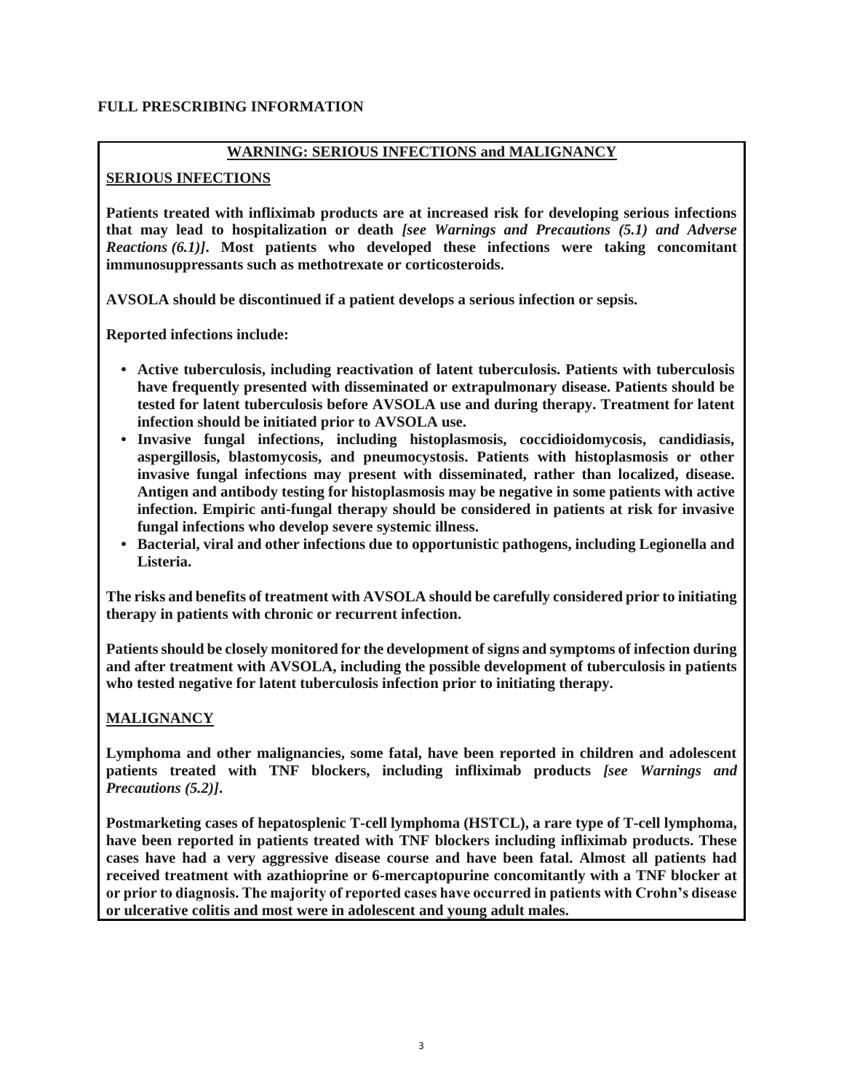### **FULL PRESCRIBING INFORMATION**

### **WARNING: SERIOUS INFECTIONS and MALIGNANCY**

### **SERIOUS INFECTIONS**

**Patients treated with infliximab products are at increased risk for developing serious infections that may lead to hospitalization or death** *[see Warnings and Precautions (5.1) and Adverse Reactions (6.1)]***. Most patients who developed these infections were taking concomitant immunosuppressants such as methotrexate or corticosteroids.**

**AVSOLA should be discontinued if a patient develops a serious infection or sepsis.**

**Reported infections include:** 

- **• Active tuberculosis, including reactivation of latent tuberculosis. Patients with tuberculosis have frequently presented with disseminated or extrapulmonary disease. Patients should be tested for latent tuberculosis before AVSOLA use and during therapy. Treatment for latent infection should be initiated prior to AVSOLA use.**
- **• Invasive fungal infections, including histoplasmosis, coccidioidomycosis, candidiasis, aspergillosis, blastomycosis, and pneumocystosis. Patients with histoplasmosis or other invasive fungal infections may present with disseminated, rather than localized, disease. Antigen and antibody testing for histoplasmosis may be negative in some patients with active infection. Empiric anti-fungal therapy should be considered in patients at risk for invasive fungal infections who develop severe systemic illness.**
- **• Bacterial, viral and other infections due to opportunistic pathogens, including Legionella and Listeria.**

**The risks and benefits of treatment with AVSOLA should be carefully considered prior to initiating therapy in patients with chronic or recurrent infection.**

**Patients should be closely monitored for the development of signs and symptoms of infection during and after treatment with AVSOLA, including the possible development of tuberculosis in patients who tested negative for latent tuberculosis infection prior to initiating therapy.**

# **MALIGNANCY**

**Lymphoma and other malignancies, some fatal, have been reported in children and adolescent patients treated with TNF blockers, including infliximab products** *[see Warnings and Precautions (5.2)]***.**

**Postmarketing cases of hepatosplenic T-cell lymphoma (HSTCL), a rare type of T-cell lymphoma, have been reported in patients treated with TNF blockers including infliximab products. These cases have had a very aggressive disease course and have been fatal. Almost all patients had received treatment with azathioprine or 6-mercaptopurine concomitantly with a TNF blocker at or prior to diagnosis. The majority of reported cases have occurred in patients with Crohn's disease or ulcerative colitis and most were in adolescent and young adult males.**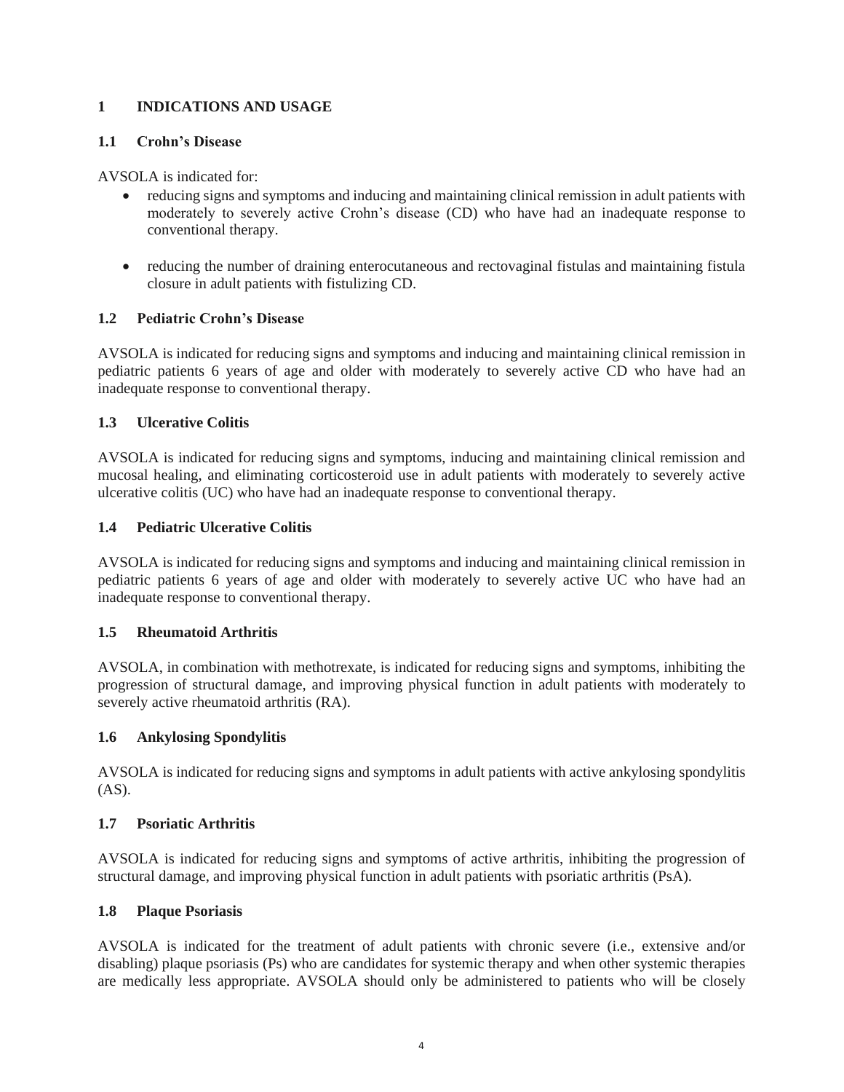# **1 INDICATIONS AND USAGE**

### **1.1 Crohn's Disease**

AVSOLA is indicated for:

- reducing signs and symptoms and inducing and maintaining clinical remission in adult patients with moderately to severely active Crohn's disease (CD) who have had an inadequate response to conventional therapy.
- reducing the number of draining enterocutaneous and rectovaginal fistulas and maintaining fistula closure in adult patients with fistulizing CD.

# **1.2 Pediatric Crohn's Disease**

AVSOLA is indicated for reducing signs and symptoms and inducing and maintaining clinical remission in pediatric patients 6 years of age and older with moderately to severely active CD who have had an inadequate response to conventional therapy.

# **1.3 Ulcerative Colitis**

AVSOLA is indicated for reducing signs and symptoms, inducing and maintaining clinical remission and mucosal healing, and eliminating corticosteroid use in adult patients with moderately to severely active ulcerative colitis (UC) who have had an inadequate response to conventional therapy.

# **1.4 Pediatric Ulcerative Colitis**

AVSOLA is indicated for reducing signs and symptoms and inducing and maintaining clinical remission in pediatric patients 6 years of age and older with moderately to severely active UC who have had an inadequate response to conventional therapy.

# **1.5 Rheumatoid Arthritis**

AVSOLA, in combination with methotrexate, is indicated for reducing signs and symptoms, inhibiting the progression of structural damage, and improving physical function in adult patients with moderately to severely active rheumatoid arthritis (RA).

# **1.6 Ankylosing Spondylitis**

AVSOLA is indicated for reducing signs and symptoms in adult patients with active ankylosing spondylitis (AS).

### **1.7 Psoriatic Arthritis**

AVSOLA is indicated for reducing signs and symptoms of active arthritis, inhibiting the progression of structural damage, and improving physical function in adult patients with psoriatic arthritis (PsA).

# **1.8 Plaque Psoriasis**

AVSOLA is indicated for the treatment of adult patients with chronic severe (i.e., extensive and/or disabling) plaque psoriasis (Ps) who are candidates for systemic therapy and when other systemic therapies are medically less appropriate. AVSOLA should only be administered to patients who will be closely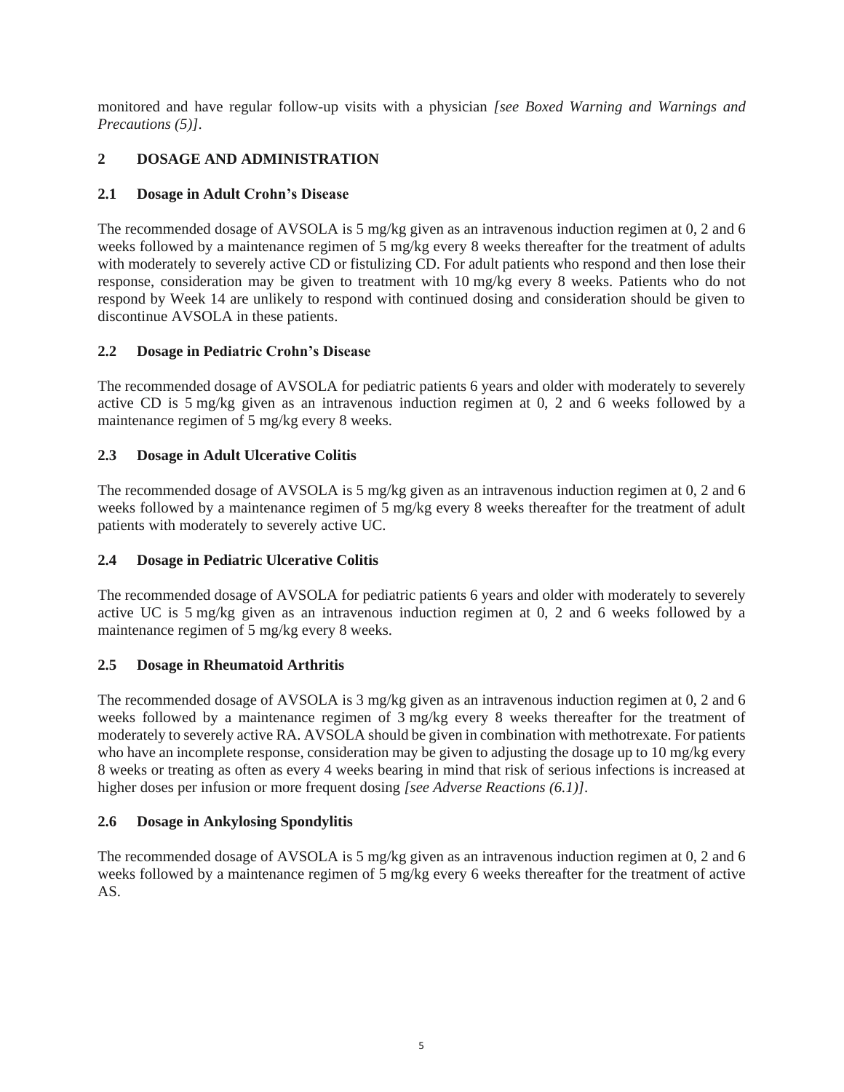monitored and have regular follow-up visits with a physician *[see Boxed Warning and Warnings and Precautions (5)]*.

# **2 DOSAGE AND ADMINISTRATION**

# **2.1 Dosage in Adult Crohn's Disease**

The recommended dosage of AVSOLA is 5 mg/kg given as an intravenous induction regimen at 0, 2 and 6 weeks followed by a maintenance regimen of 5 mg/kg every 8 weeks thereafter for the treatment of adults with moderately to severely active CD or fistulizing CD. For adult patients who respond and then lose their response, consideration may be given to treatment with 10 mg/kg every 8 weeks. Patients who do not respond by Week 14 are unlikely to respond with continued dosing and consideration should be given to discontinue AVSOLA in these patients.

# **2.2 Dosage in Pediatric Crohn's Disease**

The recommended dosage of AVSOLA for pediatric patients 6 years and older with moderately to severely active CD is 5 mg/kg given as an intravenous induction regimen at 0, 2 and 6 weeks followed by a maintenance regimen of 5 mg/kg every 8 weeks.

# **2.3 Dosage in Adult Ulcerative Colitis**

The recommended dosage of AVSOLA is 5 mg/kg given as an intravenous induction regimen at 0, 2 and 6 weeks followed by a maintenance regimen of 5 mg/kg every 8 weeks thereafter for the treatment of adult patients with moderately to severely active UC.

# **2.4 Dosage in Pediatric Ulcerative Colitis**

The recommended dosage of AVSOLA for pediatric patients 6 years and older with moderately to severely active UC is 5 mg/kg given as an intravenous induction regimen at 0, 2 and 6 weeks followed by a maintenance regimen of 5 mg/kg every 8 weeks.

# **2.5 Dosage in Rheumatoid Arthritis**

The recommended dosage of AVSOLA is 3 mg/kg given as an intravenous induction regimen at 0, 2 and 6 weeks followed by a maintenance regimen of 3 mg/kg every 8 weeks thereafter for the treatment of moderately to severely active RA. AVSOLA should be given in combination with methotrexate. For patients who have an incomplete response, consideration may be given to adjusting the dosage up to 10 mg/kg every 8 weeks or treating as often as every 4 weeks bearing in mind that risk of serious infections is increased at higher doses per infusion or more frequent dosing *[see Adverse Reactions (6.1)]*.

# **2.6 Dosage in Ankylosing Spondylitis**

The recommended dosage of AVSOLA is 5 mg/kg given as an intravenous induction regimen at 0, 2 and 6 weeks followed by a maintenance regimen of 5 mg/kg every 6 weeks thereafter for the treatment of active AS.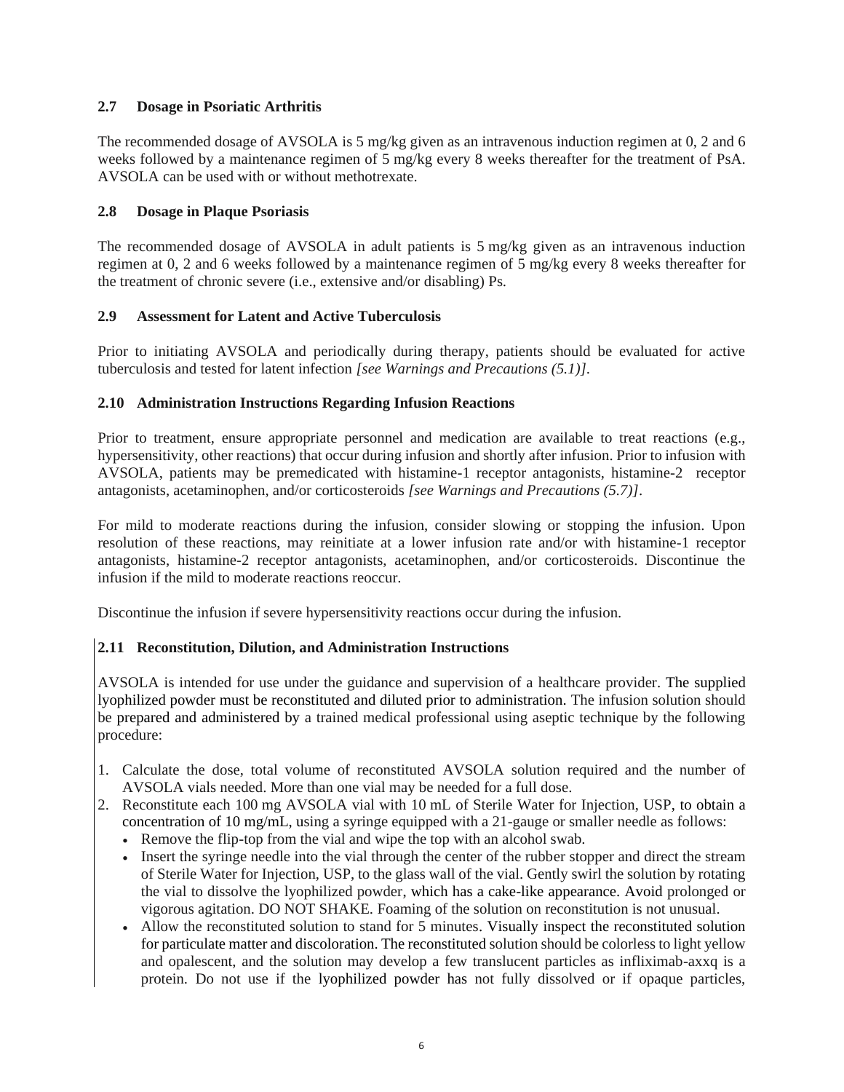# **2.7 Dosage in Psoriatic Arthritis**

The recommended dosage of AVSOLA is 5 mg/kg given as an intravenous induction regimen at 0, 2 and 6 weeks followed by a maintenance regimen of 5 mg/kg every 8 weeks thereafter for the treatment of PsA. AVSOLA can be used with or without methotrexate.

### **2.8 Dosage in Plaque Psoriasis**

The recommended dosage of AVSOLA in adult patients is 5 mg/kg given as an intravenous induction regimen at 0, 2 and 6 weeks followed by a maintenance regimen of 5 mg/kg every 8 weeks thereafter for the treatment of chronic severe (i.e., extensive and/or disabling) Ps.

### **2.9 Assessment for Latent and Active Tuberculosis**

Prior to initiating AVSOLA and periodically during therapy, patients should be evaluated for active tuberculosis and tested for latent infection *[see Warnings and Precautions (5.1)]*.

### **2.10 Administration Instructions Regarding Infusion Reactions**

Prior to treatment, ensure appropriate personnel and medication are available to treat reactions (e.g., hypersensitivity, other reactions) that occur during infusion and shortly after infusion. Prior to infusion with AVSOLA, patients may be premedicated with histamine-1 receptor antagonists, histamine-2 receptor antagonists, acetaminophen, and/or corticosteroids *[see Warnings and Precautions (5.7)]*.

For mild to moderate reactions during the infusion, consider slowing or stopping the infusion. Upon resolution of these reactions, may reinitiate at a lower infusion rate and/or with histamine-1 receptor antagonists, histamine-2 receptor antagonists, acetaminophen, and/or corticosteroids. Discontinue the infusion if the mild to moderate reactions reoccur.

Discontinue the infusion if severe hypersensitivity reactions occur during the infusion.

# **2.11 Reconstitution, Dilution, and Administration Instructions**

AVSOLA is intended for use under the guidance and supervision of a healthcare provider. The supplied lyophilized powder must be reconstituted and diluted prior to administration. The infusion solution should be prepared and administered by a trained medical professional using aseptic technique by the following procedure:

- 1. Calculate the dose, total volume of reconstituted AVSOLA solution required and the number of AVSOLA vials needed. More than one vial may be needed for a full dose.
- 2. Reconstitute each 100 mg AVSOLA vial with 10 mL of Sterile Water for Injection, USP, to obtain a concentration of 10 mg/mL, using a syringe equipped with a 21-gauge or smaller needle as follows:
	- Remove the flip-top from the vial and wipe the top with an alcohol swab.
	- Insert the syringe needle into the vial through the center of the rubber stopper and direct the stream of Sterile Water for Injection, USP, to the glass wall of the vial. Gently swirl the solution by rotating the vial to dissolve the lyophilized powder, which has a cake-like appearance. Avoid prolonged or vigorous agitation. DO NOT SHAKE. Foaming of the solution on reconstitution is not unusual.
	- Allow the reconstituted solution to stand for 5 minutes. Visually inspect the reconstituted solution for particulate matter and discoloration. The reconstituted solution should be colorless to light yellow and opalescent, and the solution may develop a few translucent particles as infliximab-axxq is a protein. Do not use if the lyophilized powder has not fully dissolved or if opaque particles,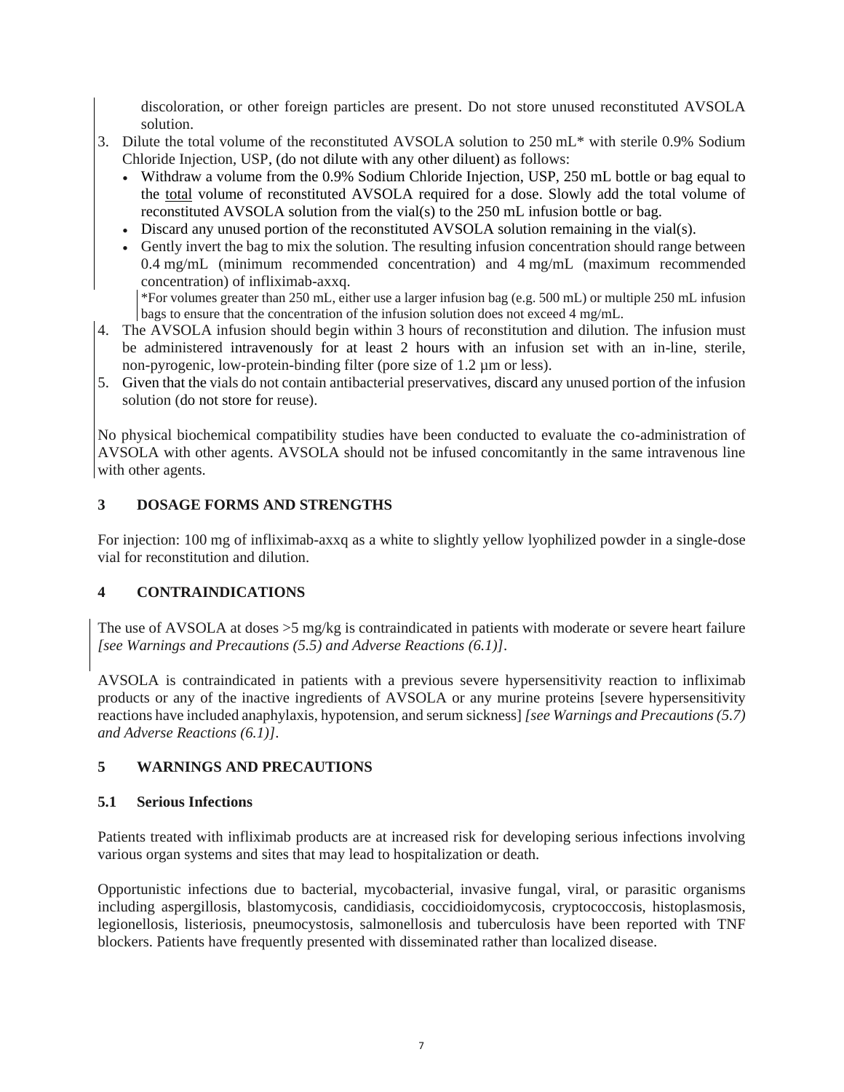discoloration, or other foreign particles are present. Do not store unused reconstituted AVSOLA solution.

- 3. Dilute the total volume of the reconstituted AVSOLA solution to 250 mL\* with sterile 0.9% Sodium Chloride Injection, USP, (do not dilute with any other diluent) as follows:
	- Withdraw a volume from the 0.9% Sodium Chloride Injection, USP, 250 mL bottle or bag equal to the total volume of reconstituted AVSOLA required for a dose. Slowly add the total volume of reconstituted AVSOLA solution from the vial(s) to the 250 mL infusion bottle or bag.
	- Discard any unused portion of the reconstituted AVSOLA solution remaining in the vial(s).
	- Gently invert the bag to mix the solution. The resulting infusion concentration should range between 0.4 mg/mL (minimum recommended concentration) and 4 mg/mL (maximum recommended concentration) of infliximab-axxq.

\*For volumes greater than 250 mL, either use a larger infusion bag (e.g. 500 mL) or multiple 250 mL infusion bags to ensure that the concentration of the infusion solution does not exceed 4 mg/mL.

- 4. The AVSOLA infusion should begin within 3 hours of reconstitution and dilution. The infusion must be administered intravenously for at least 2 hours with an infusion set with an in-line, sterile, non-pyrogenic, low-protein-binding filter (pore size of 1.2 µm or less).
- 5. Given that the vials do not contain antibacterial preservatives, discard any unused portion of the infusion solution (do not store for reuse).

No physical biochemical compatibility studies have been conducted to evaluate the co-administration of AVSOLA with other agents. AVSOLA should not be infused concomitantly in the same intravenous line with other agents.

### **3 DOSAGE FORMS AND STRENGTHS**

For injection: 100 mg of infliximab-axxq as a white to slightly yellow lyophilized powder in a single-dose vial for reconstitution and dilution.

# **4 CONTRAINDICATIONS**

The use of AVSOLA at doses >5 mg/kg is contraindicated in patients with moderate or severe heart failure *[see Warnings and Precautions (5.5) and Adverse Reactions (6.1)]*.

AVSOLA is contraindicated in patients with a previous severe hypersensitivity reaction to infliximab products or any of the inactive ingredients of AVSOLA or any murine proteins [severe hypersensitivity reactions have included anaphylaxis, hypotension, and serum sickness] *[see Warnings and Precautions (5.7) and Adverse Reactions (6.1)]*.

### **5 WARNINGS AND PRECAUTIONS**

### **5.1 Serious Infections**

Patients treated with infliximab products are at increased risk for developing serious infections involving various organ systems and sites that may lead to hospitalization or death.

Opportunistic infections due to bacterial, mycobacterial, invasive fungal, viral, or parasitic organisms including aspergillosis, blastomycosis, candidiasis, coccidioidomycosis, cryptococcosis, histoplasmosis, legionellosis, listeriosis, pneumocystosis, salmonellosis and tuberculosis have been reported with TNF blockers. Patients have frequently presented with disseminated rather than localized disease.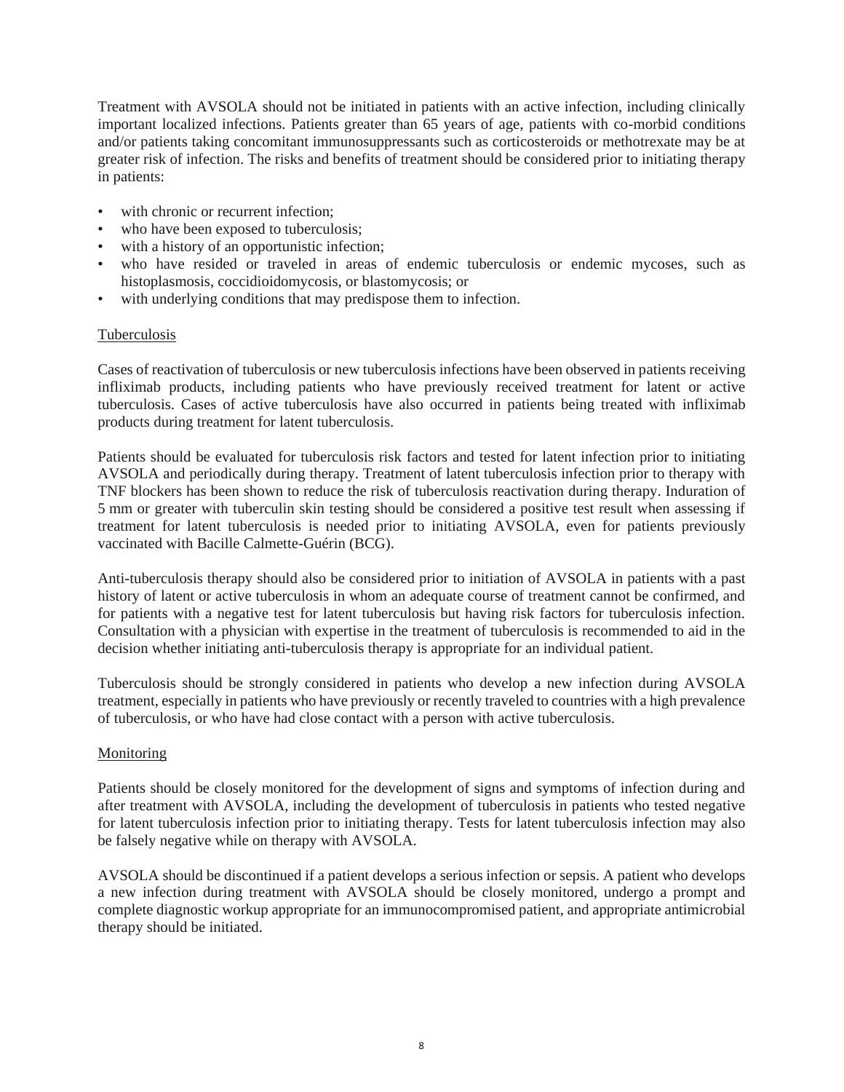Treatment with AVSOLA should not be initiated in patients with an active infection, including clinically important localized infections. Patients greater than 65 years of age, patients with co-morbid conditions and/or patients taking concomitant immunosuppressants such as corticosteroids or methotrexate may be at greater risk of infection. The risks and benefits of treatment should be considered prior to initiating therapy in patients:

- with chronic or recurrent infection:
- who have been exposed to tuberculosis;
- with a history of an opportunistic infection;
- who have resided or traveled in areas of endemic tuberculosis or endemic mycoses, such as histoplasmosis, coccidioidomycosis, or blastomycosis; or
- with underlying conditions that may predispose them to infection.

### Tuberculosis

Cases of reactivation of tuberculosis or new tuberculosis infections have been observed in patients receiving infliximab products, including patients who have previously received treatment for latent or active tuberculosis. Cases of active tuberculosis have also occurred in patients being treated with infliximab products during treatment for latent tuberculosis.

Patients should be evaluated for tuberculosis risk factors and tested for latent infection prior to initiating AVSOLA and periodically during therapy. Treatment of latent tuberculosis infection prior to therapy with TNF blockers has been shown to reduce the risk of tuberculosis reactivation during therapy. Induration of 5 mm or greater with tuberculin skin testing should be considered a positive test result when assessing if treatment for latent tuberculosis is needed prior to initiating AVSOLA, even for patients previously vaccinated with Bacille Calmette-Guérin (BCG).

Anti-tuberculosis therapy should also be considered prior to initiation of AVSOLA in patients with a past history of latent or active tuberculosis in whom an adequate course of treatment cannot be confirmed, and for patients with a negative test for latent tuberculosis but having risk factors for tuberculosis infection. Consultation with a physician with expertise in the treatment of tuberculosis is recommended to aid in the decision whether initiating anti-tuberculosis therapy is appropriate for an individual patient.

Tuberculosis should be strongly considered in patients who develop a new infection during AVSOLA treatment, especially in patients who have previously or recently traveled to countries with a high prevalence of tuberculosis, or who have had close contact with a person with active tuberculosis.

### Monitoring

Patients should be closely monitored for the development of signs and symptoms of infection during and after treatment with AVSOLA, including the development of tuberculosis in patients who tested negative for latent tuberculosis infection prior to initiating therapy. Tests for latent tuberculosis infection may also be falsely negative while on therapy with AVSOLA.

AVSOLA should be discontinued if a patient develops a serious infection or sepsis. A patient who develops a new infection during treatment with AVSOLA should be closely monitored, undergo a prompt and complete diagnostic workup appropriate for an immunocompromised patient, and appropriate antimicrobial therapy should be initiated.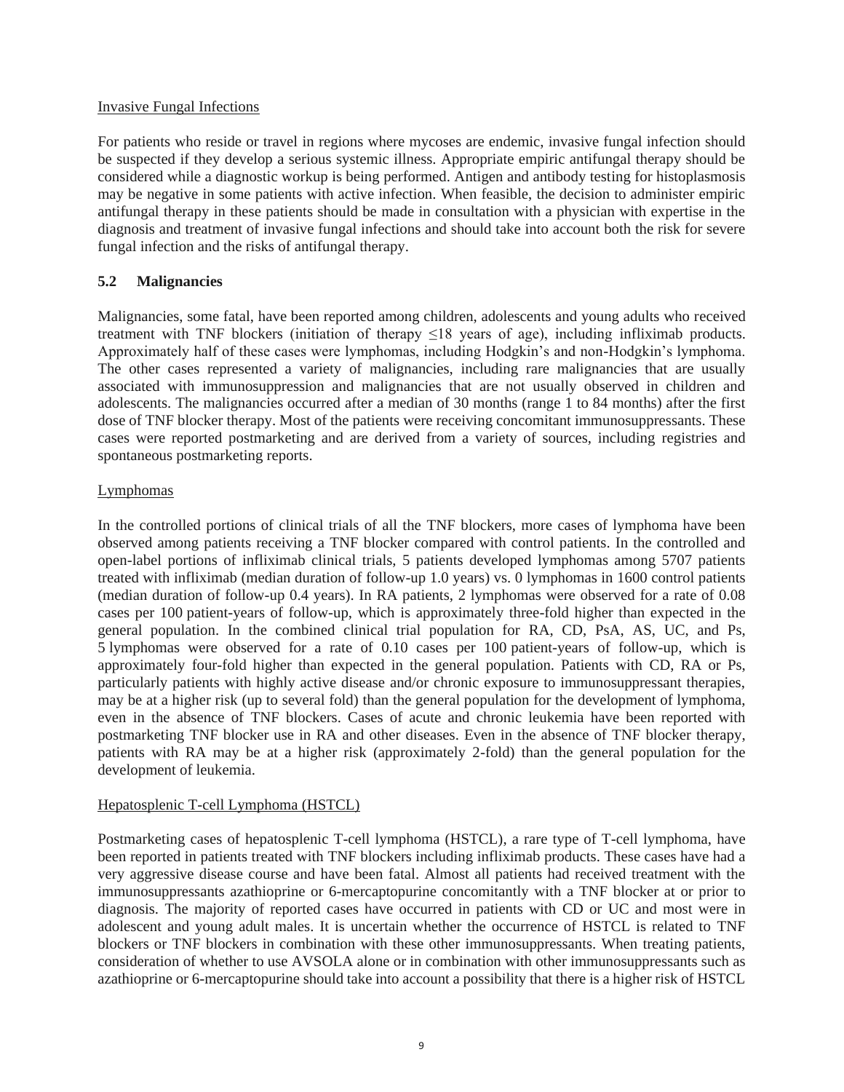#### Invasive Fungal Infections

For patients who reside or travel in regions where mycoses are endemic, invasive fungal infection should be suspected if they develop a serious systemic illness. Appropriate empiric antifungal therapy should be considered while a diagnostic workup is being performed. Antigen and antibody testing for histoplasmosis may be negative in some patients with active infection. When feasible, the decision to administer empiric antifungal therapy in these patients should be made in consultation with a physician with expertise in the diagnosis and treatment of invasive fungal infections and should take into account both the risk for severe fungal infection and the risks of antifungal therapy.

### **5.2 Malignancies**

Malignancies, some fatal, have been reported among children, adolescents and young adults who received treatment with TNF blockers (initiation of therapy ≤18 years of age), including infliximab products. Approximately half of these cases were lymphomas, including Hodgkin's and non-Hodgkin's lymphoma. The other cases represented a variety of malignancies, including rare malignancies that are usually associated with immunosuppression and malignancies that are not usually observed in children and adolescents. The malignancies occurred after a median of 30 months (range 1 to 84 months) after the first dose of TNF blocker therapy. Most of the patients were receiving concomitant immunosuppressants. These cases were reported postmarketing and are derived from a variety of sources, including registries and spontaneous postmarketing reports.

### Lymphomas

In the controlled portions of clinical trials of all the TNF blockers, more cases of lymphoma have been observed among patients receiving a TNF blocker compared with control patients. In the controlled and open-label portions of infliximab clinical trials, 5 patients developed lymphomas among 5707 patients treated with infliximab (median duration of follow-up 1.0 years) vs. 0 lymphomas in 1600 control patients (median duration of follow-up 0.4 years). In RA patients, 2 lymphomas were observed for a rate of 0.08 cases per 100 patient-years of follow-up, which is approximately three-fold higher than expected in the general population. In the combined clinical trial population for RA, CD, PsA, AS, UC, and Ps, 5 lymphomas were observed for a rate of 0.10 cases per 100 patient-years of follow-up, which is approximately four-fold higher than expected in the general population. Patients with CD, RA or Ps, particularly patients with highly active disease and/or chronic exposure to immunosuppressant therapies, may be at a higher risk (up to several fold) than the general population for the development of lymphoma, even in the absence of TNF blockers. Cases of acute and chronic leukemia have been reported with postmarketing TNF blocker use in RA and other diseases. Even in the absence of TNF blocker therapy, patients with RA may be at a higher risk (approximately 2-fold) than the general population for the development of leukemia.

### Hepatosplenic T-cell Lymphoma (HSTCL)

Postmarketing cases of hepatosplenic T-cell lymphoma (HSTCL), a rare type of T-cell lymphoma, have been reported in patients treated with TNF blockers including infliximab products. These cases have had a very aggressive disease course and have been fatal. Almost all patients had received treatment with the immunosuppressants azathioprine or 6-mercaptopurine concomitantly with a TNF blocker at or prior to diagnosis. The majority of reported cases have occurred in patients with CD or UC and most were in adolescent and young adult males. It is uncertain whether the occurrence of HSTCL is related to TNF blockers or TNF blockers in combination with these other immunosuppressants. When treating patients, consideration of whether to use AVSOLA alone or in combination with other immunosuppressants such as azathioprine or 6-mercaptopurine should take into account a possibility that there is a higher risk of HSTCL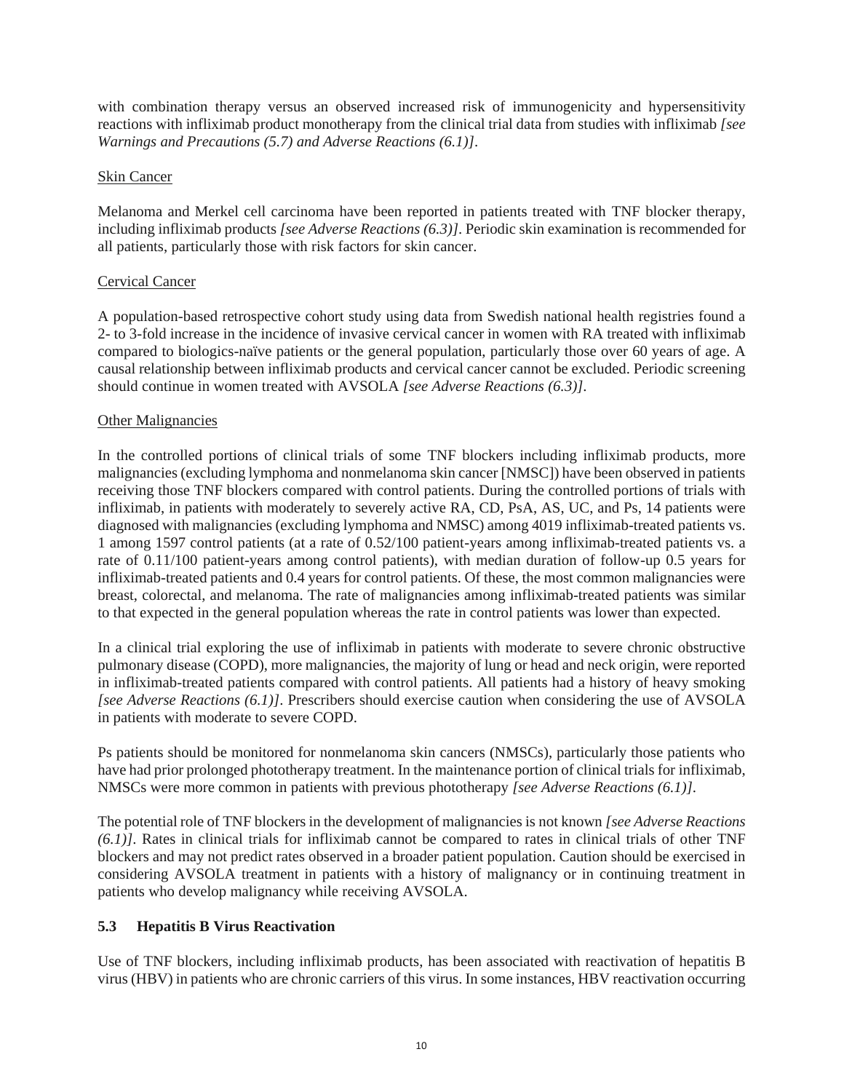with combination therapy versus an observed increased risk of immunogenicity and hypersensitivity reactions with infliximab product monotherapy from the clinical trial data from studies with infliximab *[see Warnings and Precautions (5.7) and Adverse Reactions (6.1)]*.

### Skin Cancer

Melanoma and Merkel cell carcinoma have been reported in patients treated with TNF blocker therapy, including infliximab products *[see Adverse Reactions (6.3)]*. Periodic skin examination is recommended for all patients, particularly those with risk factors for skin cancer.

# Cervical Cancer

A population-based retrospective cohort study using data from Swedish national health registries found a 2- to 3-fold increase in the incidence of invasive cervical cancer in women with RA treated with infliximab compared to biologics-naïve patients or the general population, particularly those over 60 years of age. A causal relationship between infliximab products and cervical cancer cannot be excluded. Periodic screening should continue in women treated with AVSOLA *[see Adverse Reactions (6.3)]*.

### Other Malignancies

In the controlled portions of clinical trials of some TNF blockers including infliximab products, more malignancies (excluding lymphoma and nonmelanoma skin cancer [NMSC]) have been observed in patients receiving those TNF blockers compared with control patients. During the controlled portions of trials with infliximab, in patients with moderately to severely active RA, CD, PsA, AS, UC, and Ps, 14 patients were diagnosed with malignancies (excluding lymphoma and NMSC) among 4019 infliximab-treated patients vs. 1 among 1597 control patients (at a rate of 0.52/100 patient-years among infliximab-treated patients vs. a rate of 0.11/100 patient-years among control patients), with median duration of follow-up 0.5 years for infliximab-treated patients and 0.4 years for control patients. Of these, the most common malignancies were breast, colorectal, and melanoma. The rate of malignancies among infliximab-treated patients was similar to that expected in the general population whereas the rate in control patients was lower than expected.

In a clinical trial exploring the use of infliximab in patients with moderate to severe chronic obstructive pulmonary disease (COPD), more malignancies, the majority of lung or head and neck origin, were reported in infliximab-treated patients compared with control patients. All patients had a history of heavy smoking *[see Adverse Reactions (6.1)]*. Prescribers should exercise caution when considering the use of AVSOLA in patients with moderate to severe COPD.

Ps patients should be monitored for nonmelanoma skin cancers (NMSCs), particularly those patients who have had prior prolonged phototherapy treatment. In the maintenance portion of clinical trials for infliximab, NMSCs were more common in patients with previous phototherapy *[see Adverse Reactions (6.1)]*.

The potential role of TNF blockers in the development of malignancies is not known *[see Adverse Reactions (6.1)]*. Rates in clinical trials for infliximab cannot be compared to rates in clinical trials of other TNF blockers and may not predict rates observed in a broader patient population. Caution should be exercised in considering AVSOLA treatment in patients with a history of malignancy or in continuing treatment in patients who develop malignancy while receiving AVSOLA.

# **5.3 Hepatitis B Virus Reactivation**

Use of TNF blockers, including infliximab products, has been associated with reactivation of hepatitis B virus (HBV) in patients who are chronic carriers of this virus. In some instances, HBV reactivation occurring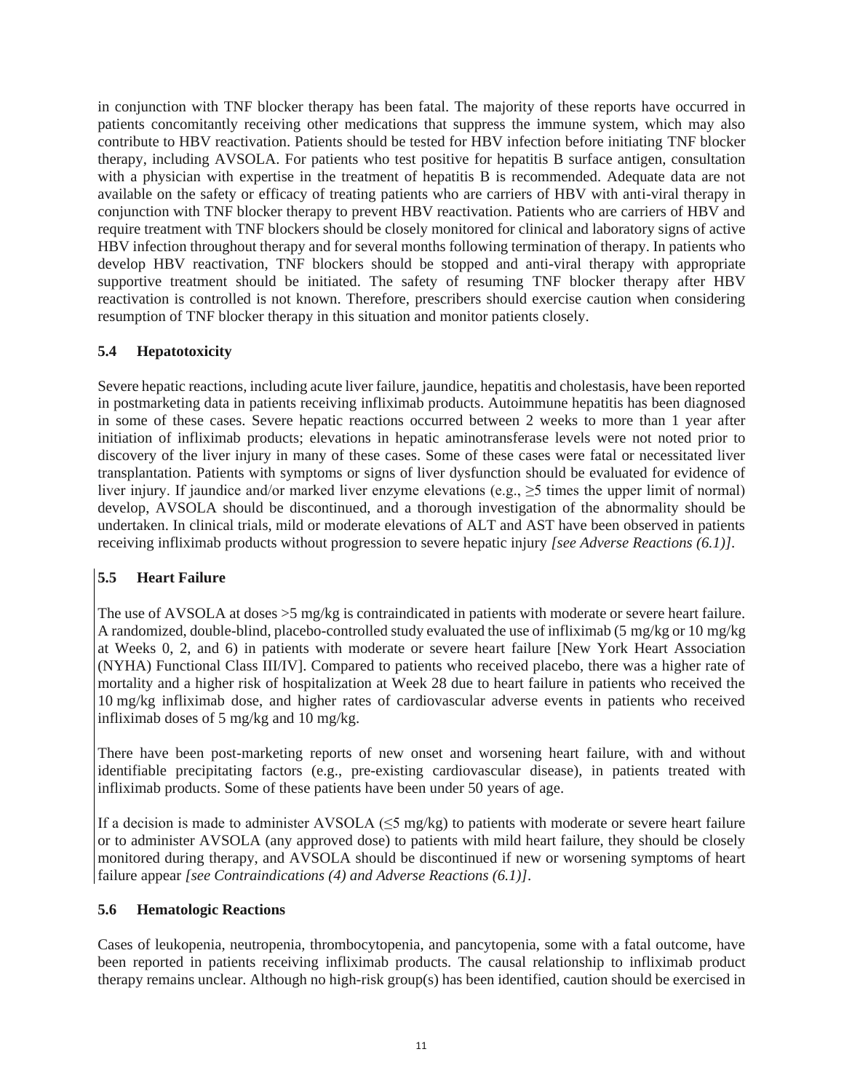in conjunction with TNF blocker therapy has been fatal. The majority of these reports have occurred in patients concomitantly receiving other medications that suppress the immune system, which may also contribute to HBV reactivation. Patients should be tested for HBV infection before initiating TNF blocker therapy, including AVSOLA. For patients who test positive for hepatitis B surface antigen, consultation with a physician with expertise in the treatment of hepatitis B is recommended. Adequate data are not available on the safety or efficacy of treating patients who are carriers of HBV with anti-viral therapy in conjunction with TNF blocker therapy to prevent HBV reactivation. Patients who are carriers of HBV and require treatment with TNF blockers should be closely monitored for clinical and laboratory signs of active HBV infection throughout therapy and for several months following termination of therapy. In patients who develop HBV reactivation, TNF blockers should be stopped and anti-viral therapy with appropriate supportive treatment should be initiated. The safety of resuming TNF blocker therapy after HBV reactivation is controlled is not known. Therefore, prescribers should exercise caution when considering resumption of TNF blocker therapy in this situation and monitor patients closely.

# **5.4 Hepatotoxicity**

Severe hepatic reactions, including acute liver failure, jaundice, hepatitis and cholestasis, have been reported in postmarketing data in patients receiving infliximab products. Autoimmune hepatitis has been diagnosed in some of these cases. Severe hepatic reactions occurred between 2 weeks to more than 1 year after initiation of infliximab products; elevations in hepatic aminotransferase levels were not noted prior to discovery of the liver injury in many of these cases. Some of these cases were fatal or necessitated liver transplantation. Patients with symptoms or signs of liver dysfunction should be evaluated for evidence of liver injury. If jaundice and/or marked liver enzyme elevations (e.g.,  $\geq$ 5 times the upper limit of normal) develop, AVSOLA should be discontinued, and a thorough investigation of the abnormality should be undertaken. In clinical trials, mild or moderate elevations of ALT and AST have been observed in patients receiving infliximab products without progression to severe hepatic injury *[see Adverse Reactions (6.1)]*.

# **5.5 Heart Failure**

The use of AVSOLA at doses  $>5$  mg/kg is contraindicated in patients with moderate or severe heart failure. A randomized, double-blind, placebo-controlled study evaluated the use of infliximab (5 mg/kg or 10 mg/kg at Weeks 0, 2, and 6) in patients with moderate or severe heart failure [New York Heart Association (NYHA) Functional Class III/IV]. Compared to patients who received placebo, there was a higher rate of mortality and a higher risk of hospitalization at Week 28 due to heart failure in patients who received the 10 mg/kg infliximab dose, and higher rates of cardiovascular adverse events in patients who received infliximab doses of 5 mg/kg and 10 mg/kg.

There have been post-marketing reports of new onset and worsening heart failure, with and without identifiable precipitating factors (e.g., pre-existing cardiovascular disease), in patients treated with infliximab products. Some of these patients have been under 50 years of age.

If a decision is made to administer AVSOLA ( $\leq$ 5 mg/kg) to patients with moderate or severe heart failure or to administer AVSOLA (any approved dose) to patients with mild heart failure, they should be closely monitored during therapy, and AVSOLA should be discontinued if new or worsening symptoms of heart failure appear *[see Contraindications (4) and Adverse Reactions (6.1)]*.

# **5.6 Hematologic Reactions**

Cases of leukopenia, neutropenia, thrombocytopenia, and pancytopenia, some with a fatal outcome, have been reported in patients receiving infliximab products. The causal relationship to infliximab product therapy remains unclear. Although no high-risk group(s) has been identified, caution should be exercised in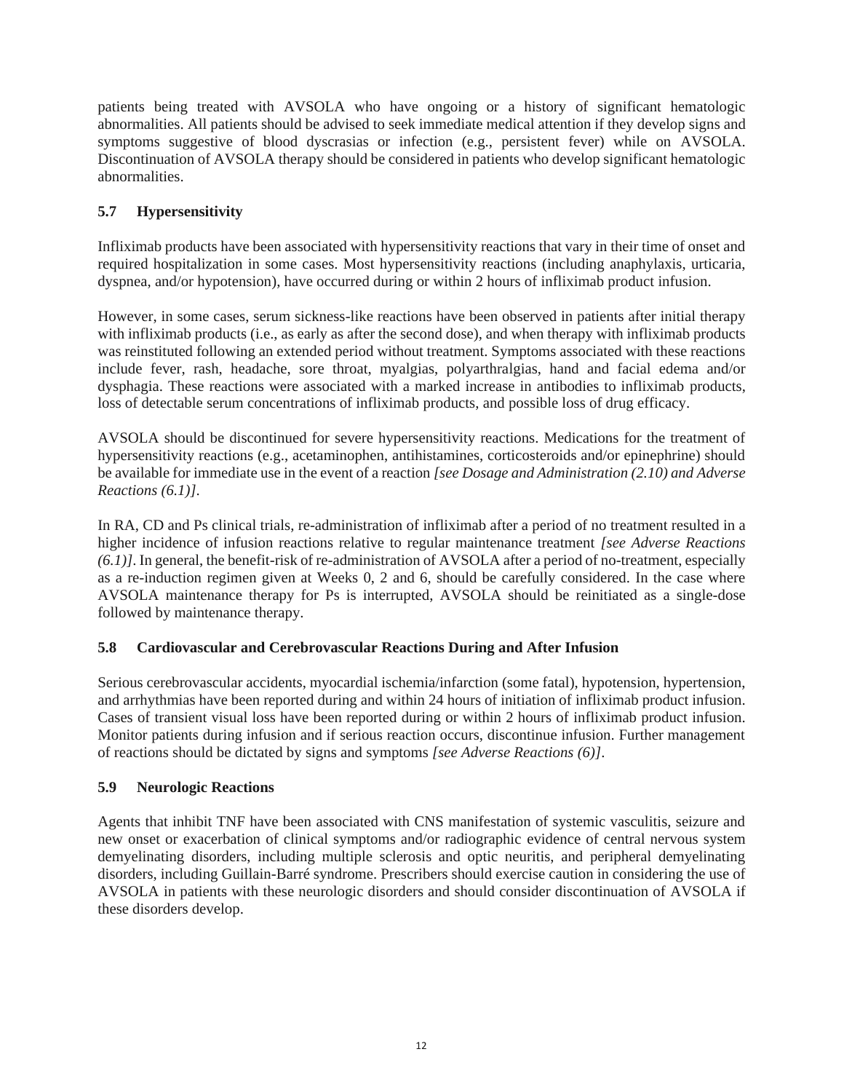patients being treated with AVSOLA who have ongoing or a history of significant hematologic abnormalities. All patients should be advised to seek immediate medical attention if they develop signs and symptoms suggestive of blood dyscrasias or infection (e.g., persistent fever) while on AVSOLA. Discontinuation of AVSOLA therapy should be considered in patients who develop significant hematologic abnormalities.

# **5.7 Hypersensitivity**

Infliximab products have been associated with hypersensitivity reactions that vary in their time of onset and required hospitalization in some cases. Most hypersensitivity reactions (including anaphylaxis, urticaria, dyspnea, and/or hypotension), have occurred during or within 2 hours of infliximab product infusion.

However, in some cases, serum sickness-like reactions have been observed in patients after initial therapy with infliximab products (i.e., as early as after the second dose), and when therapy with infliximab products was reinstituted following an extended period without treatment. Symptoms associated with these reactions include fever, rash, headache, sore throat, myalgias, polyarthralgias, hand and facial edema and/or dysphagia. These reactions were associated with a marked increase in antibodies to infliximab products, loss of detectable serum concentrations of infliximab products, and possible loss of drug efficacy.

AVSOLA should be discontinued for severe hypersensitivity reactions. Medications for the treatment of hypersensitivity reactions (e.g., acetaminophen, antihistamines, corticosteroids and/or epinephrine) should be available for immediate use in the event of a reaction *[see Dosage and Administration (2.10) and Adverse Reactions (6.1)]*.

In RA, CD and Ps clinical trials, re-administration of infliximab after a period of no treatment resulted in a higher incidence of infusion reactions relative to regular maintenance treatment *[see Adverse Reactions (6.1)]*. In general, the benefit-risk of re-administration of AVSOLA after a period of no-treatment, especially as a re-induction regimen given at Weeks 0, 2 and 6, should be carefully considered. In the case where AVSOLA maintenance therapy for Ps is interrupted, AVSOLA should be reinitiated as a single-dose followed by maintenance therapy.

# **5.8 Cardiovascular and Cerebrovascular Reactions During and After Infusion**

Serious cerebrovascular accidents, myocardial ischemia/infarction (some fatal), hypotension, hypertension, and arrhythmias have been reported during and within 24 hours of initiation of infliximab product infusion. Cases of transient visual loss have been reported during or within 2 hours of infliximab product infusion. Monitor patients during infusion and if serious reaction occurs, discontinue infusion. Further management of reactions should be dictated by signs and symptoms *[see Adverse Reactions (6)]*.

# **5.9 Neurologic Reactions**

Agents that inhibit TNF have been associated with CNS manifestation of systemic vasculitis, seizure and new onset or exacerbation of clinical symptoms and/or radiographic evidence of central nervous system demyelinating disorders, including multiple sclerosis and optic neuritis, and peripheral demyelinating disorders, including Guillain-Barré syndrome. Prescribers should exercise caution in considering the use of AVSOLA in patients with these neurologic disorders and should consider discontinuation of AVSOLA if these disorders develop.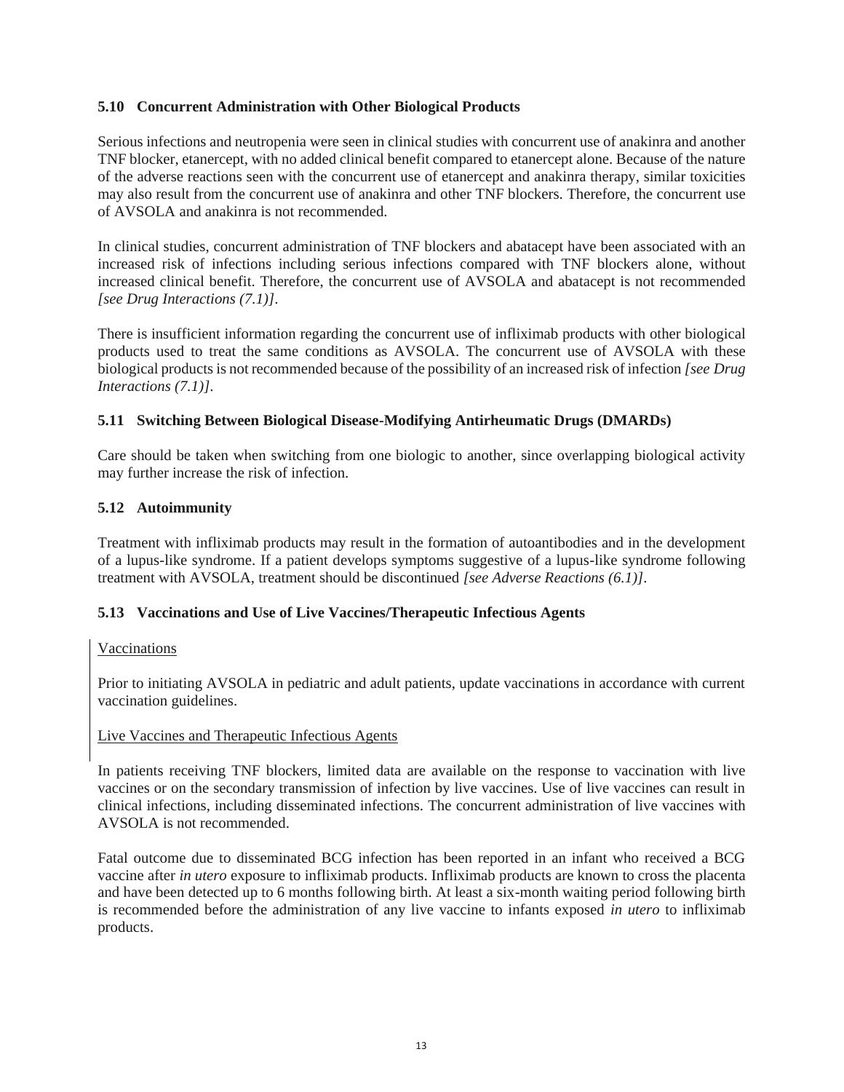# **5.10 Concurrent Administration with Other Biological Products**

Serious infections and neutropenia were seen in clinical studies with concurrent use of anakinra and another TNF blocker, etanercept, with no added clinical benefit compared to etanercept alone. Because of the nature of the adverse reactions seen with the concurrent use of etanercept and anakinra therapy, similar toxicities may also result from the concurrent use of anakinra and other TNF blockers. Therefore, the concurrent use of AVSOLA and anakinra is not recommended.

In clinical studies, concurrent administration of TNF blockers and abatacept have been associated with an increased risk of infections including serious infections compared with TNF blockers alone, without increased clinical benefit. Therefore, the concurrent use of AVSOLA and abatacept is not recommended *[see Drug Interactions (7.1)]*.

There is insufficient information regarding the concurrent use of infliximab products with other biological products used to treat the same conditions as AVSOLA. The concurrent use of AVSOLA with these biological products is not recommended because of the possibility of an increased risk of infection *[see Drug Interactions (7.1)]*.

### **5.11 Switching Between Biological Disease-Modifying Antirheumatic Drugs (DMARDs)**

Care should be taken when switching from one biologic to another, since overlapping biological activity may further increase the risk of infection.

### **5.12 Autoimmunity**

Treatment with infliximab products may result in the formation of autoantibodies and in the development of a lupus-like syndrome. If a patient develops symptoms suggestive of a lupus-like syndrome following treatment with AVSOLA, treatment should be discontinued *[see Adverse Reactions (6.1)]*.

### **5.13 Vaccinations and Use of Live Vaccines/Therapeutic Infectious Agents**

### Vaccinations

Prior to initiating AVSOLA in pediatric and adult patients, update vaccinations in accordance with current vaccination guidelines.

### Live Vaccines and Therapeutic Infectious Agents

In patients receiving TNF blockers, limited data are available on the response to vaccination with live vaccines or on the secondary transmission of infection by live vaccines. Use of live vaccines can result in clinical infections, including disseminated infections. The concurrent administration of live vaccines with AVSOLA is not recommended.

Fatal outcome due to disseminated BCG infection has been reported in an infant who received a BCG vaccine after *in utero* exposure to infliximab products. Infliximab products are known to cross the placenta and have been detected up to 6 months following birth. At least a six-month waiting period following birth is recommended before the administration of any live vaccine to infants exposed *in utero* to infliximab products.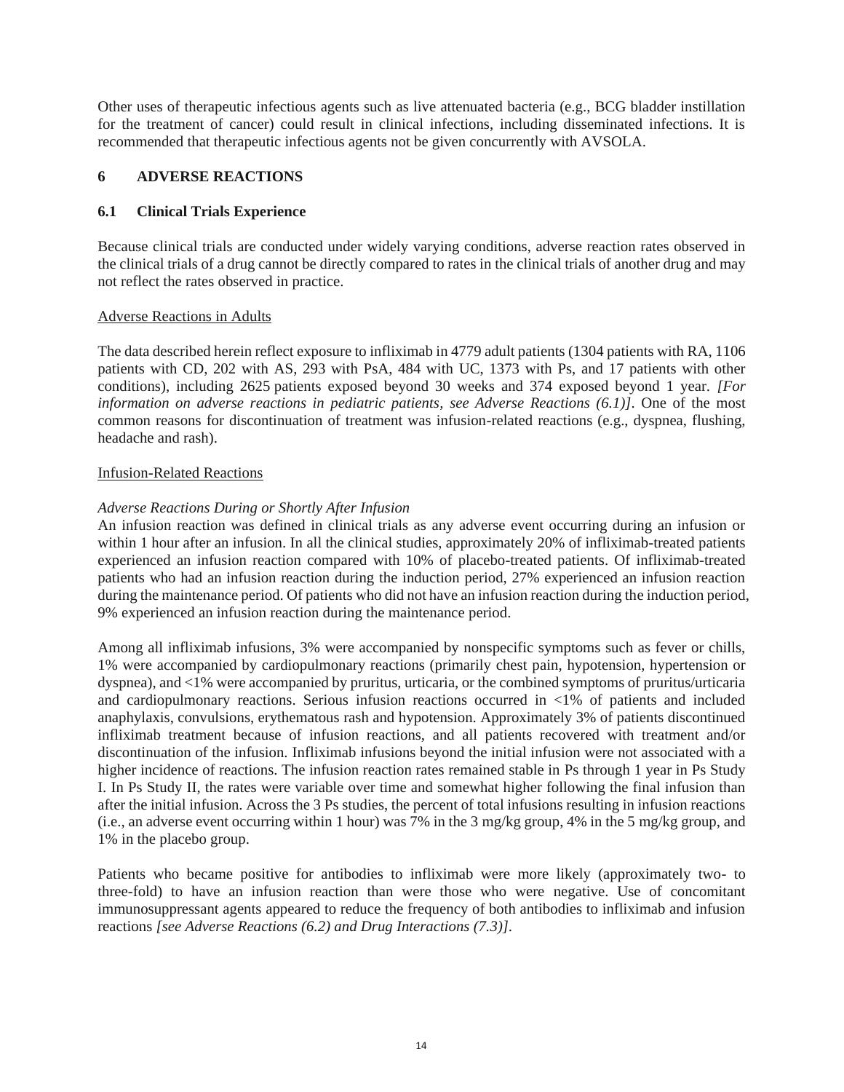Other uses of therapeutic infectious agents such as live attenuated bacteria (e.g., BCG bladder instillation for the treatment of cancer) could result in clinical infections, including disseminated infections. It is recommended that therapeutic infectious agents not be given concurrently with AVSOLA.

### **6 ADVERSE REACTIONS**

### **6.1 Clinical Trials Experience**

Because clinical trials are conducted under widely varying conditions, adverse reaction rates observed in the clinical trials of a drug cannot be directly compared to rates in the clinical trials of another drug and may not reflect the rates observed in practice.

### Adverse Reactions in Adults

The data described herein reflect exposure to infliximab in 4779 adult patients (1304 patients with RA, 1106 patients with CD, 202 with AS, 293 with PsA, 484 with UC, 1373 with Ps, and 17 patients with other conditions), including 2625 patients exposed beyond 30 weeks and 374 exposed beyond 1 year. *[For information on adverse reactions in pediatric patients, see Adverse Reactions (6.1)]*. One of the most common reasons for discontinuation of treatment was infusion-related reactions (e.g., dyspnea, flushing, headache and rash).

### Infusion-Related Reactions

# *Adverse Reactions During or Shortly After Infusion*

An infusion reaction was defined in clinical trials as any adverse event occurring during an infusion or within 1 hour after an infusion. In all the clinical studies, approximately 20% of infliximab-treated patients experienced an infusion reaction compared with 10% of placebo-treated patients. Of infliximab-treated patients who had an infusion reaction during the induction period, 27% experienced an infusion reaction during the maintenance period. Of patients who did not have an infusion reaction during the induction period, 9% experienced an infusion reaction during the maintenance period.

Among all infliximab infusions, 3% were accompanied by nonspecific symptoms such as fever or chills, 1% were accompanied by cardiopulmonary reactions (primarily chest pain, hypotension, hypertension or dyspnea), and <1% were accompanied by pruritus, urticaria, or the combined symptoms of pruritus/urticaria and cardiopulmonary reactions. Serious infusion reactions occurred in <1% of patients and included anaphylaxis, convulsions, erythematous rash and hypotension. Approximately 3% of patients discontinued infliximab treatment because of infusion reactions, and all patients recovered with treatment and/or discontinuation of the infusion. Infliximab infusions beyond the initial infusion were not associated with a higher incidence of reactions. The infusion reaction rates remained stable in Ps through 1 year in Ps Study I. In Ps Study II, the rates were variable over time and somewhat higher following the final infusion than after the initial infusion. Across the 3 Ps studies, the percent of total infusions resulting in infusion reactions (i.e., an adverse event occurring within 1 hour) was 7% in the 3 mg/kg group, 4% in the 5 mg/kg group, and 1% in the placebo group.

Patients who became positive for antibodies to infliximab were more likely (approximately two- to three-fold) to have an infusion reaction than were those who were negative. Use of concomitant immunosuppressant agents appeared to reduce the frequency of both antibodies to infliximab and infusion reactions *[see Adverse Reactions (6.2) and Drug Interactions (7.3)]*.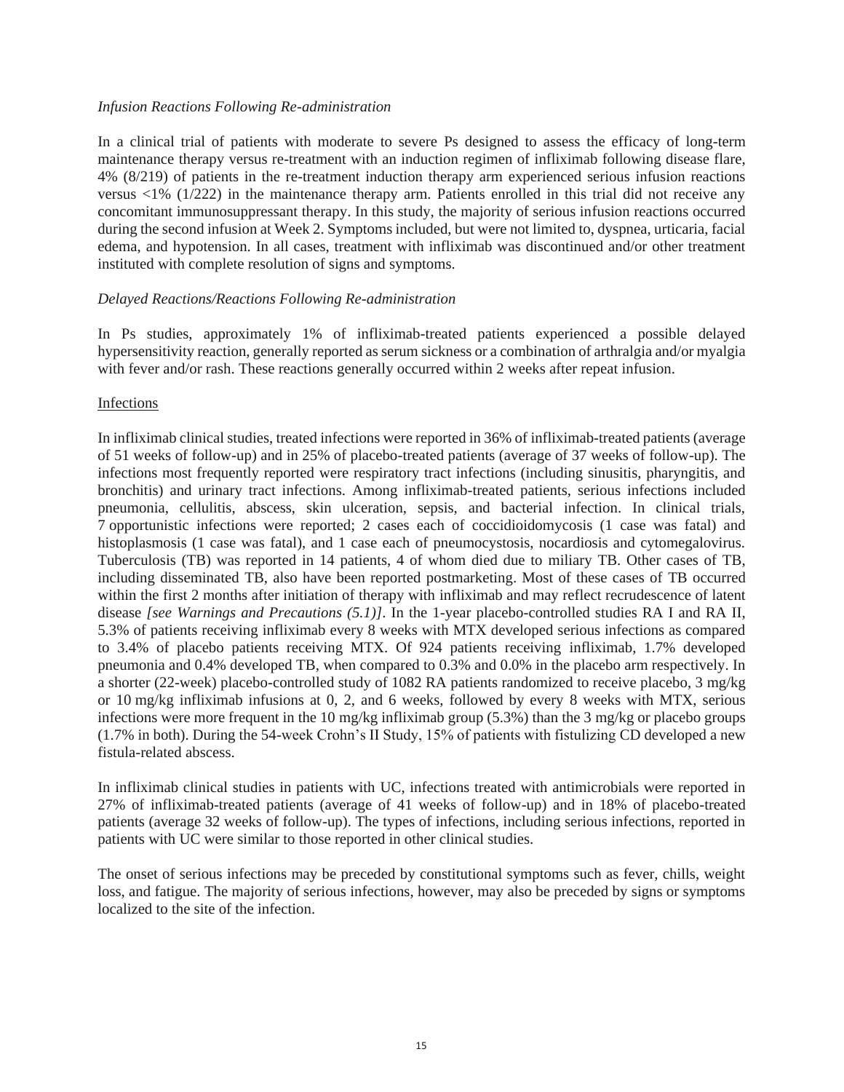#### *Infusion Reactions Following Re-administration*

In a clinical trial of patients with moderate to severe Ps designed to assess the efficacy of long-term maintenance therapy versus re-treatment with an induction regimen of infliximab following disease flare, 4% (8/219) of patients in the re-treatment induction therapy arm experienced serious infusion reactions versus <1% (1/222) in the maintenance therapy arm. Patients enrolled in this trial did not receive any concomitant immunosuppressant therapy. In this study, the majority of serious infusion reactions occurred during the second infusion at Week 2. Symptoms included, but were not limited to, dyspnea, urticaria, facial edema, and hypotension. In all cases, treatment with infliximab was discontinued and/or other treatment instituted with complete resolution of signs and symptoms.

#### *Delayed Reactions/Reactions Following Re-administration*

In Ps studies, approximately 1% of infliximab-treated patients experienced a possible delayed hypersensitivity reaction, generally reported as serum sickness or a combination of arthralgia and/or myalgia with fever and/or rash. These reactions generally occurred within 2 weeks after repeat infusion.

#### Infections

In infliximab clinical studies, treated infections were reported in 36% of infliximab-treated patients (average of 51 weeks of follow-up) and in 25% of placebo-treated patients (average of 37 weeks of follow-up). The infections most frequently reported were respiratory tract infections (including sinusitis, pharyngitis, and bronchitis) and urinary tract infections. Among infliximab-treated patients, serious infections included pneumonia, cellulitis, abscess, skin ulceration, sepsis, and bacterial infection. In clinical trials, 7 opportunistic infections were reported; 2 cases each of coccidioidomycosis (1 case was fatal) and histoplasmosis (1 case was fatal), and 1 case each of pneumocystosis, nocardiosis and cytomegalovirus. Tuberculosis (TB) was reported in 14 patients, 4 of whom died due to miliary TB. Other cases of TB, including disseminated TB, also have been reported postmarketing. Most of these cases of TB occurred within the first 2 months after initiation of therapy with infliximab and may reflect recrudescence of latent disease *[see Warnings and Precautions (5.1)]*. In the 1-year placebo-controlled studies RA I and RA II, 5.3% of patients receiving infliximab every 8 weeks with MTX developed serious infections as compared to 3.4% of placebo patients receiving MTX. Of 924 patients receiving infliximab, 1.7% developed pneumonia and 0.4% developed TB, when compared to 0.3% and 0.0% in the placebo arm respectively. In a shorter (22-week) placebo-controlled study of 1082 RA patients randomized to receive placebo, 3 mg/kg or 10 mg/kg infliximab infusions at 0, 2, and 6 weeks, followed by every 8 weeks with MTX, serious infections were more frequent in the 10 mg/kg infliximab group (5.3%) than the 3 mg/kg or placebo groups (1.7% in both). During the 54-week Crohn's II Study, 15% of patients with fistulizing CD developed a new fistula-related abscess.

In infliximab clinical studies in patients with UC, infections treated with antimicrobials were reported in 27% of infliximab-treated patients (average of 41 weeks of follow-up) and in 18% of placebo-treated patients (average 32 weeks of follow-up). The types of infections, including serious infections, reported in patients with UC were similar to those reported in other clinical studies.

The onset of serious infections may be preceded by constitutional symptoms such as fever, chills, weight loss, and fatigue. The majority of serious infections, however, may also be preceded by signs or symptoms localized to the site of the infection.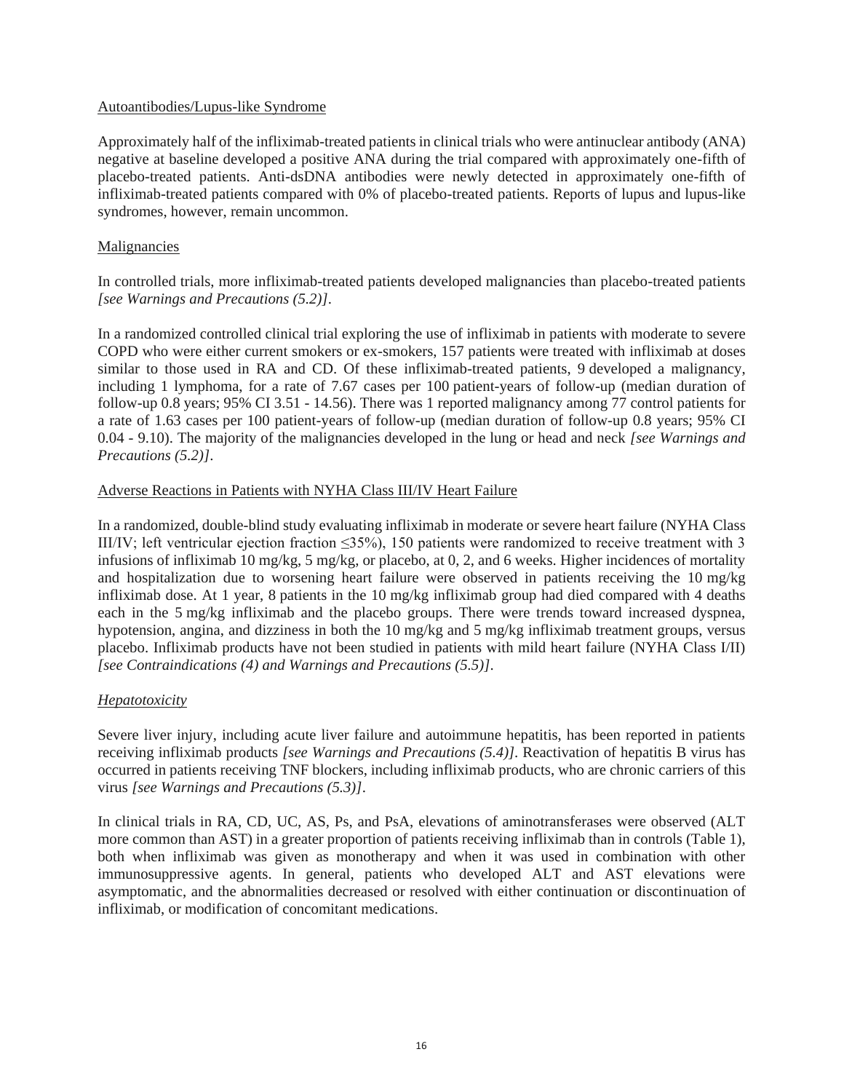### Autoantibodies/Lupus-like Syndrome

Approximately half of the infliximab-treated patients in clinical trials who were antinuclear antibody (ANA) negative at baseline developed a positive ANA during the trial compared with approximately one-fifth of placebo-treated patients. Anti-dsDNA antibodies were newly detected in approximately one-fifth of infliximab-treated patients compared with 0% of placebo-treated patients. Reports of lupus and lupus-like syndromes, however, remain uncommon.

### Malignancies

In controlled trials, more infliximab-treated patients developed malignancies than placebo-treated patients *[see Warnings and Precautions (5.2)]*.

In a randomized controlled clinical trial exploring the use of infliximab in patients with moderate to severe COPD who were either current smokers or ex-smokers, 157 patients were treated with infliximab at doses similar to those used in RA and CD. Of these infliximab-treated patients, 9 developed a malignancy, including 1 lymphoma, for a rate of 7.67 cases per 100 patient-years of follow-up (median duration of follow-up 0.8 years; 95% CI 3.51 - 14.56). There was 1 reported malignancy among 77 control patients for a rate of 1.63 cases per 100 patient-years of follow-up (median duration of follow-up 0.8 years; 95% CI 0.04 - 9.10). The majority of the malignancies developed in the lung or head and neck *[see Warnings and Precautions (5.2)]*.

### Adverse Reactions in Patients with NYHA Class III/IV Heart Failure

In a randomized, double-blind study evaluating infliximab in moderate or severe heart failure (NYHA Class III/IV; left ventricular ejection fraction ≤35%), 150 patients were randomized to receive treatment with 3 infusions of infliximab 10 mg/kg, 5 mg/kg, or placebo, at 0, 2, and 6 weeks. Higher incidences of mortality and hospitalization due to worsening heart failure were observed in patients receiving the 10 mg/kg infliximab dose. At 1 year, 8 patients in the 10 mg/kg infliximab group had died compared with 4 deaths each in the 5 mg/kg infliximab and the placebo groups. There were trends toward increased dyspnea, hypotension, angina, and dizziness in both the 10 mg/kg and 5 mg/kg infliximab treatment groups, versus placebo. Infliximab products have not been studied in patients with mild heart failure (NYHA Class I/II) *[see Contraindications (4) and Warnings and Precautions (5.5)]*.

# *Hepatotoxicity*

Severe liver injury, including acute liver failure and autoimmune hepatitis, has been reported in patients receiving infliximab products *[see Warnings and Precautions (5.4)]*. Reactivation of hepatitis B virus has occurred in patients receiving TNF blockers, including infliximab products, who are chronic carriers of this virus *[see Warnings and Precautions (5.3)]*.

In clinical trials in RA, CD, UC, AS, Ps, and PsA, elevations of aminotransferases were observed (ALT more common than AST) in a greater proportion of patients receiving infliximab than in controls (Table 1), both when infliximab was given as monotherapy and when it was used in combination with other immunosuppressive agents. In general, patients who developed ALT and AST elevations were asymptomatic, and the abnormalities decreased or resolved with either continuation or discontinuation of infliximab, or modification of concomitant medications.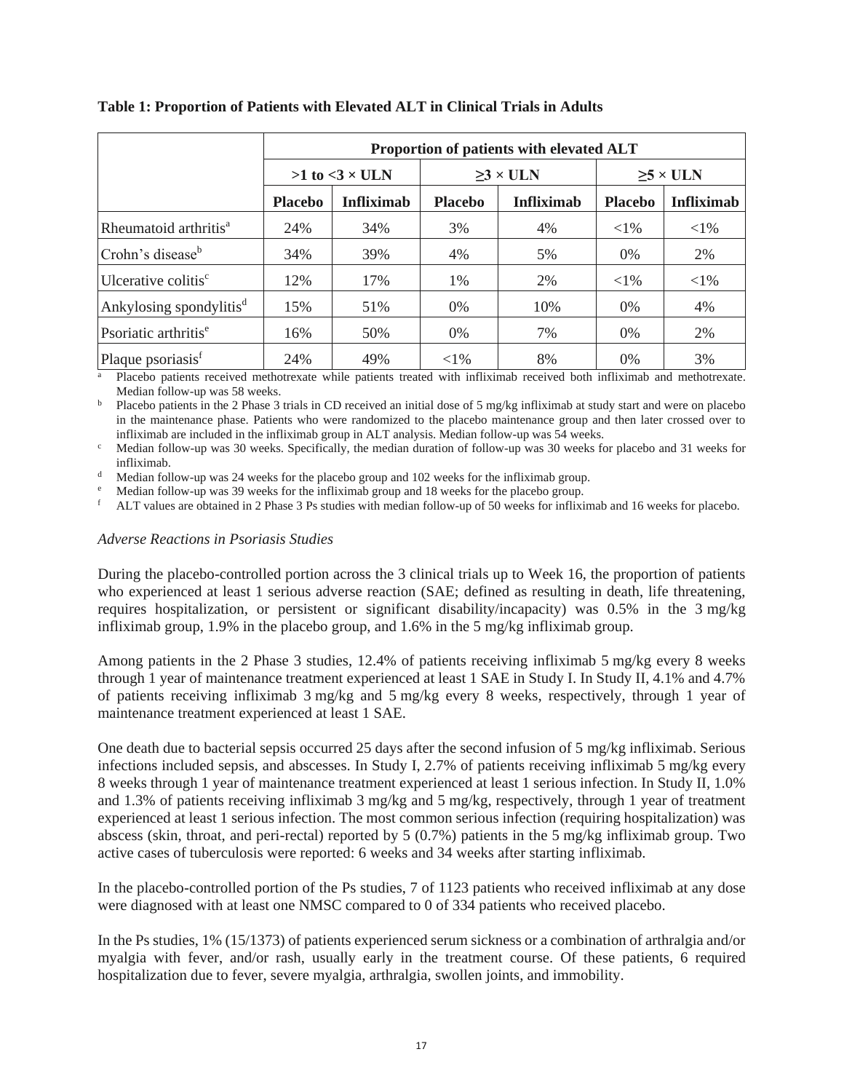|                                     |                | Proportion of patients with elevated ALT |                |                   |                |                            |  |  |
|-------------------------------------|----------------|------------------------------------------|----------------|-------------------|----------------|----------------------------|--|--|
|                                     |                | $>1$ to $<3 \times$ ULN                  |                | $\geq$ 3 × ULN    |                | $\geq 5 \times \text{ULN}$ |  |  |
|                                     | <b>Placebo</b> | <b>Infliximab</b>                        | <b>Placebo</b> | <b>Infliximab</b> | <b>Placebo</b> | <b>Infliximab</b>          |  |  |
| Rheumatoid arthritis <sup>a</sup>   | 24%            | 34%                                      | 3%             | 4%                | ${<}1\%$       | ${<}1\%$                   |  |  |
| Crohn's disease <sup>b</sup>        | 34%            | 39%                                      | 4%             | 5%                | $0\%$          | 2%                         |  |  |
| Ulcerative colitis <sup>c</sup>     | 12%            | 17%                                      | 1%             | 2%                | ${<}1\%$       | $<$ 1%                     |  |  |
| Ankylosing spondylitis <sup>d</sup> | 15%            | 51%                                      | 0%             | 10%               | $0\%$          | 4%                         |  |  |
| Psoriatic arthritis <sup>e</sup>    | 16%            | 50%                                      | $0\%$          | 7%                | $0\%$          | 2%                         |  |  |
| Plaque psoriasis <sup>f</sup>       | 24%            | 49%                                      | ${<}1\%$       | 8%                | $0\%$          | 3%                         |  |  |

# **Table 1: Proportion of Patients with Elevated ALT in Clinical Trials in Adults**

<sup>a</sup> Placebo patients received methotrexate while patients treated with infliximab received both infliximab and methotrexate. Median follow-up was 58 weeks.

<sup>b</sup> Placebo patients in the 2 Phase 3 trials in CD received an initial dose of 5 mg/kg infliximab at study start and were on placebo in the maintenance phase. Patients who were randomized to the placebo maintenance group and then later crossed over to infliximab are included in the infliximab group in ALT analysis. Median follow-up was 54 weeks.

 $c$  Median follow-up was 30 weeks. Specifically, the median duration of follow-up was 30 weeks for placebo and 31 weeks for infliximab.

Median follow-up was 24 weeks for the placebo group and 102 weeks for the infliximab group.

Median follow-up was 39 weeks for the infliximab group and 18 weeks for the placebo group.

<sup>f</sup> ALT values are obtained in 2 Phase 3 Ps studies with median follow-up of 50 weeks for infliximab and 16 weeks for placebo.

# *Adverse Reactions in Psoriasis Studies*

During the placebo-controlled portion across the 3 clinical trials up to Week 16, the proportion of patients who experienced at least 1 serious adverse reaction (SAE; defined as resulting in death, life threatening, requires hospitalization, or persistent or significant disability/incapacity) was 0.5% in the 3 mg/kg infliximab group, 1.9% in the placebo group, and 1.6% in the 5 mg/kg infliximab group.

Among patients in the 2 Phase 3 studies, 12.4% of patients receiving infliximab 5 mg/kg every 8 weeks through 1 year of maintenance treatment experienced at least 1 SAE in Study I. In Study II, 4.1% and 4.7% of patients receiving infliximab 3 mg/kg and 5 mg/kg every 8 weeks, respectively, through 1 year of maintenance treatment experienced at least 1 SAE.

One death due to bacterial sepsis occurred 25 days after the second infusion of 5 mg/kg infliximab. Serious infections included sepsis, and abscesses. In Study I, 2.7% of patients receiving infliximab 5 mg/kg every 8 weeks through 1 year of maintenance treatment experienced at least 1 serious infection. In Study II, 1.0% and 1.3% of patients receiving infliximab 3 mg/kg and 5 mg/kg, respectively, through 1 year of treatment experienced at least 1 serious infection. The most common serious infection (requiring hospitalization) was abscess (skin, throat, and peri-rectal) reported by 5 (0.7%) patients in the 5 mg/kg infliximab group. Two active cases of tuberculosis were reported: 6 weeks and 34 weeks after starting infliximab.

In the placebo-controlled portion of the Ps studies, 7 of 1123 patients who received infliximab at any dose were diagnosed with at least one NMSC compared to 0 of 334 patients who received placebo.

In the Ps studies, 1% (15/1373) of patients experienced serum sickness or a combination of arthralgia and/or myalgia with fever, and/or rash, usually early in the treatment course. Of these patients, 6 required hospitalization due to fever, severe myalgia, arthralgia, swollen joints, and immobility.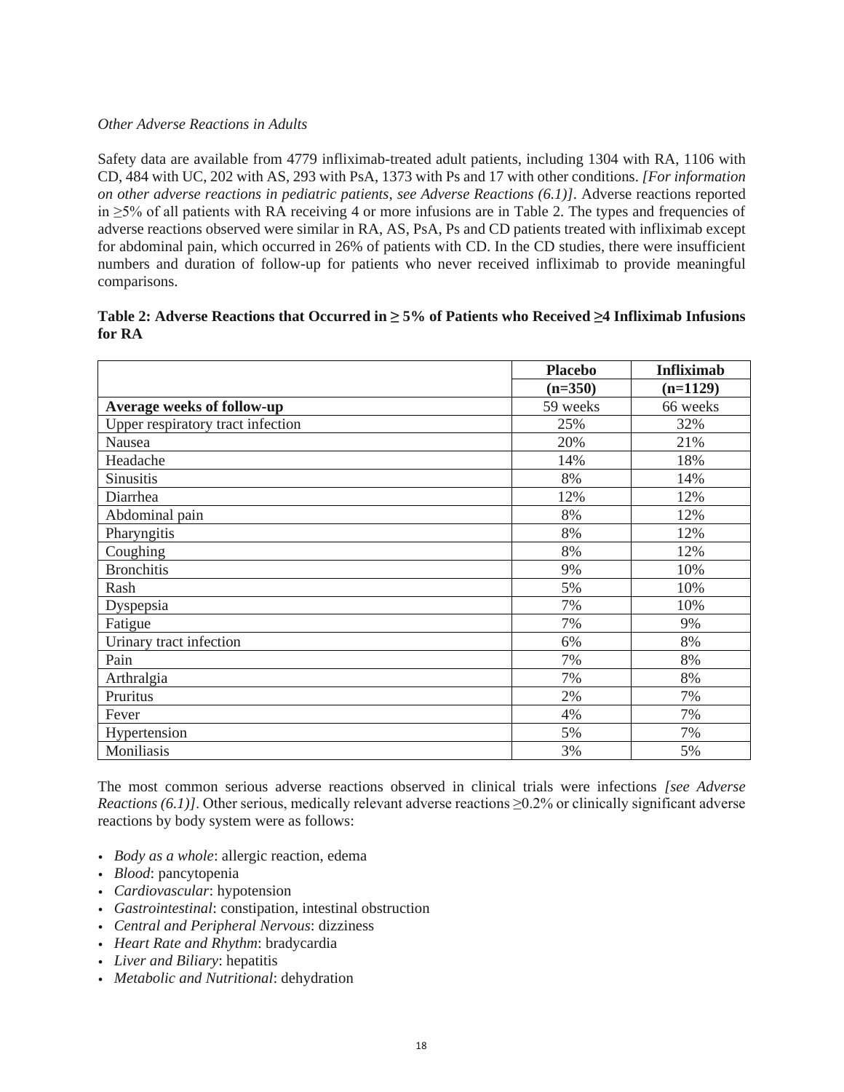### *Other Adverse Reactions in Adults*

Safety data are available from 4779 infliximab-treated adult patients, including 1304 with RA, 1106 with CD, 484 with UC, 202 with AS, 293 with PsA, 1373 with Ps and 17 with other conditions. *[For information on other adverse reactions in pediatric patients, see Adverse Reactions (6.1)]*. Adverse reactions reported in ≥5% of all patients with RA receiving 4 or more infusions are in Table 2. The types and frequencies of adverse reactions observed were similar in RA, AS, PsA, Ps and CD patients treated with infliximab except for abdominal pain, which occurred in 26% of patients with CD. In the CD studies, there were insufficient numbers and duration of follow-up for patients who never received infliximab to provide meaningful comparisons.

| Table 2: Adverse Reactions that Occurred in $\geq 5\%$ of Patients who Received $\geq 4$ Infliximab Infusions |  |
|---------------------------------------------------------------------------------------------------------------|--|
| for RA                                                                                                        |  |

|                                   | <b>Placebo</b> | <b>Infliximab</b> |
|-----------------------------------|----------------|-------------------|
|                                   | $(n=350)$      | $(n=1129)$        |
| Average weeks of follow-up        | 59 weeks       | 66 weeks          |
| Upper respiratory tract infection | 25%            | 32%               |
| Nausea                            | 20%            | 21%               |
| Headache                          | 14%            | 18%               |
| Sinusitis                         | 8%             | 14%               |
| Diarrhea                          | 12%            | 12%               |
| Abdominal pain                    | 8%             | 12%               |
| Pharyngitis                       | 8%             | 12%               |
| Coughing                          | 8%             | 12%               |
| <b>Bronchitis</b>                 | 9%             | 10%               |
| Rash                              | 5%             | 10%               |
| Dyspepsia                         | 7%             | 10%               |
| Fatigue                           | 7%             | 9%                |
| Urinary tract infection           | 6%             | 8%                |
| Pain                              | 7%             | 8%                |
| Arthralgia                        | 7%             | 8%                |
| Pruritus                          | 2%             | 7%                |
| Fever                             | 4%             | 7%                |
| Hypertension                      | 5%             | 7%                |
| Moniliasis                        | 3%             | 5%                |

The most common serious adverse reactions observed in clinical trials were infections *[see Adverse Reactions (6.1)]*. Other serious, medically relevant adverse reactions ≥0.2% or clinically significant adverse reactions by body system were as follows:

- *Body as a whole*: allergic reaction, edema
- *Blood*: pancytopenia
- *Cardiovascular*: hypotension
- *Gastrointestinal*: constipation, intestinal obstruction
- *Central and Peripheral Nervous*: dizziness
- *Heart Rate and Rhythm*: bradycardia
- *Liver and Biliary*: hepatitis
- *Metabolic and Nutritional*: dehydration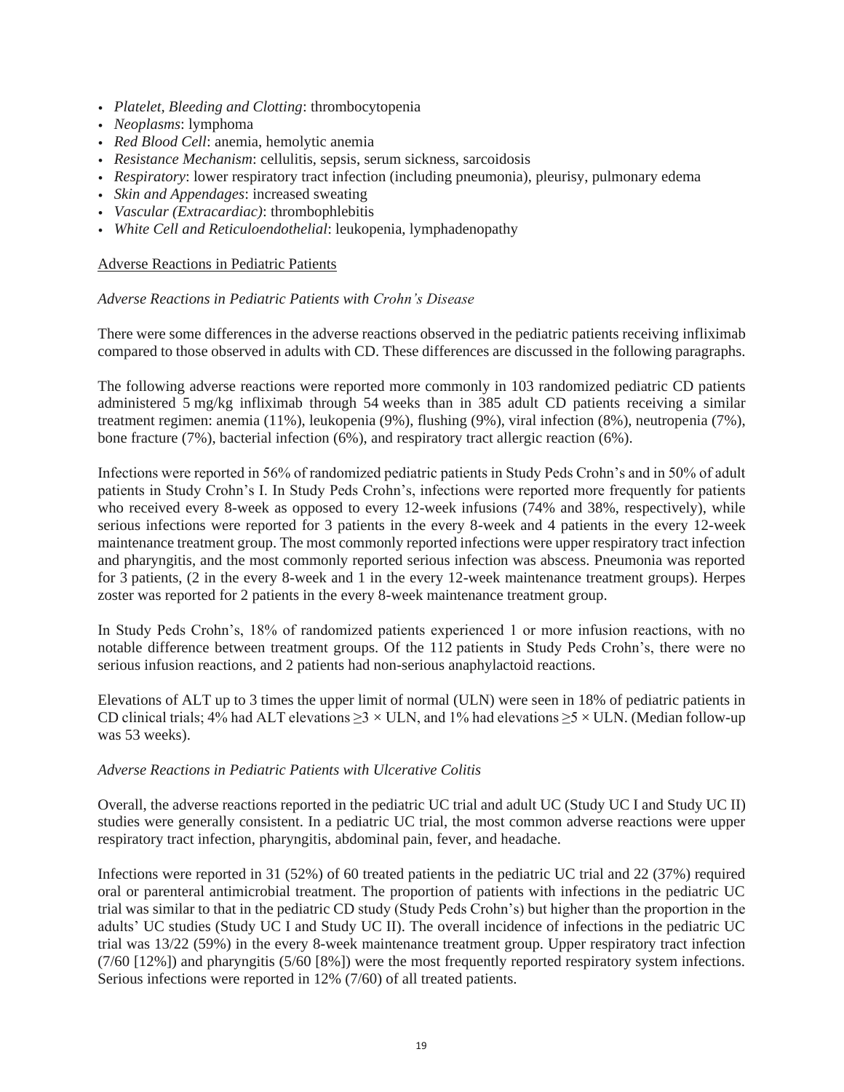- *Platelet, Bleeding and Clotting*: thrombocytopenia
- *Neoplasms*: lymphoma
- *Red Blood Cell*: anemia, hemolytic anemia
- *Resistance Mechanism*: cellulitis, sepsis, serum sickness, sarcoidosis
- *Respiratory*: lower respiratory tract infection (including pneumonia), pleurisy, pulmonary edema
- *Skin and Appendages*: increased sweating
- *Vascular (Extracardiac)*: thrombophlebitis
- *White Cell and Reticuloendothelial*: leukopenia, lymphadenopathy

### Adverse Reactions in Pediatric Patients

### *Adverse Reactions in Pediatric Patients with Crohn's Disease*

There were some differences in the adverse reactions observed in the pediatric patients receiving infliximab compared to those observed in adults with CD. These differences are discussed in the following paragraphs.

The following adverse reactions were reported more commonly in 103 randomized pediatric CD patients administered 5 mg/kg infliximab through 54 weeks than in 385 adult CD patients receiving a similar treatment regimen: anemia (11%), leukopenia (9%), flushing (9%), viral infection (8%), neutropenia (7%), bone fracture (7%), bacterial infection (6%), and respiratory tract allergic reaction (6%).

Infections were reported in 56% of randomized pediatric patients in Study Peds Crohn's and in 50% of adult patients in Study Crohn's I. In Study Peds Crohn's, infections were reported more frequently for patients who received every 8-week as opposed to every 12-week infusions (74% and 38%, respectively), while serious infections were reported for 3 patients in the every 8-week and 4 patients in the every 12-week maintenance treatment group. The most commonly reported infections were upper respiratory tract infection and pharyngitis, and the most commonly reported serious infection was abscess. Pneumonia was reported for 3 patients, (2 in the every 8-week and 1 in the every 12-week maintenance treatment groups). Herpes zoster was reported for 2 patients in the every 8-week maintenance treatment group.

In Study Peds Crohn's, 18% of randomized patients experienced 1 or more infusion reactions, with no notable difference between treatment groups. Of the 112 patients in Study Peds Crohn's, there were no serious infusion reactions, and 2 patients had non-serious anaphylactoid reactions.

Elevations of ALT up to 3 times the upper limit of normal (ULN) were seen in 18% of pediatric patients in CD clinical trials; 4% had ALT elevations  $\geq$ 3 × ULN, and 1% had elevations  $\geq$ 5 × ULN. (Median follow-up was 53 weeks).

### *Adverse Reactions in Pediatric Patients with Ulcerative Colitis*

Overall, the adverse reactions reported in the pediatric UC trial and adult UC (Study UC I and Study UC II) studies were generally consistent. In a pediatric UC trial, the most common adverse reactions were upper respiratory tract infection, pharyngitis, abdominal pain, fever, and headache.

Infections were reported in 31 (52%) of 60 treated patients in the pediatric UC trial and 22 (37%) required oral or parenteral antimicrobial treatment. The proportion of patients with infections in the pediatric UC trial was similar to that in the pediatric CD study (Study Peds Crohn's) but higher than the proportion in the adults' UC studies (Study UC I and Study UC II). The overall incidence of infections in the pediatric UC trial was 13/22 (59%) in the every 8-week maintenance treatment group. Upper respiratory tract infection (7/60 [12%]) and pharyngitis (5/60 [8%]) were the most frequently reported respiratory system infections. Serious infections were reported in 12% (7/60) of all treated patients.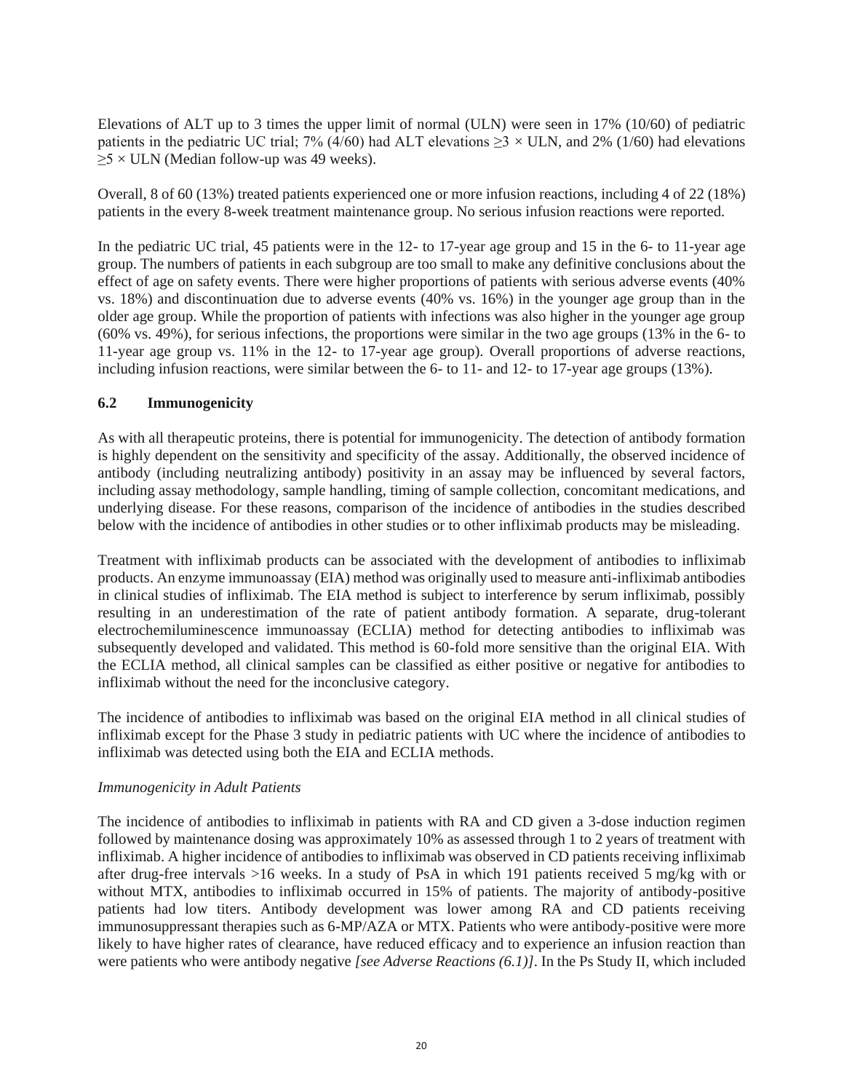Elevations of ALT up to 3 times the upper limit of normal (ULN) were seen in 17% (10/60) of pediatric patients in the pediatric UC trial; 7% (4/60) had ALT elevations  $\geq$  3 × ULN, and 2% (1/60) had elevations  $\geq$ 5 × ULN (Median follow-up was 49 weeks).

Overall, 8 of 60 (13%) treated patients experienced one or more infusion reactions, including 4 of 22 (18%) patients in the every 8-week treatment maintenance group. No serious infusion reactions were reported.

In the pediatric UC trial, 45 patients were in the 12- to 17-year age group and 15 in the 6- to 11-year age group. The numbers of patients in each subgroup are too small to make any definitive conclusions about the effect of age on safety events. There were higher proportions of patients with serious adverse events (40% vs. 18%) and discontinuation due to adverse events (40% vs. 16%) in the younger age group than in the older age group. While the proportion of patients with infections was also higher in the younger age group (60% vs. 49%), for serious infections, the proportions were similar in the two age groups (13% in the 6- to 11-year age group vs. 11% in the 12- to 17-year age group). Overall proportions of adverse reactions, including infusion reactions, were similar between the 6- to 11- and 12- to 17-year age groups (13%).

### **6.2 Immunogenicity**

As with all therapeutic proteins, there is potential for immunogenicity. The detection of antibody formation is highly dependent on the sensitivity and specificity of the assay. Additionally, the observed incidence of antibody (including neutralizing antibody) positivity in an assay may be influenced by several factors, including assay methodology, sample handling, timing of sample collection, concomitant medications, and underlying disease. For these reasons, comparison of the incidence of antibodies in the studies described below with the incidence of antibodies in other studies or to other infliximab products may be misleading.

Treatment with infliximab products can be associated with the development of antibodies to infliximab products. An enzyme immunoassay (EIA) method was originally used to measure anti-infliximab antibodies in clinical studies of infliximab. The EIA method is subject to interference by serum infliximab, possibly resulting in an underestimation of the rate of patient antibody formation. A separate, drug-tolerant electrochemiluminescence immunoassay (ECLIA) method for detecting antibodies to infliximab was subsequently developed and validated. This method is 60-fold more sensitive than the original EIA. With the ECLIA method, all clinical samples can be classified as either positive or negative for antibodies to infliximab without the need for the inconclusive category.

The incidence of antibodies to infliximab was based on the original EIA method in all clinical studies of infliximab except for the Phase 3 study in pediatric patients with UC where the incidence of antibodies to infliximab was detected using both the EIA and ECLIA methods.

### *Immunogenicity in Adult Patients*

The incidence of antibodies to infliximab in patients with RA and CD given a 3-dose induction regimen followed by maintenance dosing was approximately 10% as assessed through 1 to 2 years of treatment with infliximab. A higher incidence of antibodies to infliximab was observed in CD patients receiving infliximab after drug-free intervals >16 weeks. In a study of PsA in which 191 patients received 5 mg/kg with or without MTX, antibodies to infliximab occurred in 15% of patients. The majority of antibody-positive patients had low titers. Antibody development was lower among RA and CD patients receiving immunosuppressant therapies such as 6-MP/AZA or MTX. Patients who were antibody-positive were more likely to have higher rates of clearance, have reduced efficacy and to experience an infusion reaction than were patients who were antibody negative *[see Adverse Reactions (6.1)]*. In the Ps Study II, which included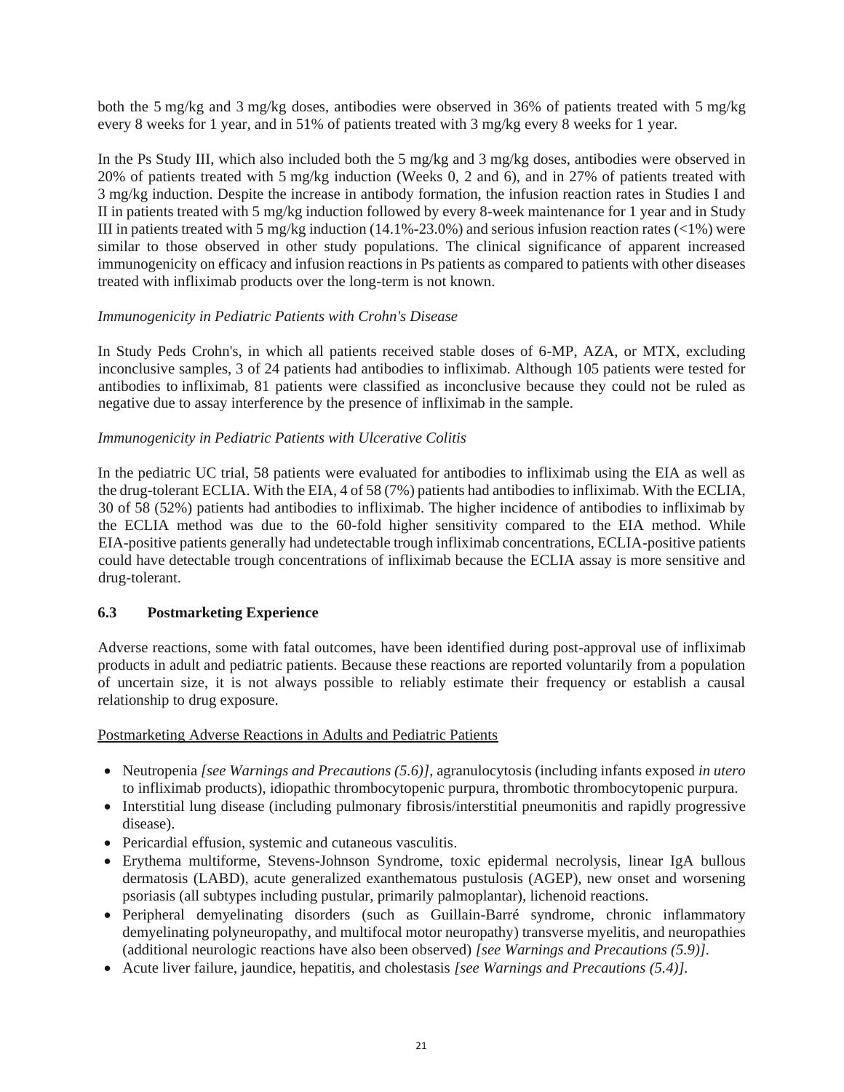both the 5 mg/kg and 3 mg/kg doses, antibodies were observed in 36% of patients treated with 5 mg/kg every 8 weeks for 1 year, and in 51% of patients treated with 3 mg/kg every 8 weeks for 1 year.

In the Ps Study III, which also included both the 5 mg/kg and 3 mg/kg doses, antibodies were observed in 20% of patients treated with 5 mg/kg induction (Weeks 0, 2 and 6), and in 27% of patients treated with 3 mg/kg induction. Despite the increase in antibody formation, the infusion reaction rates in Studies I and II in patients treated with 5 mg/kg induction followed by every 8-week maintenance for 1 year and in Study III in patients treated with 5 mg/kg induction (14.1%-23.0%) and serious infusion reaction rates (<1%) were similar to those observed in other study populations. The clinical significance of apparent increased immunogenicity on efficacy and infusion reactions in Ps patients as compared to patients with other diseases treated with infliximab products over the long-term is not known.

### *Immunogenicity in Pediatric Patients with Crohn's Disease*

In Study Peds Crohn's, in which all patients received stable doses of 6-MP, AZA, or MTX, excluding inconclusive samples, 3 of 24 patients had antibodies to infliximab. Although 105 patients were tested for antibodies to infliximab, 81 patients were classified as inconclusive because they could not be ruled as negative due to assay interference by the presence of infliximab in the sample.

### *Immunogenicity in Pediatric Patients with Ulcerative Colitis*

In the pediatric UC trial, 58 patients were evaluated for antibodies to infliximab using the EIA as well as the drug-tolerant ECLIA. With the EIA, 4 of 58 (7%) patients had antibodies to infliximab. With the ECLIA, 30 of 58 (52%) patients had antibodies to infliximab. The higher incidence of antibodies to infliximab by the ECLIA method was due to the 60-fold higher sensitivity compared to the EIA method. While EIA-positive patients generally had undetectable trough infliximab concentrations, ECLIA-positive patients could have detectable trough concentrations of infliximab because the ECLIA assay is more sensitive and drug-tolerant.

# **6.3 Postmarketing Experience**

Adverse reactions, some with fatal outcomes, have been identified during post-approval use of infliximab products in adult and pediatric patients. Because these reactions are reported voluntarily from a population of uncertain size, it is not always possible to reliably estimate their frequency or establish a causal relationship to drug exposure.

### Postmarketing Adverse Reactions in Adults and Pediatric Patients

- Neutropenia *[see Warnings and Precautions (5.6)]*, agranulocytosis (including infants exposed *in utero* to infliximab products), idiopathic thrombocytopenic purpura, thrombotic thrombocytopenic purpura.
- Interstitial lung disease (including pulmonary fibrosis/interstitial pneumonitis and rapidly progressive disease).
- Pericardial effusion, systemic and cutaneous vasculitis.
- Erythema multiforme, Stevens-Johnson Syndrome, toxic epidermal necrolysis, linear IgA bullous dermatosis (LABD), acute generalized exanthematous pustulosis (AGEP), new onset and worsening psoriasis (all subtypes including pustular, primarily palmoplantar), lichenoid reactions.
- Peripheral demyelinating disorders (such as Guillain-Barré syndrome, chronic inflammatory demyelinating polyneuropathy, and multifocal motor neuropathy) transverse myelitis, and neuropathies (additional neurologic reactions have also been observed) *[see Warnings and Precautions (5.9)].*
- Acute liver failure, jaundice, hepatitis, and cholestasis *[see Warnings and Precautions (5.4)].*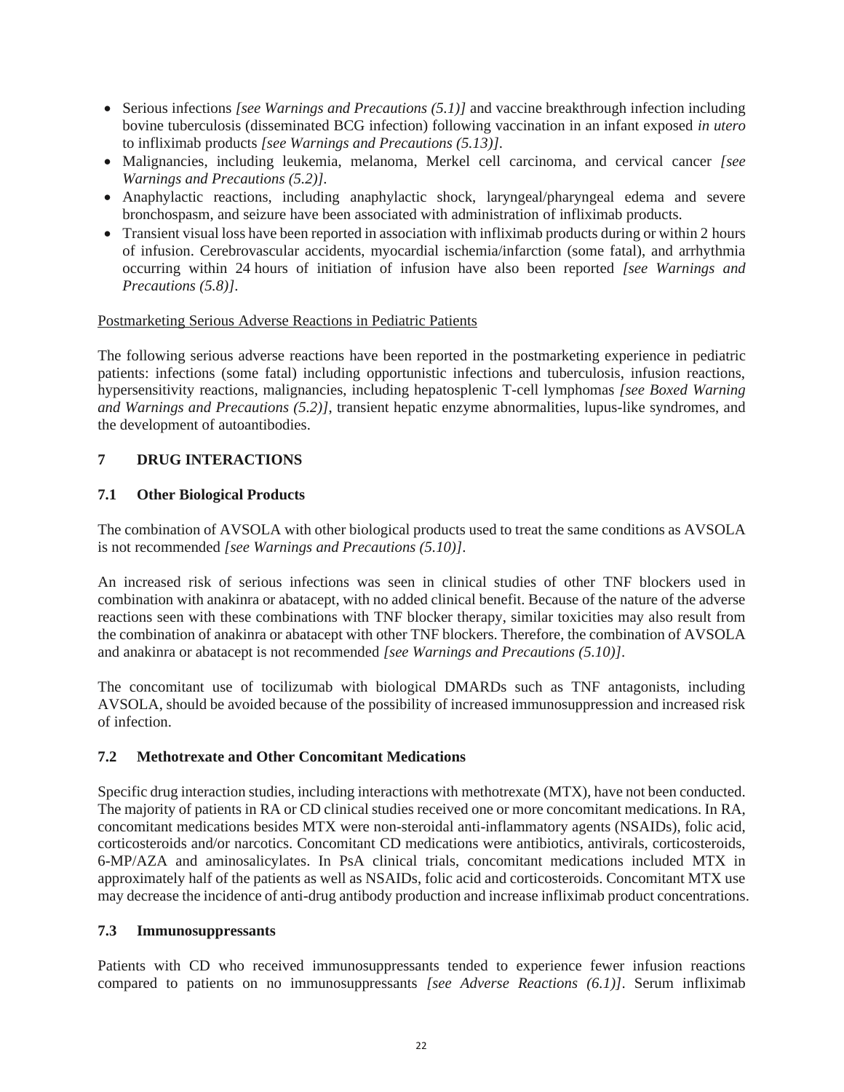- Serious infections *[see Warnings and Precautions (5.1)]* and vaccine breakthrough infection including bovine tuberculosis (disseminated BCG infection) following vaccination in an infant exposed *in utero* to infliximab products *[see Warnings and Precautions (5.13)]*.
- Malignancies, including leukemia, melanoma, Merkel cell carcinoma, and cervical cancer *[see Warnings and Precautions (5.2)].*
- Anaphylactic reactions, including anaphylactic shock, laryngeal/pharyngeal edema and severe bronchospasm, and seizure have been associated with administration of infliximab products.
- Transient visual loss have been reported in association with infliximab products during or within 2 hours of infusion. Cerebrovascular accidents, myocardial ischemia/infarction (some fatal), and arrhythmia occurring within 24 hours of initiation of infusion have also been reported *[see Warnings and Precautions (5.8)]*.

### Postmarketing Serious Adverse Reactions in Pediatric Patients

The following serious adverse reactions have been reported in the postmarketing experience in pediatric patients: infections (some fatal) including opportunistic infections and tuberculosis, infusion reactions, hypersensitivity reactions, malignancies, including hepatosplenic T-cell lymphomas *[see Boxed Warning and Warnings and Precautions (5.2)]*, transient hepatic enzyme abnormalities, lupus-like syndromes, and the development of autoantibodies.

### **7 DRUG INTERACTIONS**

### **7.1 Other Biological Products**

The combination of AVSOLA with other biological products used to treat the same conditions as AVSOLA is not recommended *[see Warnings and Precautions (5.10)]*.

An increased risk of serious infections was seen in clinical studies of other TNF blockers used in combination with anakinra or abatacept, with no added clinical benefit. Because of the nature of the adverse reactions seen with these combinations with TNF blocker therapy, similar toxicities may also result from the combination of anakinra or abatacept with other TNF blockers. Therefore, the combination of AVSOLA and anakinra or abatacept is not recommended *[see Warnings and Precautions (5.10)]*.

The concomitant use of tocilizumab with biological DMARDs such as TNF antagonists, including AVSOLA, should be avoided because of the possibility of increased immunosuppression and increased risk of infection.

### **7.2 Methotrexate and Other Concomitant Medications**

Specific drug interaction studies, including interactions with methotrexate (MTX), have not been conducted. The majority of patients in RA or CD clinical studies received one or more concomitant medications. In RA, concomitant medications besides MTX were non-steroidal anti-inflammatory agents (NSAIDs), folic acid, corticosteroids and/or narcotics. Concomitant CD medications were antibiotics, antivirals, corticosteroids, 6-MP/AZA and aminosalicylates. In PsA clinical trials, concomitant medications included MTX in approximately half of the patients as well as NSAIDs, folic acid and corticosteroids. Concomitant MTX use may decrease the incidence of anti-drug antibody production and increase infliximab product concentrations.

### **7.3 Immunosuppressants**

Patients with CD who received immunosuppressants tended to experience fewer infusion reactions compared to patients on no immunosuppressants *[see Adverse Reactions (6.1)]*. Serum infliximab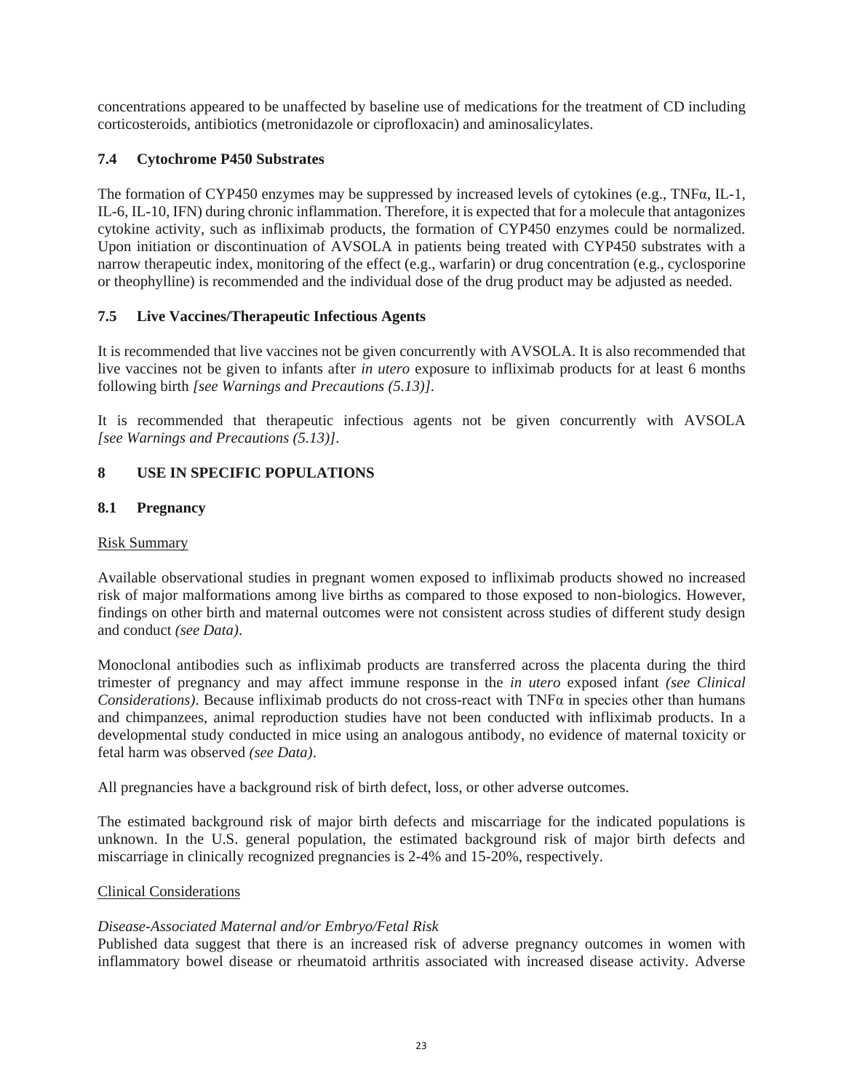concentrations appeared to be unaffected by baseline use of medications for the treatment of CD including corticosteroids, antibiotics (metronidazole or ciprofloxacin) and aminosalicylates.

# **7.4 Cytochrome P450 Substrates**

The formation of CYP450 enzymes may be suppressed by increased levels of cytokines (e.g., TNFα, IL-1, IL-6, IL-10, IFN) during chronic inflammation. Therefore, it is expected that for a molecule that antagonizes cytokine activity, such as infliximab products, the formation of CYP450 enzymes could be normalized. Upon initiation or discontinuation of AVSOLA in patients being treated with CYP450 substrates with a narrow therapeutic index, monitoring of the effect (e.g., warfarin) or drug concentration (e.g., cyclosporine or theophylline) is recommended and the individual dose of the drug product may be adjusted as needed.

# **7.5 Live Vaccines/Therapeutic Infectious Agents**

It is recommended that live vaccines not be given concurrently with AVSOLA. It is also recommended that live vaccines not be given to infants after *in utero* exposure to infliximab products for at least 6 months following birth *[see Warnings and Precautions (5.13)]*.

It is recommended that therapeutic infectious agents not be given concurrently with AVSOLA *[see Warnings and Precautions (5.13)]*.

# **8 USE IN SPECIFIC POPULATIONS**

# **8.1 Pregnancy**

### Risk Summary

Available observational studies in pregnant women exposed to infliximab products showed no increased risk of major malformations among live births as compared to those exposed to non-biologics. However, findings on other birth and maternal outcomes were not consistent across studies of different study design and conduct *(see Data)*.

Monoclonal antibodies such as infliximab products are transferred across the placenta during the third trimester of pregnancy and may affect immune response in the *in utero* exposed infant *(see Clinical Considerations)*. Because infliximab products do not cross-react with TNFα in species other than humans and chimpanzees, animal reproduction studies have not been conducted with infliximab products. In a developmental study conducted in mice using an analogous antibody, no evidence of maternal toxicity or fetal harm was observed *(see Data)*.

All pregnancies have a background risk of birth defect, loss, or other adverse outcomes.

The estimated background risk of major birth defects and miscarriage for the indicated populations is unknown. In the U.S. general population, the estimated background risk of major birth defects and miscarriage in clinically recognized pregnancies is 2-4% and 15-20%, respectively.

# Clinical Considerations

# *Disease-Associated Maternal and/or Embryo/Fetal Risk*

Published data suggest that there is an increased risk of adverse pregnancy outcomes in women with inflammatory bowel disease or rheumatoid arthritis associated with increased disease activity. Adverse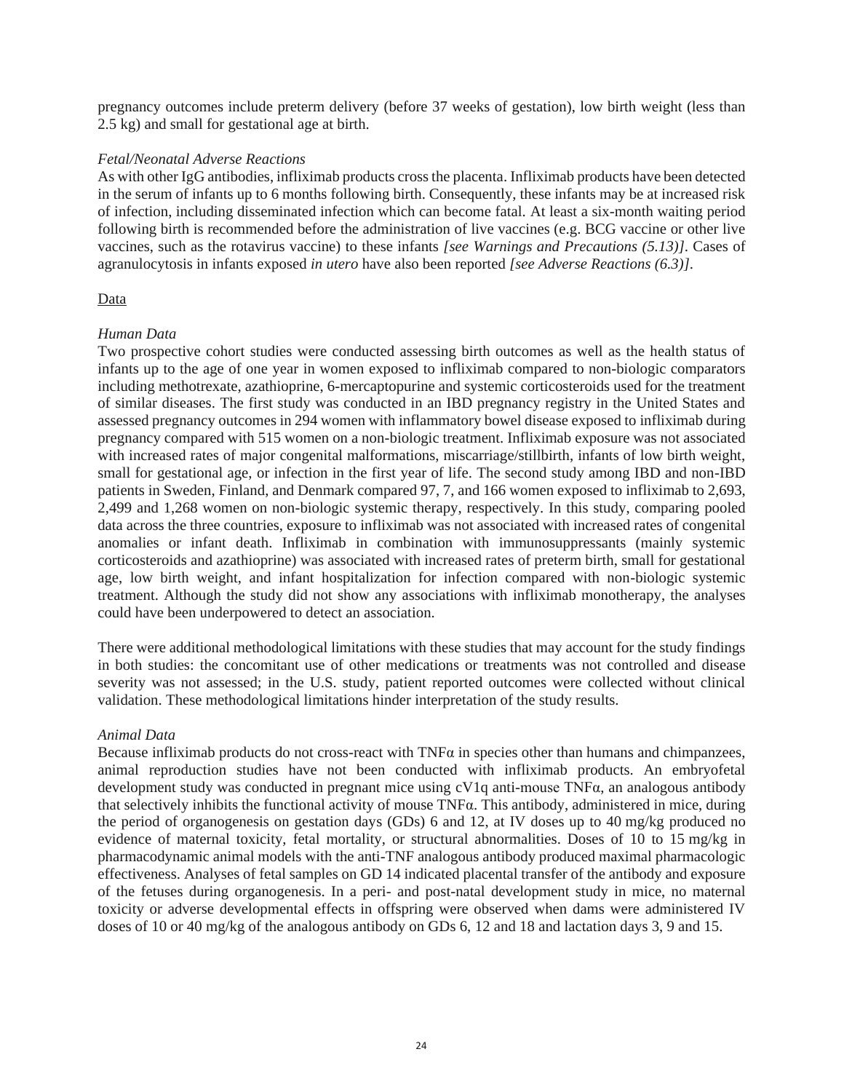pregnancy outcomes include preterm delivery (before 37 weeks of gestation), low birth weight (less than 2.5 kg) and small for gestational age at birth.

### *Fetal/Neonatal Adverse Reactions*

As with other IgG antibodies, infliximab products cross the placenta. Infliximab products have been detected in the serum of infants up to 6 months following birth. Consequently, these infants may be at increased risk of infection, including disseminated infection which can become fatal. At least a six-month waiting period following birth is recommended before the administration of live vaccines (e.g. BCG vaccine or other live vaccines, such as the rotavirus vaccine) to these infants *[see Warnings and Precautions (5.13)]*. Cases of agranulocytosis in infants exposed *in utero* have also been reported *[see Adverse Reactions (6.3)]*.

### Data

### *Human Data*

Two prospective cohort studies were conducted assessing birth outcomes as well as the health status of infants up to the age of one year in women exposed to infliximab compared to non-biologic comparators including methotrexate, azathioprine, 6-mercaptopurine and systemic corticosteroids used for the treatment of similar diseases. The first study was conducted in an IBD pregnancy registry in the United States and assessed pregnancy outcomes in 294 women with inflammatory bowel disease exposed to infliximab during pregnancy compared with 515 women on a non-biologic treatment. Infliximab exposure was not associated with increased rates of major congenital malformations, miscarriage/stillbirth, infants of low birth weight, small for gestational age, or infection in the first year of life. The second study among IBD and non-IBD patients in Sweden, Finland, and Denmark compared 97, 7, and 166 women exposed to infliximab to 2,693, 2,499 and 1,268 women on non-biologic systemic therapy, respectively. In this study, comparing pooled data across the three countries, exposure to infliximab was not associated with increased rates of congenital anomalies or infant death. Infliximab in combination with immunosuppressants (mainly systemic corticosteroids and azathioprine) was associated with increased rates of preterm birth, small for gestational age, low birth weight, and infant hospitalization for infection compared with non-biologic systemic treatment. Although the study did not show any associations with infliximab monotherapy, the analyses could have been underpowered to detect an association.

There were additional methodological limitations with these studies that may account for the study findings in both studies: the concomitant use of other medications or treatments was not controlled and disease severity was not assessed; in the U.S. study, patient reported outcomes were collected without clinical validation. These methodological limitations hinder interpretation of the study results.

### *Animal Data*

Because infliximab products do not cross-react with  $TNF\alpha$  in species other than humans and chimpanzees, animal reproduction studies have not been conducted with infliximab products. An embryofetal development study was conducted in pregnant mice using cV1q anti-mouse TNFα, an analogous antibody that selectively inhibits the functional activity of mouse TNFα. This antibody, administered in mice, during the period of organogenesis on gestation days (GDs) 6 and 12, at IV doses up to 40 mg/kg produced no evidence of maternal toxicity, fetal mortality, or structural abnormalities. Doses of 10 to 15 mg/kg in pharmacodynamic animal models with the anti-TNF analogous antibody produced maximal pharmacologic effectiveness. Analyses of fetal samples on GD 14 indicated placental transfer of the antibody and exposure of the fetuses during organogenesis. In a peri- and post-natal development study in mice, no maternal toxicity or adverse developmental effects in offspring were observed when dams were administered IV doses of 10 or 40 mg/kg of the analogous antibody on GDs 6, 12 and 18 and lactation days 3, 9 and 15.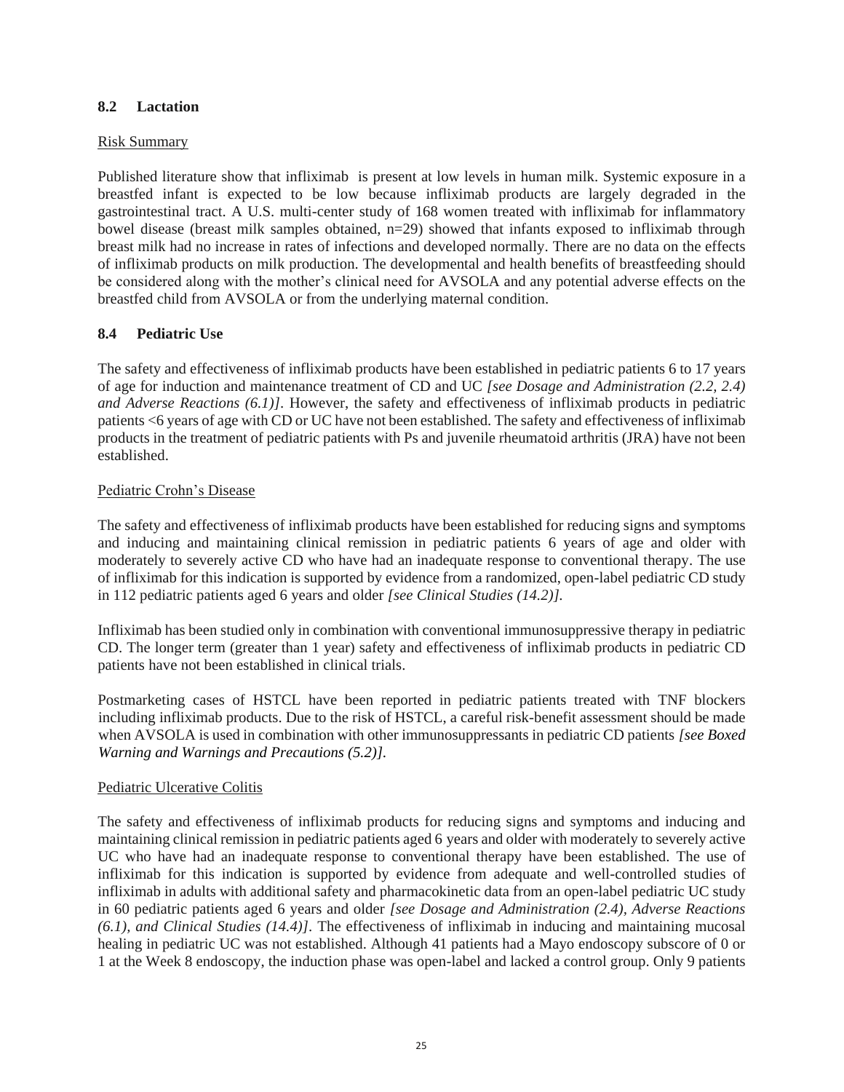### **8.2 Lactation**

#### Risk Summary

Published literature show that infliximab is present at low levels in human milk. Systemic exposure in a breastfed infant is expected to be low because infliximab products are largely degraded in the gastrointestinal tract. A U.S. multi-center study of 168 women treated with infliximab for inflammatory bowel disease (breast milk samples obtained, n=29) showed that infants exposed to infliximab through breast milk had no increase in rates of infections and developed normally. There are no data on the effects of infliximab products on milk production. The developmental and health benefits of breastfeeding should be considered along with the mother's clinical need for AVSOLA and any potential adverse effects on the breastfed child from AVSOLA or from the underlying maternal condition.

### **8.4 Pediatric Use**

The safety and effectiveness of infliximab products have been established in pediatric patients 6 to 17 years of age for induction and maintenance treatment of CD and UC *[see Dosage and Administration (2.2, 2.4) and Adverse Reactions (6.1)]*. However, the safety and effectiveness of infliximab products in pediatric patients <6 years of age with CD or UC have not been established. The safety and effectiveness of infliximab products in the treatment of pediatric patients with Ps and juvenile rheumatoid arthritis (JRA) have not been established.

### Pediatric Crohn's Disease

The safety and effectiveness of infliximab products have been established for reducing signs and symptoms and inducing and maintaining clinical remission in pediatric patients 6 years of age and older with moderately to severely active CD who have had an inadequate response to conventional therapy. The use of infliximab for this indication is supported by evidence from a randomized, open-label pediatric CD study in 112 pediatric patients aged 6 years and older *[see Clinical Studies (14.2)].*

Infliximab has been studied only in combination with conventional immunosuppressive therapy in pediatric CD. The longer term (greater than 1 year) safety and effectiveness of infliximab products in pediatric CD patients have not been established in clinical trials.

Postmarketing cases of HSTCL have been reported in pediatric patients treated with TNF blockers including infliximab products. Due to the risk of HSTCL, a careful risk-benefit assessment should be made when AVSOLA is used in combination with other immunosuppressants in pediatric CD patients *[see Boxed Warning and Warnings and Precautions (5.2)].*

### Pediatric Ulcerative Colitis

The safety and effectiveness of infliximab products for reducing signs and symptoms and inducing and maintaining clinical remission in pediatric patients aged 6 years and older with moderately to severely active UC who have had an inadequate response to conventional therapy have been established. The use of infliximab for this indication is supported by evidence from adequate and well-controlled studies of infliximab in adults with additional safety and pharmacokinetic data from an open-label pediatric UC study in 60 pediatric patients aged 6 years and older *[see Dosage and Administration (2.4), Adverse Reactions (6.1), and Clinical Studies (14.4)]*. The effectiveness of infliximab in inducing and maintaining mucosal healing in pediatric UC was not established. Although 41 patients had a Mayo endoscopy subscore of 0 or 1 at the Week 8 endoscopy, the induction phase was open-label and lacked a control group. Only 9 patients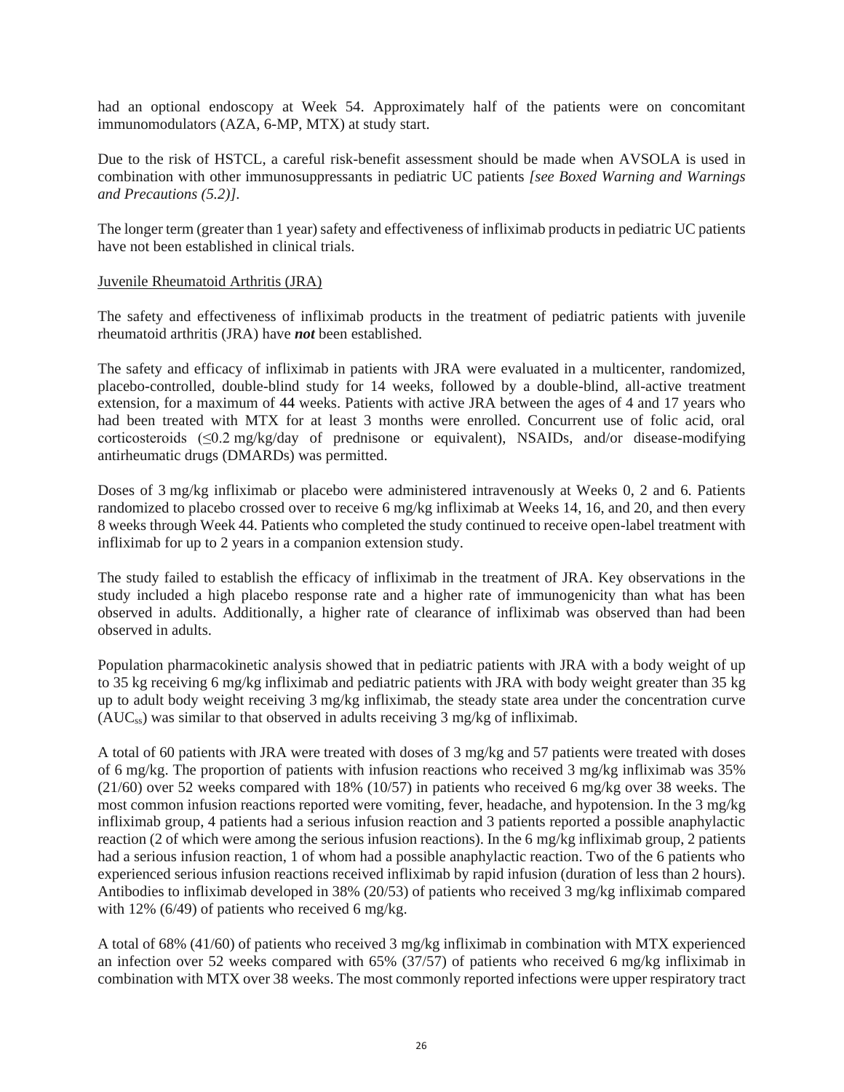had an optional endoscopy at Week 54. Approximately half of the patients were on concomitant immunomodulators (AZA, 6-MP, MTX) at study start.

Due to the risk of HSTCL, a careful risk-benefit assessment should be made when AVSOLA is used in combination with other immunosuppressants in pediatric UC patients *[see Boxed Warning and Warnings and Precautions (5.2)].*

The longer term (greater than 1 year) safety and effectiveness of infliximab products in pediatric UC patients have not been established in clinical trials.

#### Juvenile Rheumatoid Arthritis (JRA)

The safety and effectiveness of infliximab products in the treatment of pediatric patients with juvenile rheumatoid arthritis (JRA) have *not* been established.

The safety and efficacy of infliximab in patients with JRA were evaluated in a multicenter, randomized, placebo-controlled, double-blind study for 14 weeks, followed by a double-blind, all-active treatment extension, for a maximum of 44 weeks. Patients with active JRA between the ages of 4 and 17 years who had been treated with MTX for at least 3 months were enrolled. Concurrent use of folic acid, oral corticosteroids (≤0.2 mg/kg/day of prednisone or equivalent), NSAIDs, and/or disease-modifying antirheumatic drugs (DMARDs) was permitted.

Doses of 3 mg/kg infliximab or placebo were administered intravenously at Weeks 0, 2 and 6. Patients randomized to placebo crossed over to receive 6 mg/kg infliximab at Weeks 14, 16, and 20, and then every 8 weeks through Week 44. Patients who completed the study continued to receive open-label treatment with infliximab for up to 2 years in a companion extension study.

The study failed to establish the efficacy of infliximab in the treatment of JRA. Key observations in the study included a high placebo response rate and a higher rate of immunogenicity than what has been observed in adults. Additionally, a higher rate of clearance of infliximab was observed than had been observed in adults.

Population pharmacokinetic analysis showed that in pediatric patients with JRA with a body weight of up to 35 kg receiving 6 mg/kg infliximab and pediatric patients with JRA with body weight greater than 35 kg up to adult body weight receiving 3 mg/kg infliximab, the steady state area under the concentration curve  $(AUC_{ss})$  was similar to that observed in adults receiving 3 mg/kg of infliximab.

A total of 60 patients with JRA were treated with doses of 3 mg/kg and 57 patients were treated with doses of 6 mg/kg. The proportion of patients with infusion reactions who received 3 mg/kg infliximab was 35% (21/60) over 52 weeks compared with 18% (10/57) in patients who received 6 mg/kg over 38 weeks. The most common infusion reactions reported were vomiting, fever, headache, and hypotension. In the 3 mg/kg infliximab group, 4 patients had a serious infusion reaction and 3 patients reported a possible anaphylactic reaction (2 of which were among the serious infusion reactions). In the 6 mg/kg infliximab group, 2 patients had a serious infusion reaction, 1 of whom had a possible anaphylactic reaction. Two of the 6 patients who experienced serious infusion reactions received infliximab by rapid infusion (duration of less than 2 hours). Antibodies to infliximab developed in 38% (20/53) of patients who received 3 mg/kg infliximab compared with 12% (6/49) of patients who received 6 mg/kg.

A total of 68% (41/60) of patients who received 3 mg/kg infliximab in combination with MTX experienced an infection over 52 weeks compared with 65% (37/57) of patients who received 6 mg/kg infliximab in combination with MTX over 38 weeks. The most commonly reported infections were upper respiratory tract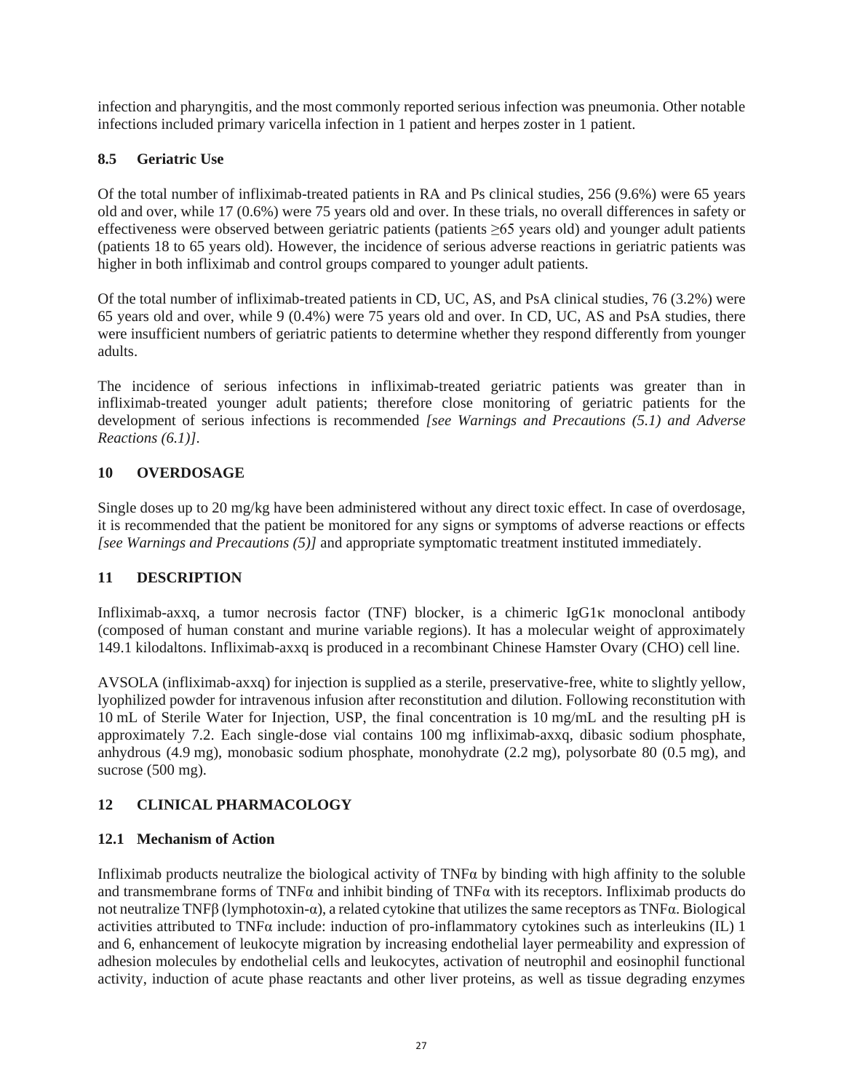infection and pharyngitis, and the most commonly reported serious infection was pneumonia. Other notable infections included primary varicella infection in 1 patient and herpes zoster in 1 patient.

# **8.5 Geriatric Use**

Of the total number of infliximab-treated patients in RA and Ps clinical studies, 256 (9.6%) were 65 years old and over, while 17 (0.6%) were 75 years old and over. In these trials, no overall differences in safety or effectiveness were observed between geriatric patients (patients ≥65 years old) and younger adult patients (patients 18 to 65 years old). However, the incidence of serious adverse reactions in geriatric patients was higher in both infliximab and control groups compared to younger adult patients.

Of the total number of infliximab-treated patients in CD, UC, AS, and PsA clinical studies, 76 (3.2%) were 65 years old and over, while 9 (0.4%) were 75 years old and over. In CD, UC, AS and PsA studies, there were insufficient numbers of geriatric patients to determine whether they respond differently from younger adults.

The incidence of serious infections in infliximab-treated geriatric patients was greater than in infliximab-treated younger adult patients; therefore close monitoring of geriatric patients for the development of serious infections is recommended *[see Warnings and Precautions (5.1) and Adverse Reactions (6.1)]*.

# **10 OVERDOSAGE**

Single doses up to 20 mg/kg have been administered without any direct toxic effect. In case of overdosage, it is recommended that the patient be monitored for any signs or symptoms of adverse reactions or effects *[see Warnings and Precautions (5)]* and appropriate symptomatic treatment instituted immediately.

# **11 DESCRIPTION**

Infliximab-axxq, a tumor necrosis factor (TNF) blocker, is a chimeric IgG1κ monoclonal antibody (composed of human constant and murine variable regions). It has a molecular weight of approximately 149.1 kilodaltons. Infliximab-axxq is produced in a recombinant Chinese Hamster Ovary (CHO) cell line.

AVSOLA (infliximab-axxq) for injection is supplied as a sterile, preservative-free, white to slightly yellow, lyophilized powder for intravenous infusion after reconstitution and dilution. Following reconstitution with 10 mL of Sterile Water for Injection, USP, the final concentration is 10 mg/mL and the resulting pH is approximately 7.2. Each single-dose vial contains 100 mg infliximab-axxq, dibasic sodium phosphate, anhydrous (4.9 mg), monobasic sodium phosphate, monohydrate (2.2 mg), polysorbate 80 (0.5 mg), and sucrose (500 mg).

# **12 CLINICAL PHARMACOLOGY**

# **12.1 Mechanism of Action**

Infliximab products neutralize the biological activity of TNFα by binding with high affinity to the soluble and transmembrane forms of TNF $\alpha$  and inhibit binding of TNF $\alpha$  with its receptors. Infliximab products do not neutralize TNFβ (lymphotoxin-α), a related cytokine that utilizes the same receptors as TNFα. Biological activities attributed to TNFα include: induction of pro-inflammatory cytokines such as interleukins (IL) 1 and 6, enhancement of leukocyte migration by increasing endothelial layer permeability and expression of adhesion molecules by endothelial cells and leukocytes, activation of neutrophil and eosinophil functional activity, induction of acute phase reactants and other liver proteins, as well as tissue degrading enzymes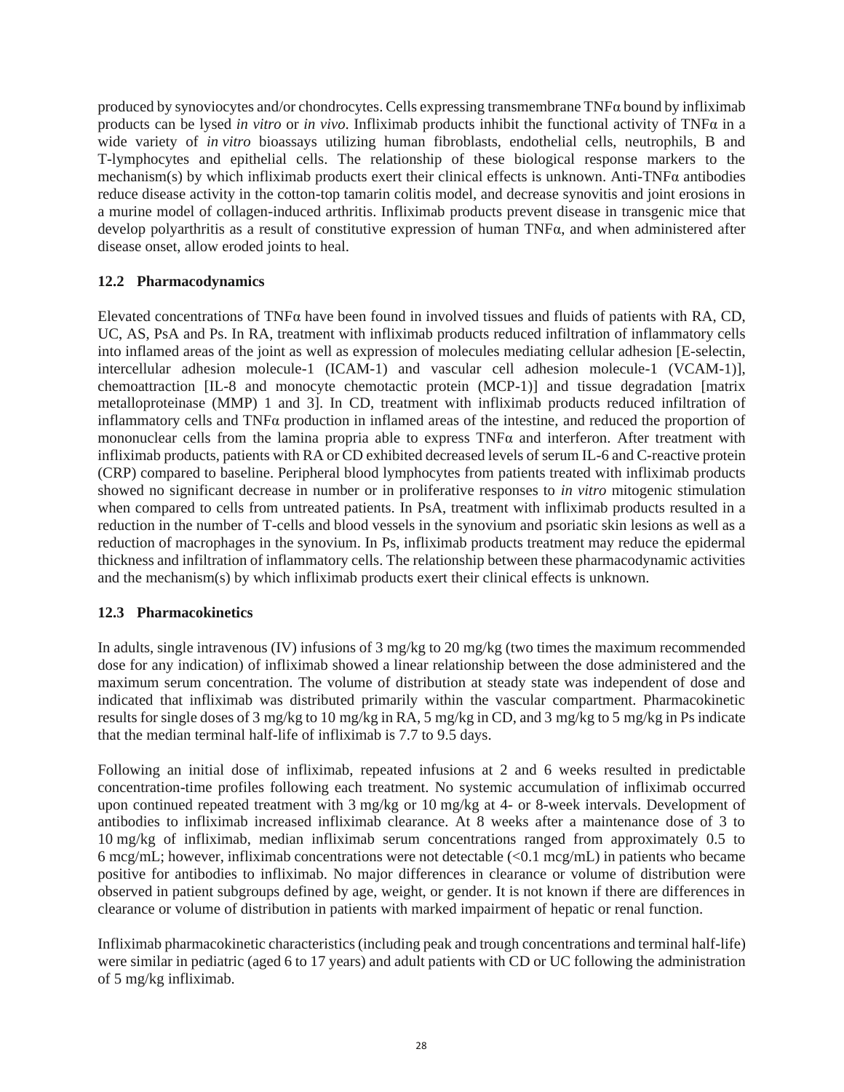produced by synoviocytes and/or chondrocytes. Cells expressing transmembrane TNFα bound by infliximab products can be lysed *in vitro* or *in vivo*. Infliximab products inhibit the functional activity of TNFα in a wide variety of *in vitro* bioassays utilizing human fibroblasts, endothelial cells, neutrophils, B and T-lymphocytes and epithelial cells. The relationship of these biological response markers to the mechanism(s) by which infliximab products exert their clinical effects is unknown. Anti-TNFα antibodies reduce disease activity in the cotton-top tamarin colitis model, and decrease synovitis and joint erosions in a murine model of collagen-induced arthritis. Infliximab products prevent disease in transgenic mice that develop polyarthritis as a result of constitutive expression of human TNFα, and when administered after disease onset, allow eroded joints to heal.

### **12.2 Pharmacodynamics**

Elevated concentrations of TNF $\alpha$  have been found in involved tissues and fluids of patients with RA, CD, UC, AS, PsA and Ps. In RA, treatment with infliximab products reduced infiltration of inflammatory cells into inflamed areas of the joint as well as expression of molecules mediating cellular adhesion [E-selectin, intercellular adhesion molecule-1 (ICAM-1) and vascular cell adhesion molecule-1 (VCAM-1)], chemoattraction [IL-8 and monocyte chemotactic protein (MCP-1)] and tissue degradation [matrix metalloproteinase (MMP) 1 and 3]. In CD, treatment with infliximab products reduced infiltration of inflammatory cells and TNFα production in inflamed areas of the intestine, and reduced the proportion of mononuclear cells from the lamina propria able to express  $TNF\alpha$  and interferon. After treatment with infliximab products, patients with RA or CD exhibited decreased levels of serum IL-6 and C-reactive protein (CRP) compared to baseline. Peripheral blood lymphocytes from patients treated with infliximab products showed no significant decrease in number or in proliferative responses to *in vitro* mitogenic stimulation when compared to cells from untreated patients. In PsA, treatment with infliximab products resulted in a reduction in the number of T-cells and blood vessels in the synovium and psoriatic skin lesions as well as a reduction of macrophages in the synovium. In Ps, infliximab products treatment may reduce the epidermal thickness and infiltration of inflammatory cells. The relationship between these pharmacodynamic activities and the mechanism(s) by which infliximab products exert their clinical effects is unknown.

### **12.3 Pharmacokinetics**

In adults, single intravenous (IV) infusions of 3 mg/kg to 20 mg/kg (two times the maximum recommended dose for any indication) of infliximab showed a linear relationship between the dose administered and the maximum serum concentration. The volume of distribution at steady state was independent of dose and indicated that infliximab was distributed primarily within the vascular compartment. Pharmacokinetic results for single doses of 3 mg/kg to 10 mg/kg in RA, 5 mg/kg in CD, and 3 mg/kg to 5 mg/kg in Ps indicate that the median terminal half-life of infliximab is 7.7 to 9.5 days.

Following an initial dose of infliximab, repeated infusions at 2 and 6 weeks resulted in predictable concentration-time profiles following each treatment. No systemic accumulation of infliximab occurred upon continued repeated treatment with 3 mg/kg or 10 mg/kg at 4- or 8-week intervals. Development of antibodies to infliximab increased infliximab clearance. At 8 weeks after a maintenance dose of 3 to 10 mg/kg of infliximab, median infliximab serum concentrations ranged from approximately 0.5 to 6 mcg/mL; however, infliximab concentrations were not detectable (<0.1 mcg/mL) in patients who became positive for antibodies to infliximab. No major differences in clearance or volume of distribution were observed in patient subgroups defined by age, weight, or gender. It is not known if there are differences in clearance or volume of distribution in patients with marked impairment of hepatic or renal function.

Infliximab pharmacokinetic characteristics (including peak and trough concentrations and terminal half-life) were similar in pediatric (aged 6 to 17 years) and adult patients with CD or UC following the administration of 5 mg/kg infliximab.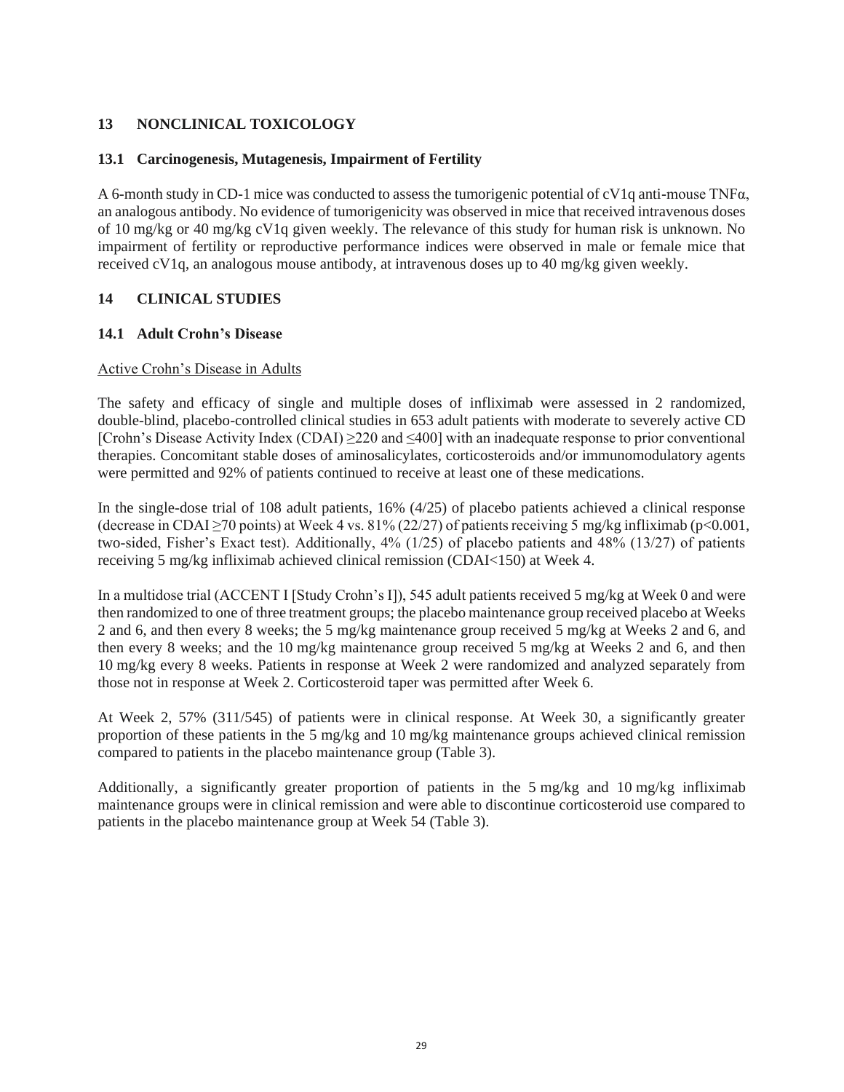# **13 NONCLINICAL TOXICOLOGY**

### **13.1 Carcinogenesis, Mutagenesis, Impairment of Fertility**

A 6-month study in CD-1 mice was conducted to assess the tumorigenic potential of cV1q anti-mouse TNFα, an analogous antibody. No evidence of tumorigenicity was observed in mice that received intravenous doses of 10 mg/kg or 40 mg/kg cV1q given weekly. The relevance of this study for human risk is unknown. No impairment of fertility or reproductive performance indices were observed in male or female mice that received cV1q, an analogous mouse antibody, at intravenous doses up to 40 mg/kg given weekly.

# **14 CLINICAL STUDIES**

### **14.1 Adult Crohn's Disease**

### Active Crohn's Disease in Adults

The safety and efficacy of single and multiple doses of infliximab were assessed in 2 randomized, double-blind, placebo-controlled clinical studies in 653 adult patients with moderate to severely active CD [Crohn's Disease Activity Index (CDAI) ≥220 and ≤400] with an inadequate response to prior conventional therapies. Concomitant stable doses of aminosalicylates, corticosteroids and/or immunomodulatory agents were permitted and 92% of patients continued to receive at least one of these medications.

In the single-dose trial of 108 adult patients, 16% (4/25) of placebo patients achieved a clinical response (decrease in CDAI  $\geq$ 70 points) at Week 4 vs. 81% (22/27) of patients receiving 5 mg/kg infliximab (p<0.001, two-sided, Fisher's Exact test). Additionally, 4% (1/25) of placebo patients and 48% (13/27) of patients receiving 5 mg/kg infliximab achieved clinical remission (CDAI<150) at Week 4.

In a multidose trial (ACCENT I [Study Crohn's I]), 545 adult patients received 5 mg/kg at Week 0 and were then randomized to one of three treatment groups; the placebo maintenance group received placebo at Weeks 2 and 6, and then every 8 weeks; the 5 mg/kg maintenance group received 5 mg/kg at Weeks 2 and 6, and then every 8 weeks; and the 10 mg/kg maintenance group received 5 mg/kg at Weeks 2 and 6, and then 10 mg/kg every 8 weeks. Patients in response at Week 2 were randomized and analyzed separately from those not in response at Week 2. Corticosteroid taper was permitted after Week 6.

At Week 2, 57% (311/545) of patients were in clinical response. At Week 30, a significantly greater proportion of these patients in the 5 mg/kg and 10 mg/kg maintenance groups achieved clinical remission compared to patients in the placebo maintenance group (Table 3).

Additionally, a significantly greater proportion of patients in the 5 mg/kg and 10 mg/kg infliximab maintenance groups were in clinical remission and were able to discontinue corticosteroid use compared to patients in the placebo maintenance group at Week 54 (Table 3).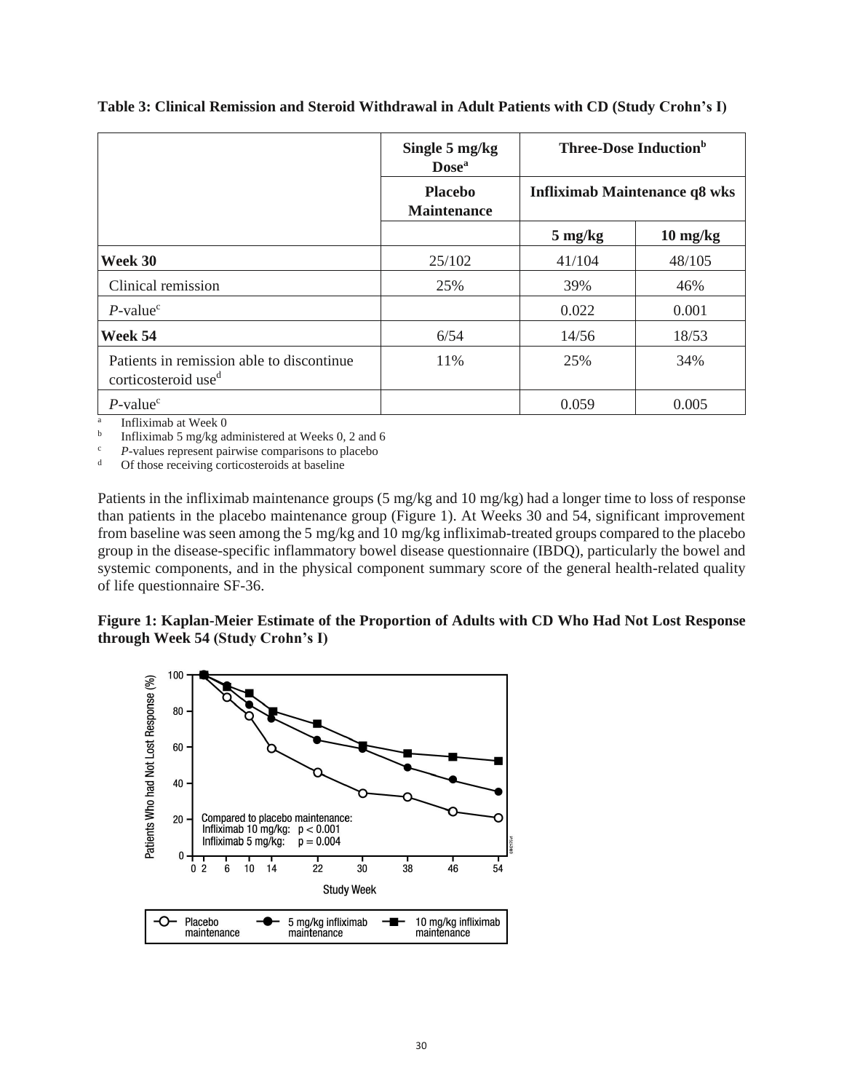|                                                                              | Single 5 mg/kg<br><b>Dose</b> <sup>a</sup> | <b>Three-Dose Induction</b> <sup>b</sup>              |                                      |  |  |
|------------------------------------------------------------------------------|--------------------------------------------|-------------------------------------------------------|--------------------------------------|--|--|
|                                                                              | <b>Placebo</b><br><b>Maintenance</b>       |                                                       | <b>Infliximab Maintenance q8 wks</b> |  |  |
|                                                                              |                                            | $5 \text{ mg/kg}$<br>$10 \frac{\text{mg}}{\text{kg}}$ |                                      |  |  |
| Week 30                                                                      | 25/102                                     | 41/104                                                | 48/105                               |  |  |
| Clinical remission                                                           | 25%                                        | 39%                                                   | 46%                                  |  |  |
| $P$ -value <sup>c</sup>                                                      |                                            | 0.022                                                 | 0.001                                |  |  |
| Week 54                                                                      | 6/54                                       | 14/56                                                 | 18/53                                |  |  |
| Patients in remission able to discontinue<br>corticosteroid use <sup>d</sup> | 11%                                        | 25%                                                   | 34%                                  |  |  |
| $P$ -value <sup>c</sup>                                                      |                                            | 0.059                                                 | 0.005                                |  |  |

**Table 3: Clinical Remission and Steroid Withdrawal in Adult Patients with CD (Study Crohn's I)**

a Infliximab at Week 0

b Infliximab 5 mg/kg administered at Weeks 0, 2 and 6

<sup>c</sup> *P*-values represent pairwise comparisons to placebo  $\frac{d}{dx}$  Of those receiving corticosteroids at baseline

Of those receiving corticosteroids at baseline

Patients in the infliximab maintenance groups (5 mg/kg and 10 mg/kg) had a longer time to loss of response than patients in the placebo maintenance group (Figure 1). At Weeks 30 and 54, significant improvement from baseline was seen among the 5 mg/kg and 10 mg/kg infliximab-treated groups compared to the placebo group in the disease-specific inflammatory bowel disease questionnaire (IBDQ), particularly the bowel and systemic components, and in the physical component summary score of the general health-related quality of life questionnaire SF-36.

### **Figure 1: Kaplan-Meier Estimate of the Proportion of Adults with CD Who Had Not Lost Response through Week 54 (Study Crohn's I)**

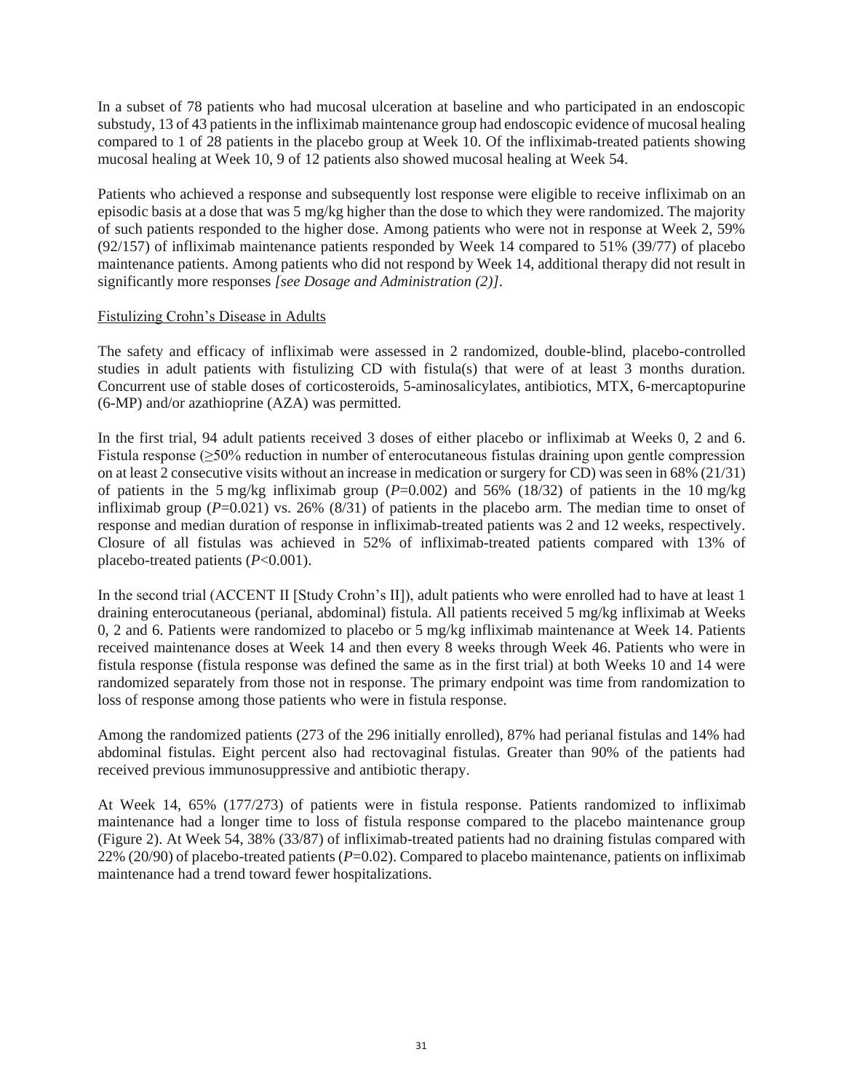In a subset of 78 patients who had mucosal ulceration at baseline and who participated in an endoscopic substudy, 13 of 43 patients in the infliximab maintenance group had endoscopic evidence of mucosal healing compared to 1 of 28 patients in the placebo group at Week 10. Of the infliximab-treated patients showing mucosal healing at Week 10, 9 of 12 patients also showed mucosal healing at Week 54.

Patients who achieved a response and subsequently lost response were eligible to receive infliximab on an episodic basis at a dose that was 5 mg/kg higher than the dose to which they were randomized. The majority of such patients responded to the higher dose. Among patients who were not in response at Week 2, 59%  $(92/157)$  of infliximab maintenance patients responded by Week 14 compared to 51% (39/77) of placebo maintenance patients. Among patients who did not respond by Week 14, additional therapy did not result in significantly more responses *[see Dosage and Administration (2)]*.

### Fistulizing Crohn's Disease in Adults

The safety and efficacy of infliximab were assessed in 2 randomized, double-blind, placebo-controlled studies in adult patients with fistulizing CD with fistula(s) that were of at least 3 months duration. Concurrent use of stable doses of corticosteroids, 5-aminosalicylates, antibiotics, MTX, 6-mercaptopurine (6-MP) and/or azathioprine (AZA) was permitted.

In the first trial, 94 adult patients received 3 doses of either placebo or infliximab at Weeks 0, 2 and 6. Fistula response (≥50% reduction in number of enterocutaneous fistulas draining upon gentle compression on at least 2 consecutive visits without an increase in medication or surgery for CD) was seen in 68% (21/31) of patients in the 5 mg/kg infliximab group  $(P=0.002)$  and 56%  $(18/32)$  of patients in the 10 mg/kg infliximab group (*P*=0.021) vs. 26% (8/31) of patients in the placebo arm. The median time to onset of response and median duration of response in infliximab-treated patients was 2 and 12 weeks, respectively. Closure of all fistulas was achieved in 52% of infliximab-treated patients compared with 13% of placebo-treated patients (*P*<0.001).

In the second trial (ACCENT II [Study Crohn's II]), adult patients who were enrolled had to have at least 1 draining enterocutaneous (perianal, abdominal) fistula. All patients received 5 mg/kg infliximab at Weeks 0, 2 and 6. Patients were randomized to placebo or 5 mg/kg infliximab maintenance at Week 14. Patients received maintenance doses at Week 14 and then every 8 weeks through Week 46. Patients who were in fistula response (fistula response was defined the same as in the first trial) at both Weeks 10 and 14 were randomized separately from those not in response. The primary endpoint was time from randomization to loss of response among those patients who were in fistula response.

Among the randomized patients (273 of the 296 initially enrolled), 87% had perianal fistulas and 14% had abdominal fistulas. Eight percent also had rectovaginal fistulas. Greater than 90% of the patients had received previous immunosuppressive and antibiotic therapy.

At Week 14, 65% (177/273) of patients were in fistula response. Patients randomized to infliximab maintenance had a longer time to loss of fistula response compared to the placebo maintenance group (Figure 2). At Week 54, 38% (33/87) of infliximab-treated patients had no draining fistulas compared with 22% (20/90) of placebo-treated patients (*P*=0.02). Compared to placebo maintenance, patients on infliximab maintenance had a trend toward fewer hospitalizations.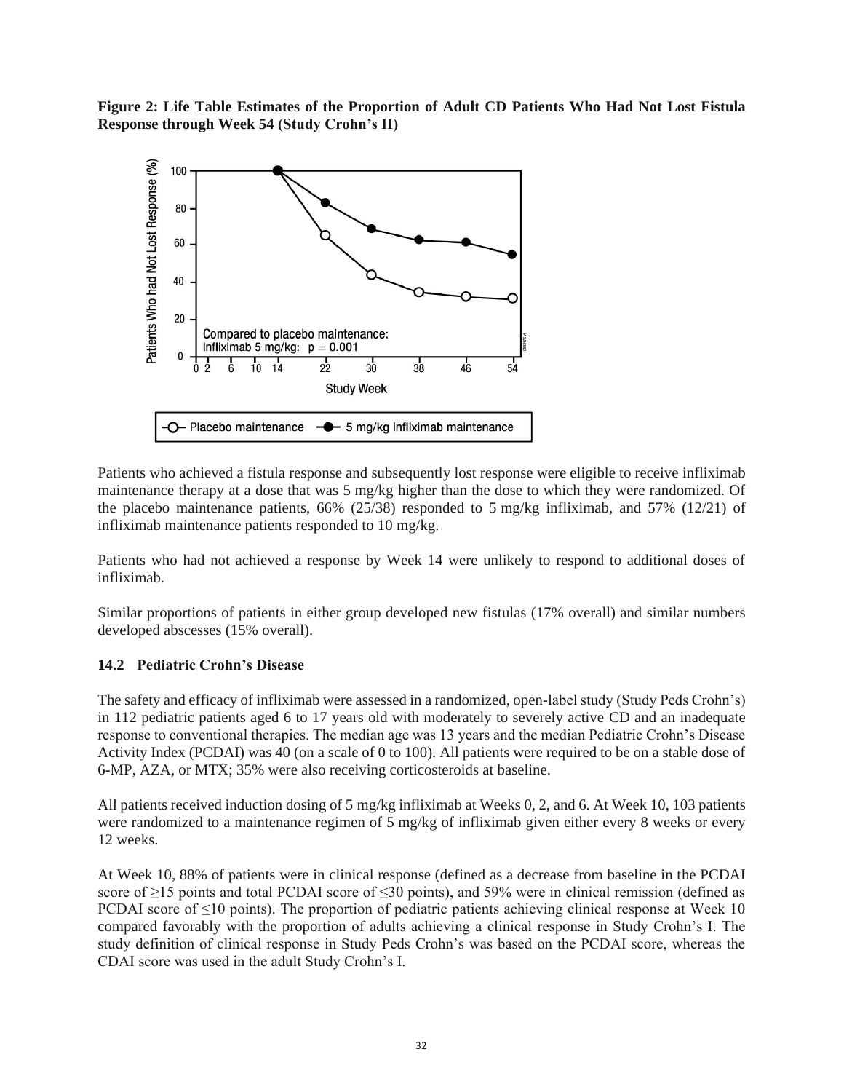**Figure 2: Life Table Estimates of the Proportion of Adult CD Patients Who Had Not Lost Fistula Response through Week 54 (Study Crohn's II)**



Patients who achieved a fistula response and subsequently lost response were eligible to receive infliximab maintenance therapy at a dose that was 5 mg/kg higher than the dose to which they were randomized. Of the placebo maintenance patients, 66% (25/38) responded to 5 mg/kg infliximab, and 57% (12/21) of infliximab maintenance patients responded to 10 mg/kg.

Patients who had not achieved a response by Week 14 were unlikely to respond to additional doses of infliximab.

Similar proportions of patients in either group developed new fistulas (17% overall) and similar numbers developed abscesses (15% overall).

#### **14.2 Pediatric Crohn's Disease**

The safety and efficacy of infliximab were assessed in a randomized, open-label study (Study Peds Crohn's) in 112 pediatric patients aged 6 to 17 years old with moderately to severely active CD and an inadequate response to conventional therapies. The median age was 13 years and the median Pediatric Crohn's Disease Activity Index (PCDAI) was 40 (on a scale of 0 to 100). All patients were required to be on a stable dose of 6-MP, AZA, or MTX; 35% were also receiving corticosteroids at baseline.

All patients received induction dosing of 5 mg/kg infliximab at Weeks 0, 2, and 6. At Week 10, 103 patients were randomized to a maintenance regimen of 5 mg/kg of infliximab given either every 8 weeks or every 12 weeks.

At Week 10, 88% of patients were in clinical response (defined as a decrease from baseline in the PCDAI score of >15 points and total PCDAI score of <30 points), and 59% were in clinical remission (defined as PCDAI score of  $\leq 10$  points). The proportion of pediatric patients achieving clinical response at Week 10 compared favorably with the proportion of adults achieving a clinical response in Study Crohn's I. The study definition of clinical response in Study Peds Crohn's was based on the PCDAI score, whereas the CDAI score was used in the adult Study Crohn's I.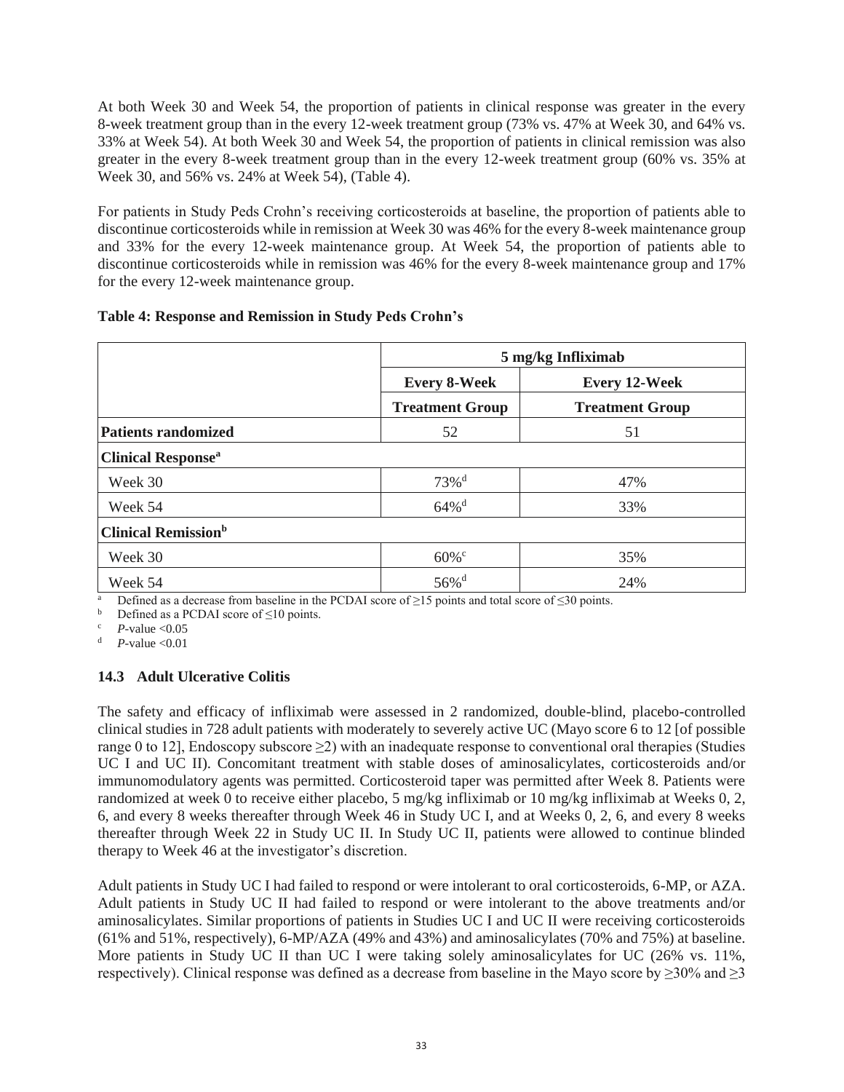At both Week 30 and Week 54, the proportion of patients in clinical response was greater in the every 8-week treatment group than in the every 12-week treatment group (73% vs. 47% at Week 30, and 64% vs. 33% at Week 54). At both Week 30 and Week 54, the proportion of patients in clinical remission was also greater in the every 8-week treatment group than in the every 12-week treatment group (60% vs. 35% at Week 30, and 56% vs. 24% at Week 54), (Table 4).

For patients in Study Peds Crohn's receiving corticosteroids at baseline, the proportion of patients able to discontinue corticosteroids while in remission at Week 30 was 46% for the every 8-week maintenance group and 33% for the every 12-week maintenance group. At Week 54, the proportion of patients able to discontinue corticosteroids while in remission was 46% for the every 8-week maintenance group and 17% for the every 12-week maintenance group.

### **Table 4: Response and Remission in Study Peds Crohn's**

|                                       |                        | 5 mg/kg Infliximab     |
|---------------------------------------|------------------------|------------------------|
|                                       | <b>Every 8-Week</b>    | <b>Every 12-Week</b>   |
|                                       | <b>Treatment Group</b> | <b>Treatment Group</b> |
| <b>Patients randomized</b>            | 52                     | 51                     |
| <b>Clinical Response</b> <sup>a</sup> |                        |                        |
| Week 30                               | $73%$ <sup>d</sup>     | 47%                    |
| Week 54                               | $64\%$ <sup>d</sup>    | 33%                    |
| <b>Clinical Remission</b> b           |                        |                        |
| Week 30                               | $60\%$ <sup>c</sup>    | 35%                    |
| Week 54                               | $56\%$ <sup>d</sup>    | 24%                    |

<sup>a</sup> Defined as a decrease from baseline in the PCDAI score of  $\geq$ 15 points and total score of  $\leq$ 30 points.

Defined as a PCDAI score of  $\leq 10$  points.

 $P$ -value < $0.05$ 

*P*-value <0.01

### **14.3 Adult Ulcerative Colitis**

The safety and efficacy of infliximab were assessed in 2 randomized, double-blind, placebo-controlled clinical studies in 728 adult patients with moderately to severely active UC (Mayo score 6 to 12 [of possible range 0 to 12], Endoscopy subscore ≥2) with an inadequate response to conventional oral therapies (Studies UC I and UC II). Concomitant treatment with stable doses of aminosalicylates, corticosteroids and/or immunomodulatory agents was permitted. Corticosteroid taper was permitted after Week 8. Patients were randomized at week 0 to receive either placebo, 5 mg/kg infliximab or 10 mg/kg infliximab at Weeks 0, 2, 6, and every 8 weeks thereafter through Week 46 in Study UC I, and at Weeks 0, 2, 6, and every 8 weeks thereafter through Week 22 in Study UC II. In Study UC II, patients were allowed to continue blinded therapy to Week 46 at the investigator's discretion.

Adult patients in Study UC I had failed to respond or were intolerant to oral corticosteroids, 6-MP, or AZA. Adult patients in Study UC II had failed to respond or were intolerant to the above treatments and/or aminosalicylates. Similar proportions of patients in Studies UC I and UC II were receiving corticosteroids (61% and 51%, respectively), 6-MP/AZA (49% and 43%) and aminosalicylates (70% and 75%) at baseline. More patients in Study UC II than UC I were taking solely aminosalicylates for UC (26% vs. 11%, respectively). Clinical response was defined as a decrease from baseline in the Mayo score by  $\geq$ 30% and  $\geq$ 3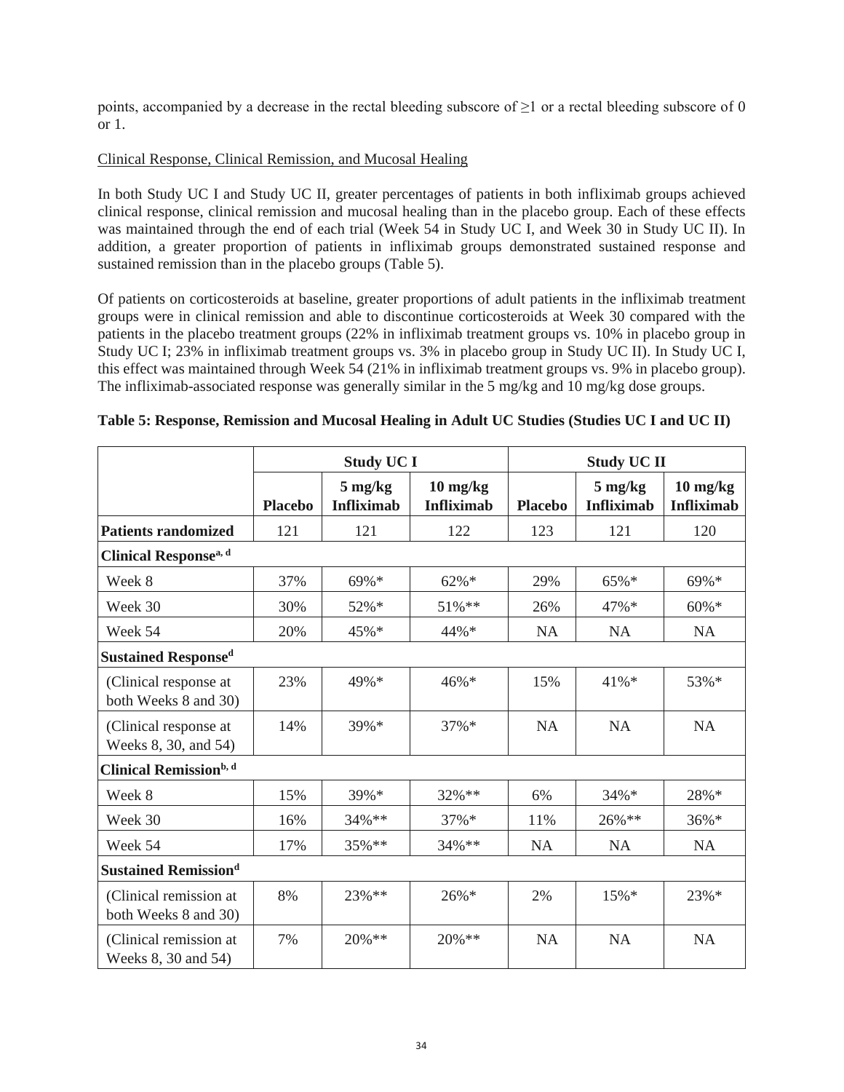points, accompanied by a decrease in the rectal bleeding subscore of ≥1 or a rectal bleeding subscore of 0 or 1.

### Clinical Response, Clinical Remission, and Mucosal Healing

In both Study UC I and Study UC II, greater percentages of patients in both infliximab groups achieved clinical response, clinical remission and mucosal healing than in the placebo group. Each of these effects was maintained through the end of each trial (Week 54 in Study UC I, and Week 30 in Study UC II). In addition, a greater proportion of patients in infliximab groups demonstrated sustained response and sustained remission than in the placebo groups (Table 5).

Of patients on corticosteroids at baseline, greater proportions of adult patients in the infliximab treatment groups were in clinical remission and able to discontinue corticosteroids at Week 30 compared with the patients in the placebo treatment groups (22% in infliximab treatment groups vs. 10% in placebo group in Study UC I; 23% in infliximab treatment groups vs. 3% in placebo group in Study UC II). In Study UC I, this effect was maintained through Week 54 (21% in infliximab treatment groups vs. 9% in placebo group). The infliximab-associated response was generally similar in the 5 mg/kg and 10 mg/kg dose groups.

|                                                | <b>Study UC I</b> |                                        |                                         | <b>Study UC II</b> |                                        |                                                       |  |
|------------------------------------------------|-------------------|----------------------------------------|-----------------------------------------|--------------------|----------------------------------------|-------------------------------------------------------|--|
|                                                | <b>Placebo</b>    | $5 \text{ mg/kg}$<br><b>Infliximab</b> | $10 \text{ mg/kg}$<br><b>Infliximab</b> | <b>Placebo</b>     | $5 \text{ mg/kg}$<br><b>Infliximab</b> | $10 \frac{\text{mg}}{\text{kg}}$<br><b>Infliximab</b> |  |
| <b>Patients randomized</b>                     | 121               | 121                                    | 122                                     | 123                | 121                                    | 120                                                   |  |
| Clinical Response <sup>a, d</sup>              |                   |                                        |                                         |                    |                                        |                                                       |  |
| Week 8                                         | 37%               | 69%*                                   | $62\% *$                                | 29%                | 65%*                                   | 69%*                                                  |  |
| Week 30                                        | 30%               | 52%*                                   | 51%**                                   | 26%                | 47%*                                   | $60\% *$                                              |  |
| Week 54                                        | 20%               | 45%*                                   | 44%*                                    | NA                 | <b>NA</b>                              | <b>NA</b>                                             |  |
| <b>Sustained Responsed</b>                     |                   |                                        |                                         |                    |                                        |                                                       |  |
| (Clinical response at<br>both Weeks 8 and 30)  | 23%               | 49%*                                   | $46\% *$                                | 15%                | 41%*                                   | 53%*                                                  |  |
| (Clinical response at<br>Weeks 8, 30, and 54)  | 14%               | 39%*                                   | $37\%*$                                 | NA                 | <b>NA</b>                              | <b>NA</b>                                             |  |
| <b>Clinical Remission</b> b, d                 |                   |                                        |                                         |                    |                                        |                                                       |  |
| Week 8                                         | 15%               | 39%*                                   | 32%**                                   | 6%                 | 34%*                                   | 28%*                                                  |  |
| Week 30                                        | 16%               | 34%**                                  | 37%*                                    | 11%                | 26%**                                  | 36%*                                                  |  |
| Week 54                                        | 17%               | 35%**                                  | 34%**                                   | <b>NA</b>          | <b>NA</b>                              | <b>NA</b>                                             |  |
| <b>Sustained Remissiond</b>                    |                   |                                        |                                         |                    |                                        |                                                       |  |
| (Clinical remission at<br>both Weeks 8 and 30) | 8%                | 23%**                                  | 26%*                                    | 2%                 | 15%*                                   | 23%*                                                  |  |
| (Clinical remission at<br>Weeks 8, 30 and 54)  | 7%                | $20\%$ **                              | $20\%$ **                               | <b>NA</b>          | <b>NA</b>                              | <b>NA</b>                                             |  |

### **Table 5: Response, Remission and Mucosal Healing in Adult UC Studies (Studies UC I and UC II)**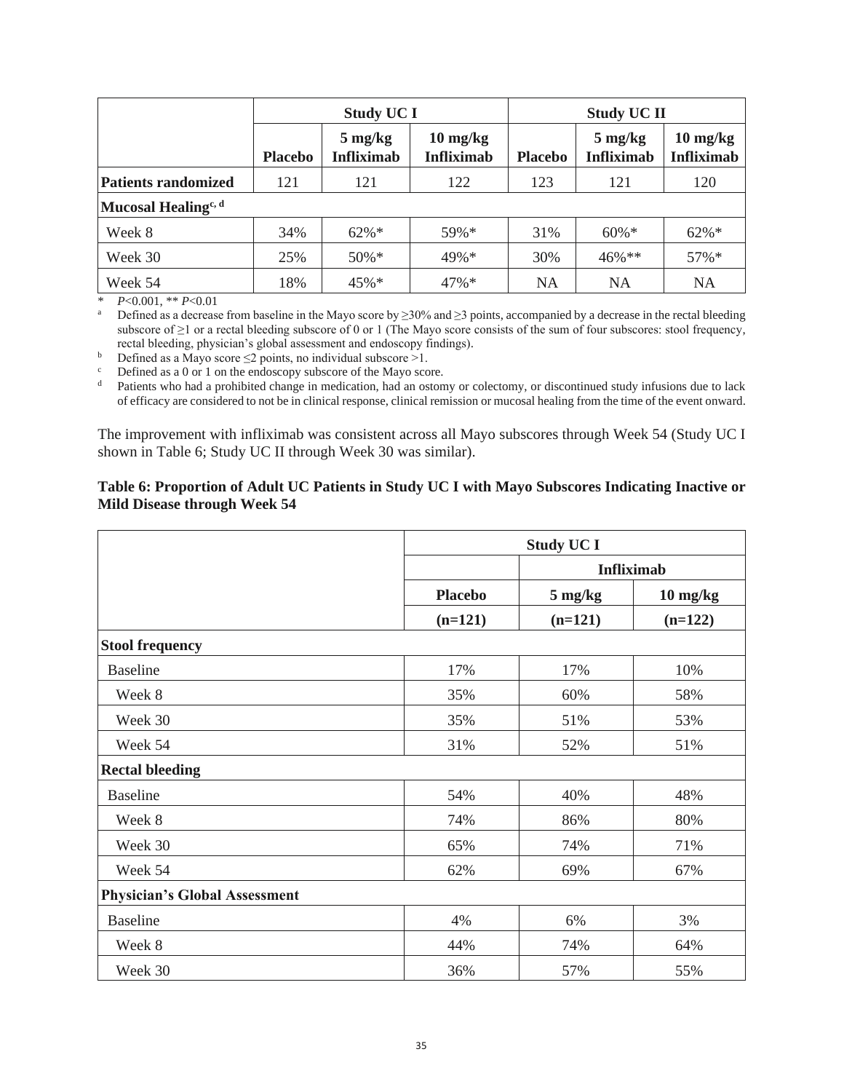|                                 | <b>Study UC I</b> |                                        |                                         | <b>Study UC II</b> |                                        |                                                       |  |
|---------------------------------|-------------------|----------------------------------------|-----------------------------------------|--------------------|----------------------------------------|-------------------------------------------------------|--|
|                                 | <b>Placebo</b>    | $5 \text{ mg/kg}$<br><b>Infliximab</b> | $10 \text{ mg/kg}$<br><b>Infliximab</b> | <b>Placebo</b>     | $5 \text{ mg/kg}$<br><b>Infliximab</b> | $10 \frac{\text{mg}}{\text{kg}}$<br><b>Infliximab</b> |  |
| <b>Patients randomized</b>      | 121               | 121                                    | 122                                     | 123                | 121                                    | 120                                                   |  |
| Mucosal Healing <sup>c, d</sup> |                   |                                        |                                         |                    |                                        |                                                       |  |
| Week 8                          | 34%               | $62\%*$                                | $59\%*$                                 | 31%                | $60\%$ *                               | $62\% *$                                              |  |
| Week 30                         | 25%               | 50%*                                   | 49%*                                    | 30%                | $46\%$ **                              | 57%*                                                  |  |
| Week 54                         | 18%               | $45\%*$                                | $47\%*$                                 | <b>NA</b>          | <b>NA</b>                              | <b>NA</b>                                             |  |

\* *P*<0.001, \*\* *P*<0.01

Defined as a decrease from baseline in the Mayo score by ≥30% and ≥3 points, accompanied by a decrease in the rectal bleeding subscore of ≥1 or a rectal bleeding subscore of 0 or 1 (The Mayo score consists of the sum of four subscores: stool frequency, rectal bleeding, physician's global assessment and endoscopy findings).

b Defined as a Mayo score  $\leq$ 2 points, no individual subscore  $>1$ .

<sup>c</sup> Defined as a 0 or 1 on the endoscopy subscore of the Mayo score.<br><sup>d</sup> Patients who had a probibited change in medication, had an oston

Patients who had a prohibited change in medication, had an ostomy or colectomy, or discontinued study infusions due to lack of efficacy are considered to not be in clinical response, clinical remission or mucosal healing from the time of the event onward.

The improvement with infliximab was consistent across all Mayo subscores through Week 54 (Study UC I shown in Table 6; Study UC II through Week 30 was similar).

### **Table 6: Proportion of Adult UC Patients in Study UC I with Mayo Subscores Indicating Inactive or Mild Disease through Week 54**

|                                      |                | <b>Study UC I</b> |                    |  |  |  |
|--------------------------------------|----------------|-------------------|--------------------|--|--|--|
|                                      |                | <b>Infliximab</b> |                    |  |  |  |
|                                      | <b>Placebo</b> | $5 \text{ mg/kg}$ | $10 \text{ mg/kg}$ |  |  |  |
|                                      | $(n=121)$      | $(n=121)$         | $(n=122)$          |  |  |  |
| <b>Stool frequency</b>               |                |                   |                    |  |  |  |
| <b>Baseline</b>                      | 17%            | 17%               | 10%                |  |  |  |
| Week 8                               | 35%            | 60%               | 58%                |  |  |  |
| Week 30                              | 35%            | 51%               | 53%                |  |  |  |
| Week 54                              | 31%            | 52%               | 51%                |  |  |  |
| <b>Rectal bleeding</b>               |                |                   |                    |  |  |  |
| <b>Baseline</b>                      | 54%            | 40%               | 48%                |  |  |  |
| Week 8                               | 74%            | 86%               | 80%                |  |  |  |
| Week 30                              | 65%            | 74%               | 71%                |  |  |  |
| Week 54                              | 62%            | 69%               | 67%                |  |  |  |
| <b>Physician's Global Assessment</b> |                |                   |                    |  |  |  |
| <b>Baseline</b>                      | 4%             | 6%                | 3%                 |  |  |  |
| Week 8                               | 44%            | 74%               | 64%                |  |  |  |
| Week 30                              | 36%            | 57%               | 55%                |  |  |  |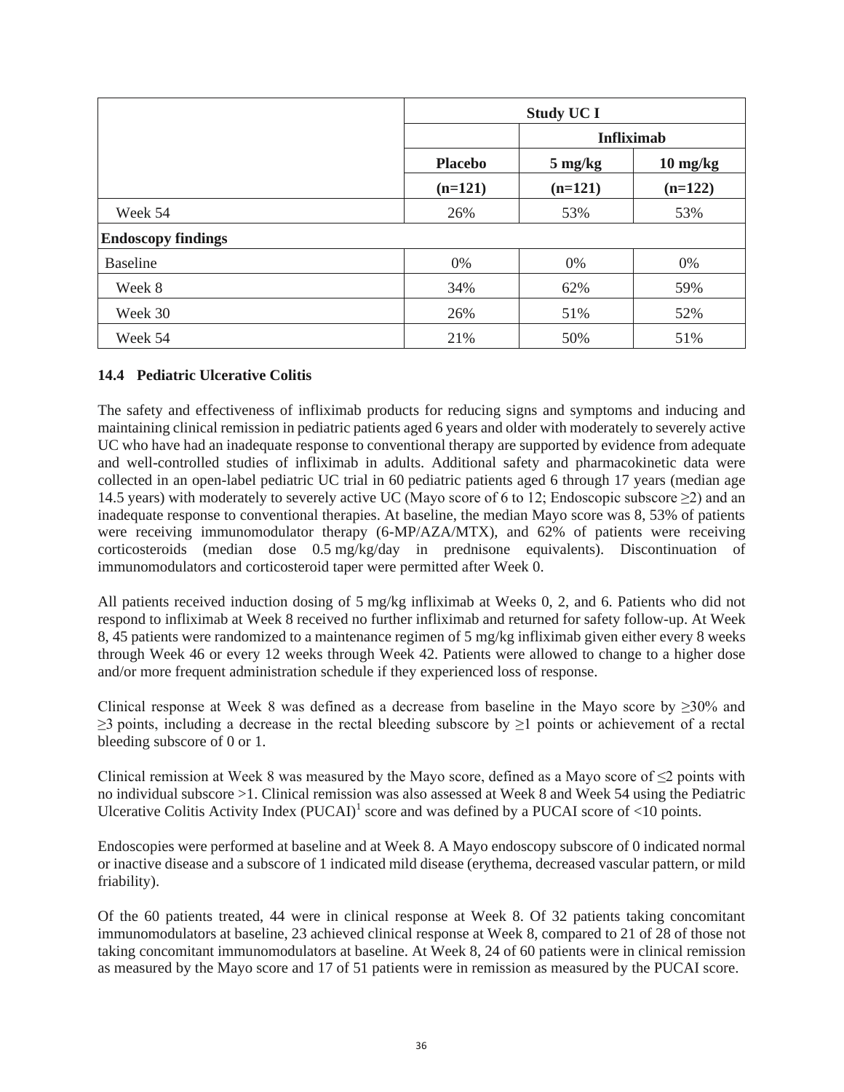|                           |                | <b>Study UC I</b> |                    |  |  |  |
|---------------------------|----------------|-------------------|--------------------|--|--|--|
|                           |                |                   | <b>Infliximab</b>  |  |  |  |
|                           | <b>Placebo</b> | $5 \text{ mg/kg}$ | $10 \text{ mg/kg}$ |  |  |  |
|                           | $(n=121)$      | $(n=121)$         | $(n=122)$          |  |  |  |
| Week 54                   | 26%            | 53%               | 53%                |  |  |  |
| <b>Endoscopy findings</b> |                |                   |                    |  |  |  |
| <b>Baseline</b>           | 0%             | 0%                | 0%                 |  |  |  |
| Week 8                    | 34%            | 62%               | 59%                |  |  |  |
| Week 30                   | 26%            | 51%               | 52%                |  |  |  |
| Week 54                   | 21%            | 50%               | 51%                |  |  |  |

# **14.4 Pediatric Ulcerative Colitis**

The safety and effectiveness of infliximab products for reducing signs and symptoms and inducing and maintaining clinical remission in pediatric patients aged 6 years and older with moderately to severely active UC who have had an inadequate response to conventional therapy are supported by evidence from adequate and well-controlled studies of infliximab in adults. Additional safety and pharmacokinetic data were collected in an open-label pediatric UC trial in 60 pediatric patients aged 6 through 17 years (median age 14.5 years) with moderately to severely active UC (Mayo score of 6 to 12; Endoscopic subscore  $\geq$ 2) and an inadequate response to conventional therapies. At baseline, the median Mayo score was 8, 53% of patients were receiving immunomodulator therapy (6-MP/AZA/MTX), and 62% of patients were receiving corticosteroids (median dose 0.5 mg/kg/day in prednisone equivalents). Discontinuation of immunomodulators and corticosteroid taper were permitted after Week 0.

All patients received induction dosing of 5 mg/kg infliximab at Weeks 0, 2, and 6. Patients who did not respond to infliximab at Week 8 received no further infliximab and returned for safety follow-up. At Week 8, 45 patients were randomized to a maintenance regimen of 5 mg/kg infliximab given either every 8 weeks through Week 46 or every 12 weeks through Week 42. Patients were allowed to change to a higher dose and/or more frequent administration schedule if they experienced loss of response.

Clinical response at Week 8 was defined as a decrease from baseline in the Mayo score by  $\geq$ 30% and  $\geq$ 3 points, including a decrease in the rectal bleeding subscore by  $\geq$ 1 points or achievement of a rectal bleeding subscore of 0 or 1.

Clinical remission at Week 8 was measured by the Mayo score, defined as a Mayo score of  $\leq 2$  points with no individual subscore >1. Clinical remission was also assessed at Week 8 and Week 54 using the Pediatric Ulcerative Colitis Activity Index (PUCAI)<sup>1</sup> score and was defined by a PUCAI score of <10 points.

Endoscopies were performed at baseline and at Week 8. A Mayo endoscopy subscore of 0 indicated normal or inactive disease and a subscore of 1 indicated mild disease (erythema, decreased vascular pattern, or mild friability).

Of the 60 patients treated, 44 were in clinical response at Week 8. Of 32 patients taking concomitant immunomodulators at baseline, 23 achieved clinical response at Week 8, compared to 21 of 28 of those not taking concomitant immunomodulators at baseline. At Week 8, 24 of 60 patients were in clinical remission as measured by the Mayo score and 17 of 51 patients were in remission as measured by the PUCAI score.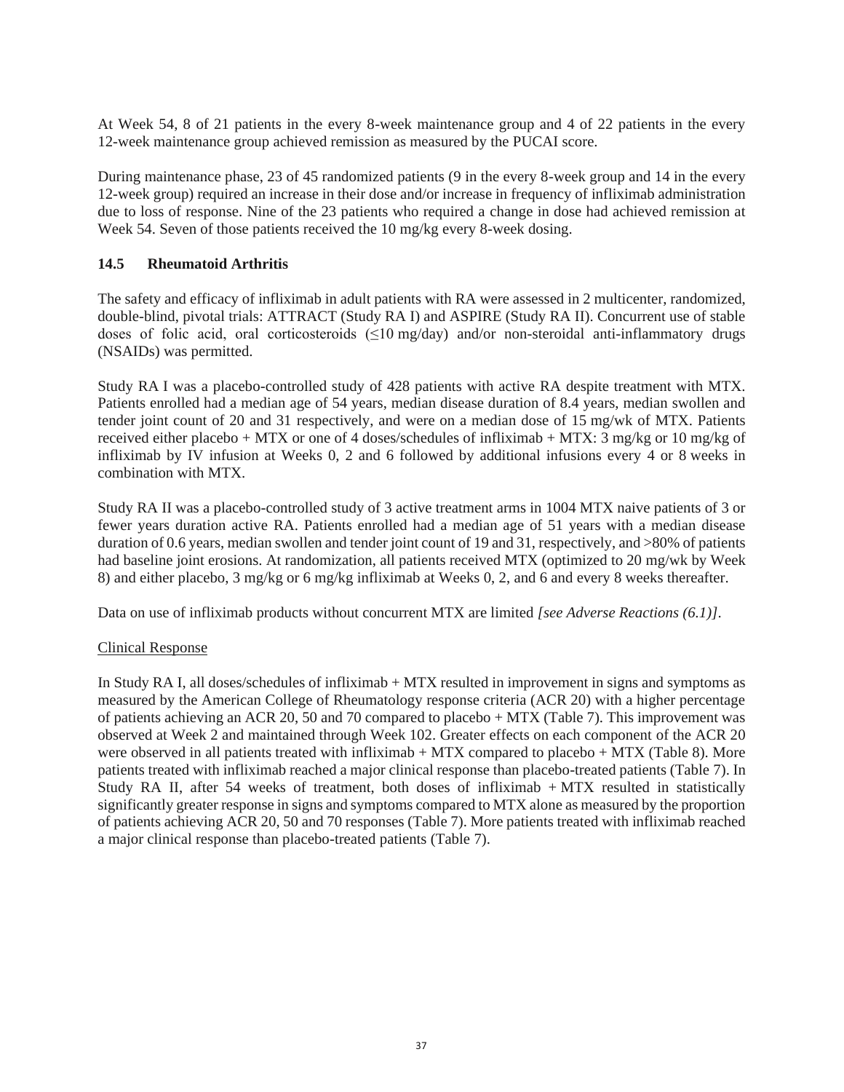At Week 54, 8 of 21 patients in the every 8-week maintenance group and 4 of 22 patients in the every 12-week maintenance group achieved remission as measured by the PUCAI score.

During maintenance phase, 23 of 45 randomized patients (9 in the every 8-week group and 14 in the every 12-week group) required an increase in their dose and/or increase in frequency of infliximab administration due to loss of response. Nine of the 23 patients who required a change in dose had achieved remission at Week 54. Seven of those patients received the 10 mg/kg every 8-week dosing.

### **14.5 Rheumatoid Arthritis**

The safety and efficacy of infliximab in adult patients with RA were assessed in 2 multicenter, randomized, double-blind, pivotal trials: ATTRACT (Study RA I) and ASPIRE (Study RA II). Concurrent use of stable doses of folic acid, oral corticosteroids (≤10 mg/day) and/or non-steroidal anti-inflammatory drugs (NSAIDs) was permitted.

Study RA I was a placebo-controlled study of 428 patients with active RA despite treatment with MTX. Patients enrolled had a median age of 54 years, median disease duration of 8.4 years, median swollen and tender joint count of 20 and 31 respectively, and were on a median dose of 15 mg/wk of MTX. Patients received either placebo + MTX or one of 4 doses/schedules of infliximab + MTX: 3 mg/kg or 10 mg/kg of infliximab by IV infusion at Weeks 0, 2 and 6 followed by additional infusions every 4 or 8 weeks in combination with MTX.

Study RA II was a placebo-controlled study of 3 active treatment arms in 1004 MTX naive patients of 3 or fewer years duration active RA. Patients enrolled had a median age of 51 years with a median disease duration of 0.6 years, median swollen and tender joint count of 19 and 31, respectively, and >80% of patients had baseline joint erosions. At randomization, all patients received MTX (optimized to 20 mg/wk by Week 8) and either placebo, 3 mg/kg or 6 mg/kg infliximab at Weeks 0, 2, and 6 and every 8 weeks thereafter.

Data on use of infliximab products without concurrent MTX are limited *[see Adverse Reactions (6.1)]*.

### Clinical Response

In Study RA I, all doses/schedules of infliximab + MTX resulted in improvement in signs and symptoms as measured by the American College of Rheumatology response criteria (ACR 20) with a higher percentage of patients achieving an ACR 20, 50 and 70 compared to placebo + MTX (Table 7). This improvement was observed at Week 2 and maintained through Week 102. Greater effects on each component of the ACR 20 were observed in all patients treated with infliximab  $+$  MTX compared to placebo  $+$  MTX (Table 8). More patients treated with infliximab reached a major clinical response than placebo-treated patients (Table 7). In Study RA II, after 54 weeks of treatment, both doses of infliximab + MTX resulted in statistically significantly greater response in signs and symptoms compared to MTX alone as measured by the proportion of patients achieving ACR 20, 50 and 70 responses (Table 7). More patients treated with infliximab reached a major clinical response than placebo-treated patients (Table 7).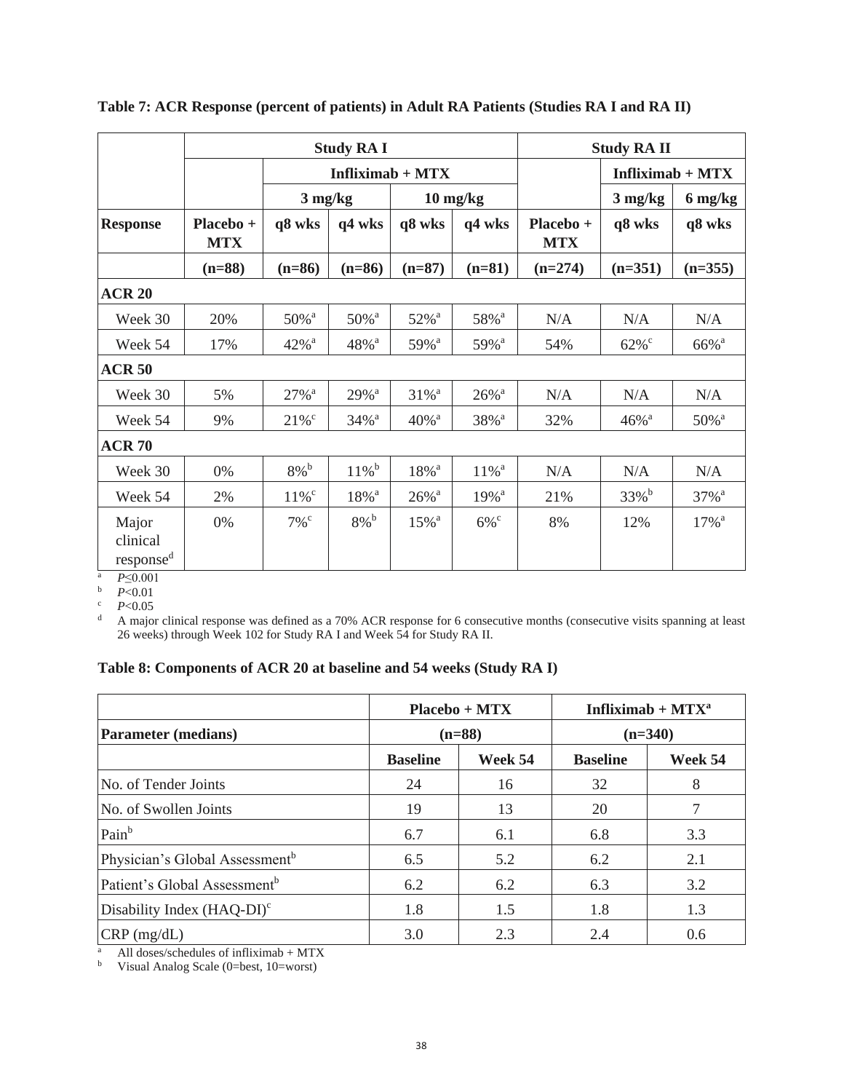|                                            | <b>Study RA I</b>       |                     |                     |                     |                                  |                         | <b>Study RA II</b>  |                     |
|--------------------------------------------|-------------------------|---------------------|---------------------|---------------------|----------------------------------|-------------------------|---------------------|---------------------|
|                                            |                         |                     | Infliximab + $MTX$  |                     |                                  | $Infliximab + MTX$      |                     |                     |
|                                            |                         | $3 \text{ mg/kg}$   |                     |                     | $10 \frac{\text{mg}}{\text{kg}}$ |                         | $3$ mg/kg           | 6 mg/kg             |
| <b>Response</b>                            | Placebo +<br><b>MTX</b> | q8 wks              | q4 wks              | q8 wks              | q4 wks                           | Placebo +<br><b>MTX</b> | q8 wks              | q8 wks              |
|                                            | $(n=88)$                | $(n=86)$            | $(n=86)$            | $(n=87)$            | $(n=81)$                         | $(n=274)$               | $(n=351)$           | $(n=355)$           |
| <b>ACR 20</b>                              |                         |                     |                     |                     |                                  |                         |                     |                     |
| Week 30                                    | 20%                     | 50% <sup>a</sup>    | $50\%$ <sup>a</sup> | 52% <sup>a</sup>    | 58% <sup>a</sup>                 | N/A                     | N/A                 | N/A                 |
| Week 54                                    | 17%                     | $42%$ <sup>a</sup>  | $48%$ <sup>a</sup>  | 59% <sup>a</sup>    | 59% <sup>a</sup>                 | 54%                     | $62\%$ <sup>c</sup> | 66% <sup>a</sup>    |
| <b>ACR 50</b>                              |                         |                     |                     |                     |                                  |                         |                     |                     |
| Week 30                                    | 5%                      | $27%$ <sup>a</sup>  | $29%$ <sup>a</sup>  | $31\%$ <sup>a</sup> | $26\%$ <sup>a</sup>              | N/A                     | N/A                 | N/A                 |
| Week 54                                    | 9%                      | $21\%$ <sup>c</sup> | $34\%$ <sup>a</sup> | $40\%$ <sup>a</sup> | 38% <sup>a</sup>                 | 32%                     | $46\%$ <sup>a</sup> | 50% <sup>a</sup>    |
| <b>ACR 70</b>                              |                         |                     |                     |                     |                                  |                         |                     |                     |
| Week 30                                    | 0%                      | $8\%$ <sup>b</sup>  | $11\%$ <sup>b</sup> | $18\%$ <sup>a</sup> | $11\%$ <sup>a</sup>              | N/A                     | N/A                 | N/A                 |
| Week 54                                    | 2%                      | $11\%$ <sup>c</sup> | $18\%$ <sup>a</sup> | $26\%$ <sup>a</sup> | 19% <sup>a</sup>                 | 21%                     | 33% <sup>b</sup>    | 37% <sup>a</sup>    |
| Major<br>clinical<br>response <sup>d</sup> | $0\%$                   | $7\%$ <sup>c</sup>  | $8\%$ <sup>b</sup>  | $15\%$ <sup>a</sup> | $6\%$ <sup>c</sup>               | 8%                      | 12%                 | $17\%$ <sup>a</sup> |

**Table 7: ACR Response (percent of patients) in Adult RA Patients (Studies RA I and RA II)**

<sup>a</sup> *P*≤0.001

 $\bar{P}$  *P*<0.01

<sup>c</sup> *P*<0.05

<sup>d</sup> A major clinical response was defined as a 70% ACR response for 6 consecutive months (consecutive visits spanning at least 26 weeks) through Week 102 for Study RA I and Week 54 for Study RA II.

# **Table 8: Components of ACR 20 at baseline and 54 weeks (Study RA I)**

|                                            |                 | Infliximab + $MTX^a$<br>Placebo + MTX |                 |           |
|--------------------------------------------|-----------------|---------------------------------------|-----------------|-----------|
| <b>Parameter</b> (medians)                 |                 | $(n=88)$                              |                 | $(n=340)$ |
|                                            | <b>Baseline</b> | Week 54                               | <b>Baseline</b> | Week 54   |
| No. of Tender Joints                       | 24              | 16                                    | 32              | 8         |
| No. of Swollen Joints                      | 19              | 13                                    | 20              |           |
| Pain <sup>b</sup>                          | 6.7             | 6.1                                   | 6.8             | 3.3       |
| Physician's Global Assessment <sup>b</sup> | 6.5             | 5.2                                   | 6.2             | 2.1       |
| Patient's Global Assessment <sup>b</sup>   | 6.2             | 6.2                                   | 6.3             | 3.2       |
| Disability Index $(HAQ-DI)^c$              | 1.8             | 1.5                                   | 1.8             | 1.3       |
| CRP (mg/dL)                                | 3.0             | 2.3                                   | 2.4             | 0.6       |

<sup>a</sup> All doses/schedules of infliximab + MTX

<sup>b</sup> Visual Analog Scale (0=best, 10=worst)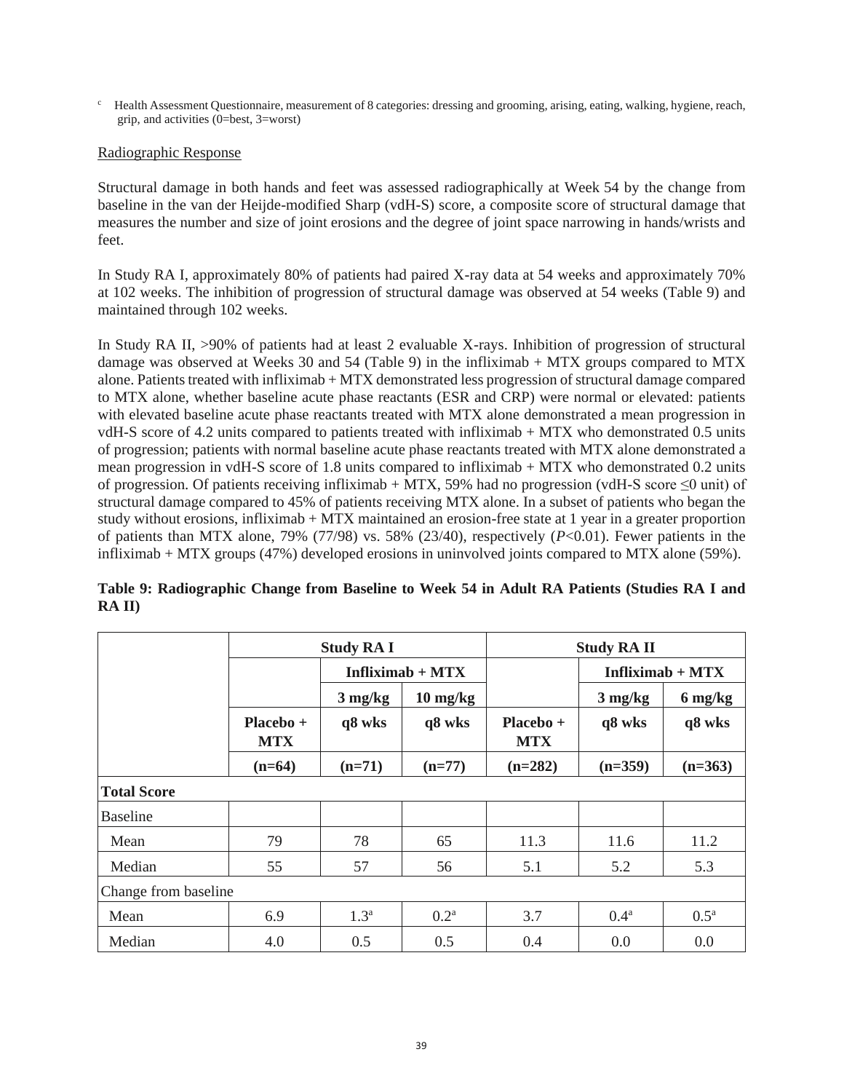<sup>c</sup> Health Assessment Questionnaire, measurement of 8 categories: dressing and grooming, arising, eating, walking, hygiene, reach, grip, and activities (0=best, 3=worst)

#### Radiographic Response

Structural damage in both hands and feet was assessed radiographically at Week 54 by the change from baseline in the van der Heijde-modified Sharp (vdH-S) score, a composite score of structural damage that measures the number and size of joint erosions and the degree of joint space narrowing in hands/wrists and feet.

In Study RA I, approximately 80% of patients had paired X-ray data at 54 weeks and approximately 70% at 102 weeks. The inhibition of progression of structural damage was observed at 54 weeks (Table 9) and maintained through 102 weeks.

In Study RA II, >90% of patients had at least 2 evaluable X-rays. Inhibition of progression of structural damage was observed at Weeks 30 and 54 (Table 9) in the infliximab + MTX groups compared to MTX alone. Patients treated with infliximab + MTX demonstrated less progression of structural damage compared to MTX alone, whether baseline acute phase reactants (ESR and CRP) were normal or elevated: patients with elevated baseline acute phase reactants treated with MTX alone demonstrated a mean progression in vdH-S score of 4.2 units compared to patients treated with infliximab + MTX who demonstrated 0.5 units of progression; patients with normal baseline acute phase reactants treated with MTX alone demonstrated a mean progression in vdH-S score of 1.8 units compared to infliximab + MTX who demonstrated 0.2 units of progression. Of patients receiving infliximab + MTX, 59% had no progression (vdH-S score  $\leq$ 0 unit) of structural damage compared to 45% of patients receiving MTX alone. In a subset of patients who began the study without erosions, infliximab + MTX maintained an erosion-free state at 1 year in a greater proportion of patients than MTX alone, 79% (77/98) vs. 58% (23/40), respectively (*P*<0.01). Fewer patients in the infliximab + MTX groups (47%) developed erosions in uninvolved joints compared to MTX alone (59%).

|                      | <b>Study RA I</b>         |                   |                                  | <b>Study RA II</b>        |                   |                    |  |
|----------------------|---------------------------|-------------------|----------------------------------|---------------------------|-------------------|--------------------|--|
|                      |                           |                   | Infliximab + $MTX$               |                           |                   | Infliximab + $MTX$ |  |
|                      |                           | $3 \text{ mg/kg}$ | $10 \frac{\text{mg}}{\text{kg}}$ |                           | $3 \text{ mg/kg}$ | 6 mg/kg            |  |
|                      | $Placebo +$<br><b>MTX</b> | q8 wks            | q8 wks                           | $Placebo +$<br><b>MTX</b> | q8 wks            | q8 wks             |  |
|                      | $(n=64)$                  | $(n=71)$          | $(n=77)$                         | $(n=282)$                 | $(n=359)$         | $(n=363)$          |  |
| <b>Total Score</b>   |                           |                   |                                  |                           |                   |                    |  |
| <b>Baseline</b>      |                           |                   |                                  |                           |                   |                    |  |
| Mean                 | 79                        | 78                | 65                               | 11.3                      | 11.6              | 11.2               |  |
| Median               | 55                        | 57                | 56                               | 5.1                       | 5.2               | 5.3                |  |
| Change from baseline |                           |                   |                                  |                           |                   |                    |  |
| Mean                 | 6.9                       | 1.3 <sup>a</sup>  | 0.2 <sup>a</sup>                 | 3.7                       | 0.4 <sup>a</sup>  | $0.5^{\mathrm{a}}$ |  |
| Median               | 4.0                       | 0.5               | 0.5                              | 0.4                       | 0.0               | 0.0                |  |

**Table 9: Radiographic Change from Baseline to Week 54 in Adult RA Patients (Studies RA I and RA II)**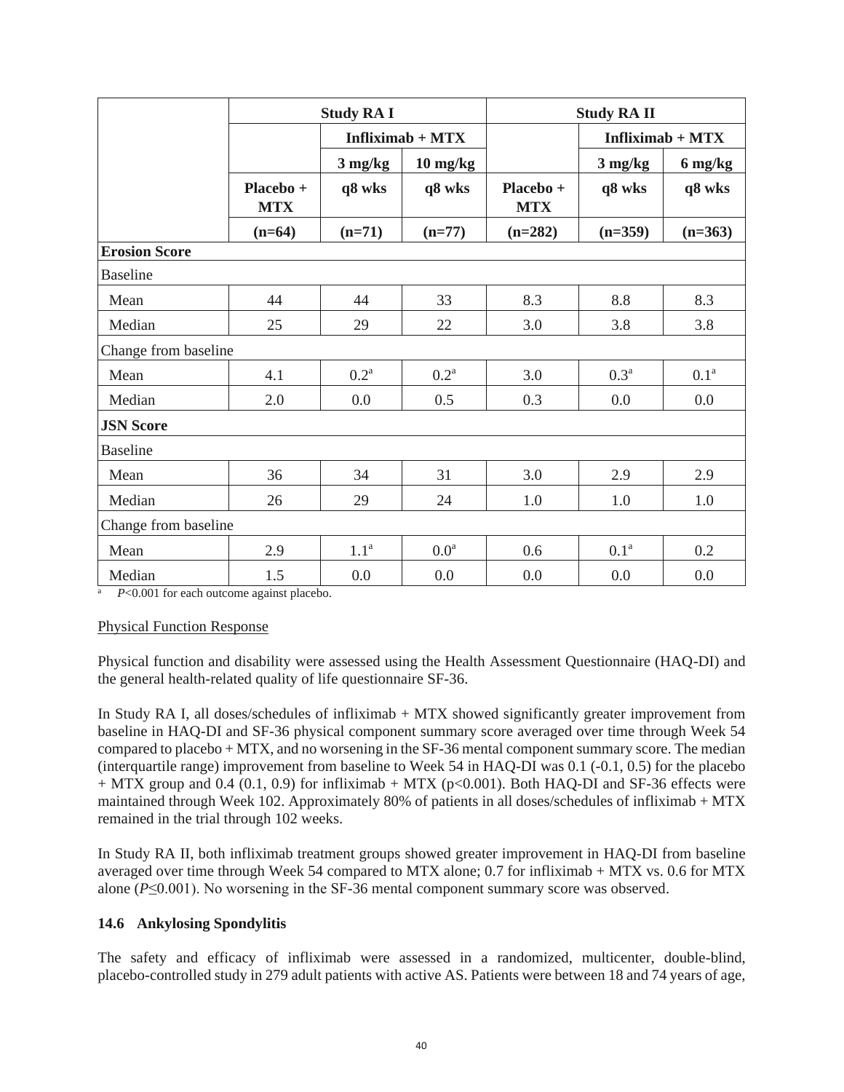|                      | <b>Study RA I</b>       |                    | <b>Study RA II</b> |                         |                    |                  |
|----------------------|-------------------------|--------------------|--------------------|-------------------------|--------------------|------------------|
|                      |                         | Infliximab + $MTX$ |                    |                         | Infliximab + $MTX$ |                  |
|                      |                         | $3$ mg/kg          | $10 \text{ mg/kg}$ |                         | $3$ mg/kg          | 6 mg/kg          |
|                      | Placebo +<br><b>MTX</b> | q8 wks             | q8 wks             | Placebo +<br><b>MTX</b> | q8 wks             | q8 wks           |
|                      | $(n=64)$                | $(n=71)$           | $(n=77)$           | $(n=282)$               | $(n=359)$          | $(n=363)$        |
| <b>Erosion Score</b> |                         |                    |                    |                         |                    |                  |
| <b>Baseline</b>      |                         |                    |                    |                         |                    |                  |
| Mean                 | 44                      | 44                 | 33                 | 8.3                     | 8.8                | 8.3              |
| Median               | 25                      | 29                 | 22                 | 3.0                     | 3.8                | 3.8              |
| Change from baseline |                         |                    |                    |                         |                    |                  |
| Mean                 | 4.1                     | 0.2 <sup>a</sup>   | $0.2^{\mathrm{a}}$ | 3.0                     | $0.3^{\rm a}$      | 0.1 <sup>a</sup> |
| Median               | 2.0                     | 0.0                | 0.5                | 0.3                     | 0.0                | 0.0              |
| <b>JSN Score</b>     |                         |                    |                    |                         |                    |                  |
| <b>Baseline</b>      |                         |                    |                    |                         |                    |                  |
| Mean                 | 36                      | 34                 | 31                 | 3.0                     | 2.9                | 2.9              |
| Median               | 26                      | 29                 | 24                 | 1.0                     | 1.0                | 1.0              |
| Change from baseline |                         |                    |                    |                         |                    |                  |
| Mean                 | 2.9                     | 1.1 <sup>a</sup>   | 0.0 <sup>a</sup>   | 0.6                     | 0.1 <sup>a</sup>   | 0.2              |
| Median               | 1.5                     | 0.0                | 0.0                | 0.0                     | 0.0                | 0.0              |

<sup>a</sup> *P*<0.001 for each outcome against placebo.

#### Physical Function Response

Physical function and disability were assessed using the Health Assessment Questionnaire (HAQ-DI) and the general health-related quality of life questionnaire SF-36.

In Study RA I, all doses/schedules of infliximab + MTX showed significantly greater improvement from baseline in HAQ-DI and SF-36 physical component summary score averaged over time through Week 54 compared to placebo + MTX, and no worsening in the SF-36 mental component summary score. The median (interquartile range) improvement from baseline to Week 54 in HAQ-DI was 0.1 (-0.1, 0.5) for the placebo  $+$  MTX group and 0.4 (0.1, 0.9) for infliximab  $+$  MTX (p<0.001). Both HAQ-DI and SF-36 effects were maintained through Week 102. Approximately 80% of patients in all doses/schedules of infliximab + MTX remained in the trial through 102 weeks.

In Study RA II, both infliximab treatment groups showed greater improvement in HAQ-DI from baseline averaged over time through Week 54 compared to MTX alone; 0.7 for infliximab + MTX vs. 0.6 for MTX alone  $(P \le 0.001)$ . No worsening in the SF-36 mental component summary score was observed.

#### **14.6 Ankylosing Spondylitis**

The safety and efficacy of infliximab were assessed in a randomized, multicenter, double-blind, placebo-controlled study in 279 adult patients with active AS. Patients were between 18 and 74 years of age,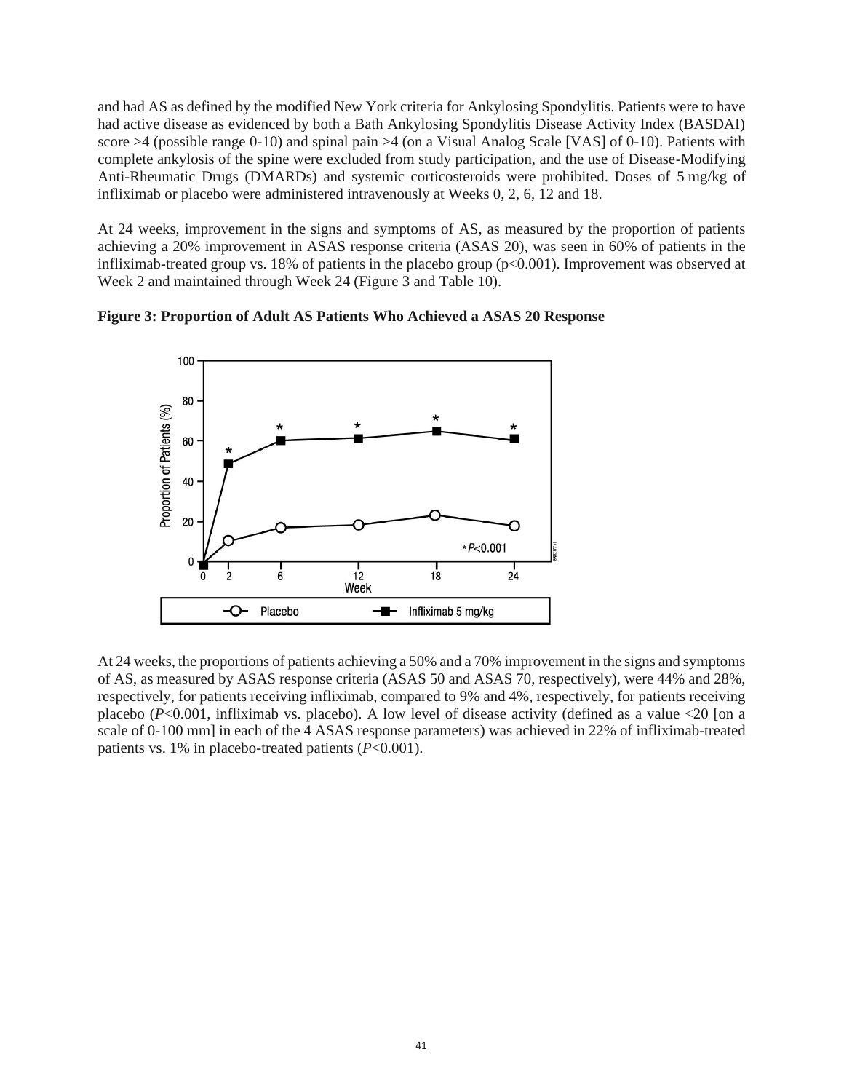and had AS as defined by the modified New York criteria for Ankylosing Spondylitis. Patients were to have had active disease as evidenced by both a Bath Ankylosing Spondylitis Disease Activity Index (BASDAI) score  $>4$  (possible range 0-10) and spinal pain  $>4$  (on a Visual Analog Scale [VAS] of 0-10). Patients with complete ankylosis of the spine were excluded from study participation, and the use of Disease-Modifying Anti-Rheumatic Drugs (DMARDs) and systemic corticosteroids were prohibited. Doses of 5 mg/kg of infliximab or placebo were administered intravenously at Weeks 0, 2, 6, 12 and 18.

At 24 weeks, improvement in the signs and symptoms of AS, as measured by the proportion of patients achieving a 20% improvement in ASAS response criteria (ASAS 20), was seen in 60% of patients in the infliximab-treated group vs. 18% of patients in the placebo group (p<0.001). Improvement was observed at Week 2 and maintained through Week 24 (Figure 3 and Table 10).





At 24 weeks, the proportions of patients achieving a 50% and a 70% improvement in the signs and symptoms of AS, as measured by ASAS response criteria (ASAS 50 and ASAS 70, respectively), were 44% and 28%, respectively, for patients receiving infliximab, compared to 9% and 4%, respectively, for patients receiving placebo ( $P<0.001$ , infliximab vs. placebo). A low level of disease activity (defined as a value  $<20$  [on a scale of 0-100 mm] in each of the 4 ASAS response parameters) was achieved in 22% of infliximab-treated patients vs. 1% in placebo-treated patients (*P*<0.001).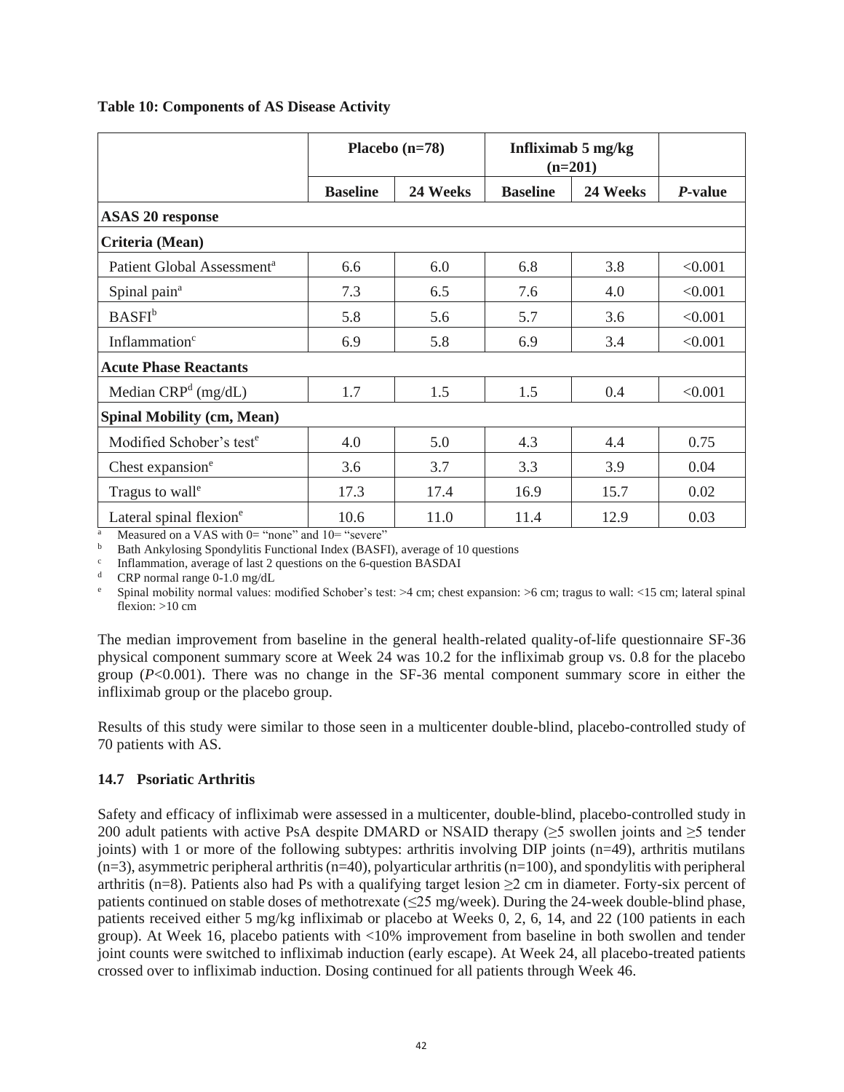|  |  | <b>Table 10: Components of AS Disease Activity</b> |  |
|--|--|----------------------------------------------------|--|
|--|--|----------------------------------------------------|--|

|                                        | Placebo $(n=78)$ |          | Infliximab 5 mg/kg<br>$(n=201)$ |          |                 |  |
|----------------------------------------|------------------|----------|---------------------------------|----------|-----------------|--|
|                                        | <b>Baseline</b>  | 24 Weeks | <b>Baseline</b>                 | 24 Weeks | <i>P</i> -value |  |
| <b>ASAS 20 response</b>                |                  |          |                                 |          |                 |  |
| Criteria (Mean)                        |                  |          |                                 |          |                 |  |
| Patient Global Assessment <sup>a</sup> | 6.6              | 6.0      | 6.8                             | 3.8      | < 0.001         |  |
| Spinal pain <sup>a</sup>               | 7.3              | 6.5      | 7.6                             | 4.0      | < 0.001         |  |
| BASFI <sup>b</sup>                     | 5.8              | 5.6      | 5.7                             | 3.6      | < 0.001         |  |
| Inflammation <sup>c</sup>              | 6.9              | 5.8      | 6.9                             | 3.4      | < 0.001         |  |
| <b>Acute Phase Reactants</b>           |                  |          |                                 |          |                 |  |
| Median CRP <sup>d</sup> (mg/dL)        | 1.7              | 1.5      | 1.5                             | 0.4      | < 0.001         |  |
| <b>Spinal Mobility (cm, Mean)</b>      |                  |          |                                 |          |                 |  |
| Modified Schober's test <sup>e</sup>   | 4.0              | 5.0      | 4.3                             | 4.4      | 0.75            |  |
| Chest expansion <sup>e</sup>           | 3.6              | 3.7      | 3.3                             | 3.9      | 0.04            |  |
| Tragus to wall <sup>e</sup>            | 17.3             | 17.4     | 16.9                            | 15.7     | 0.02            |  |
| Lateral spinal flexion <sup>e</sup>    | 10.6             | 11.0     | 11.4                            | 12.9     | 0.03            |  |

Measured on a VAS with  $0=$  "none" and  $10=$  "severe"

<sup>b</sup> Bath Ankylosing Spondylitis Functional Index (BASFI), average of 10 questions

c Inflammation, average of last 2 questions on the 6-question BASDAI

<sup>d</sup> CRP normal range 0-1.0 mg/dL

<sup>e</sup> Spinal mobility normal values: modified Schober's test: >4 cm; chest expansion: >6 cm; tragus to wall: <15 cm; lateral spinal flexion:  $>10$  cm

The median improvement from baseline in the general health-related quality-of-life questionnaire SF-36 physical component summary score at Week 24 was 10.2 for the infliximab group vs. 0.8 for the placebo group (*P*<0.001). There was no change in the SF-36 mental component summary score in either the infliximab group or the placebo group.

Results of this study were similar to those seen in a multicenter double-blind, placebo-controlled study of 70 patients with AS.

### **14.7 Psoriatic Arthritis**

Safety and efficacy of infliximab were assessed in a multicenter, double-blind, placebo-controlled study in 200 adult patients with active PsA despite DMARD or NSAID therapy (≥5 swollen joints and ≥5 tender joints) with 1 or more of the following subtypes: arthritis involving DIP joints (n=49), arthritis mutilans  $(n=3)$ , asymmetric peripheral arthritis  $(n=40)$ , polyarticular arthritis  $(n=100)$ , and spondylitis with peripheral arthritis (n=8). Patients also had Ps with a qualifying target lesion  $\geq$  2 cm in diameter. Forty-six percent of patients continued on stable doses of methotrexate (≤25 mg/week). During the 24-week double-blind phase, patients received either 5 mg/kg infliximab or placebo at Weeks 0, 2, 6, 14, and 22 (100 patients in each group). At Week 16, placebo patients with <10% improvement from baseline in both swollen and tender joint counts were switched to infliximab induction (early escape). At Week 24, all placebo-treated patients crossed over to infliximab induction. Dosing continued for all patients through Week 46.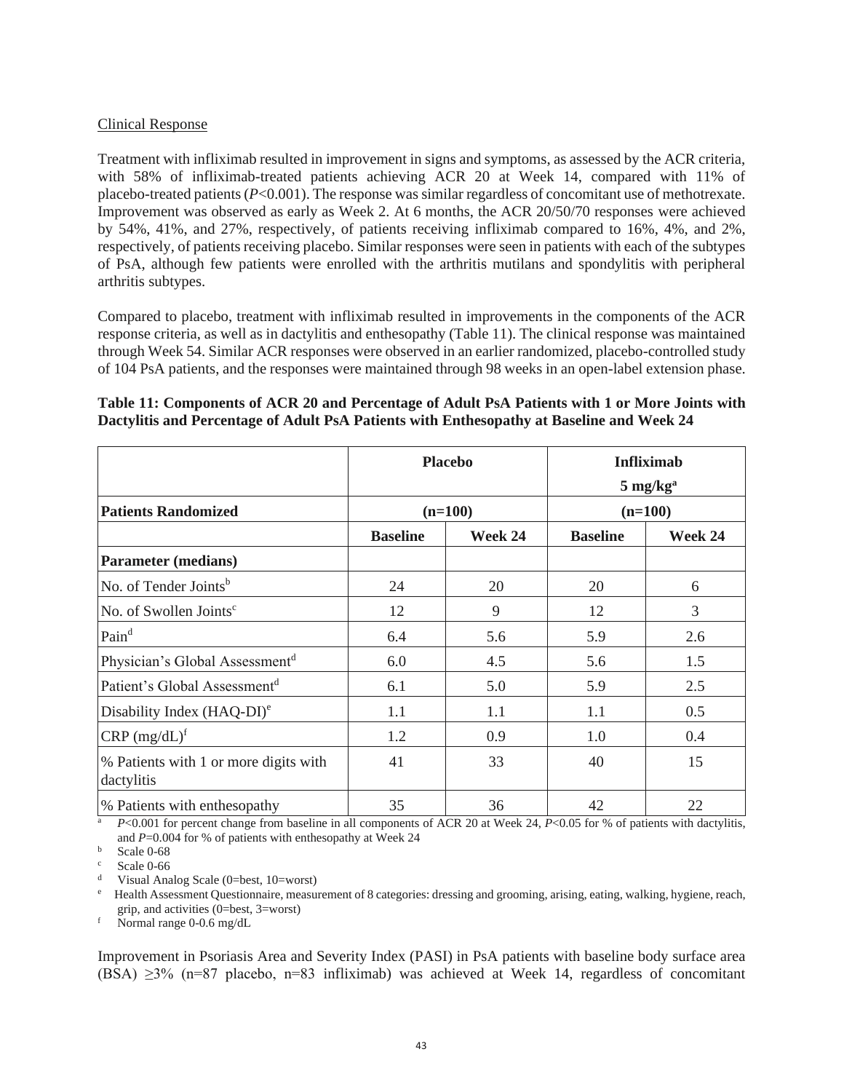#### Clinical Response

Treatment with infliximab resulted in improvement in signs and symptoms, as assessed by the ACR criteria, with 58% of infliximab-treated patients achieving ACR 20 at Week 14, compared with 11% of placebo-treated patients (*P*<0.001). The response was similar regardless of concomitant use of methotrexate. Improvement was observed as early as Week 2. At 6 months, the ACR 20/50/70 responses were achieved by 54%, 41%, and 27%, respectively, of patients receiving infliximab compared to 16%, 4%, and 2%, respectively, of patients receiving placebo. Similar responses were seen in patients with each of the subtypes of PsA, although few patients were enrolled with the arthritis mutilans and spondylitis with peripheral arthritis subtypes.

Compared to placebo, treatment with infliximab resulted in improvements in the components of the ACR response criteria, as well as in dactylitis and enthesopathy (Table 11). The clinical response was maintained through Week 54. Similar ACR responses were observed in an earlier randomized, placebo-controlled study of 104 PsA patients, and the responses were maintained through 98 weeks in an open-label extension phase.

### **Table 11: Components of ACR 20 and Percentage of Adult PsA Patients with 1 or More Joints with Dactylitis and Percentage of Adult PsA Patients with Enthesopathy at Baseline and Week 24**

|                                                     | <b>Placebo</b>  | <b>Infliximab</b><br>$5 \text{ mg/kg}^{\text{a}}$ |                 |         |  |
|-----------------------------------------------------|-----------------|---------------------------------------------------|-----------------|---------|--|
| <b>Patients Randomized</b>                          |                 | $(n=100)$                                         | $(n=100)$       |         |  |
|                                                     | <b>Baseline</b> | Week 24                                           | <b>Baseline</b> | Week 24 |  |
| <b>Parameter</b> (medians)                          |                 |                                                   |                 |         |  |
| No. of Tender Joints <sup>b</sup>                   | 24              | 20                                                | 20              | 6       |  |
| No. of Swollen Joints <sup>c</sup>                  | 12              | 9                                                 | 12              | 3       |  |
| Pain <sup>d</sup>                                   | 6.4             | 5.6                                               | 5.9             | 2.6     |  |
| Physician's Global Assessment <sup>d</sup>          | 6.0             | 4.5                                               | 5.6             | 1.5     |  |
| Patient's Global Assessment <sup>d</sup>            | 6.1             | 5.0                                               | 5.9             | 2.5     |  |
| Disability Index $(HAQ-DI)^e$                       | 1.1             | 1.1                                               | 1.1             | 0.5     |  |
| $CRP (mg/dL)^f$                                     | 1.2             | 0.9                                               | 1.0             | 0.4     |  |
| % Patients with 1 or more digits with<br>dactylitis | 41              | 33                                                | 40              | 15      |  |
| % Patients with enthesopathy                        | 35              | 36                                                | 42              | 22      |  |

*P*<0.001 for percent change from baseline in all components of ACR 20 at Week 24, *P*<0.05 for % of patients with dactylitis, and *P*=0.004 for % of patients with enthesopathy at Week 24

Scale 0-68

Scale 0-66

Visual Analog Scale (0=best, 10=worst)

<sup>e</sup> Health Assessment Questionnaire, measurement of 8 categories: dressing and grooming, arising, eating, walking, hygiene, reach, grip, and activities (0=best, 3=worst)

Normal range 0-0.6 mg/dL

Improvement in Psoriasis Area and Severity Index (PASI) in PsA patients with baseline body surface area (BSA)  $\geq$ 3% (n=87 placebo, n=83 infliximab) was achieved at Week 14, regardless of concomitant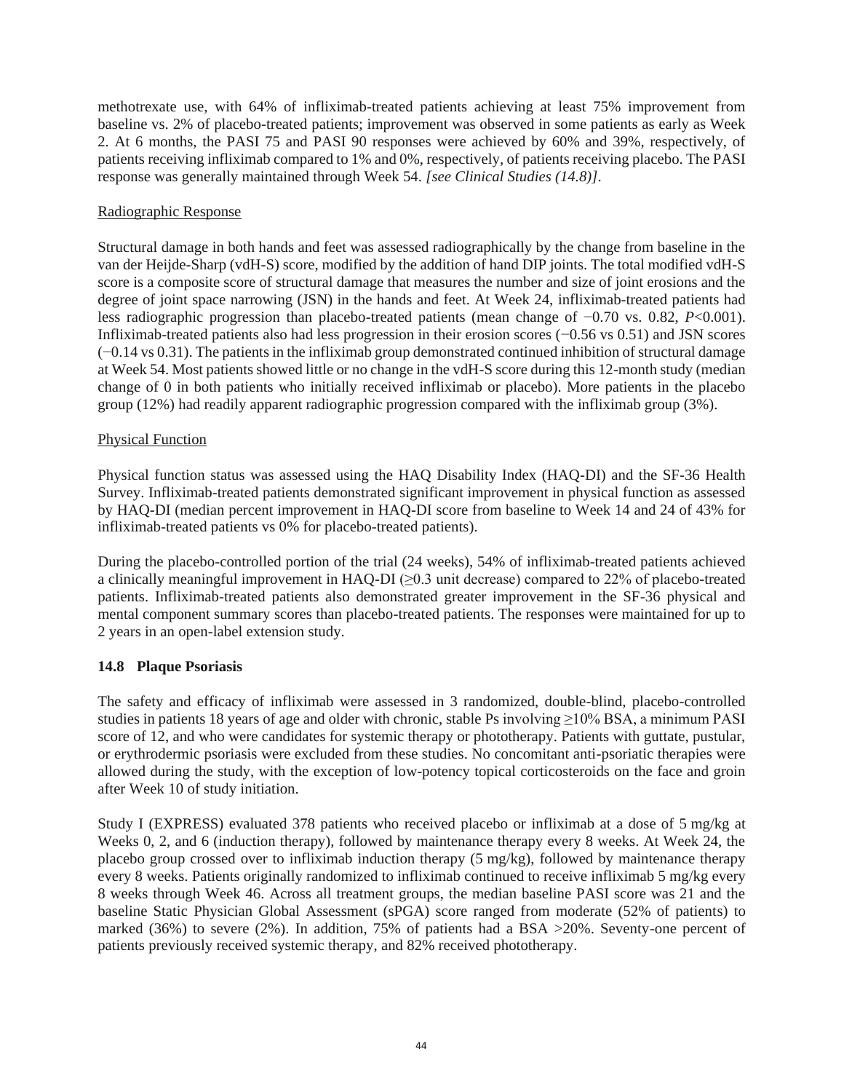methotrexate use, with 64% of infliximab-treated patients achieving at least 75% improvement from baseline vs. 2% of placebo-treated patients; improvement was observed in some patients as early as Week 2. At 6 months, the PASI 75 and PASI 90 responses were achieved by 60% and 39%, respectively, of patients receiving infliximab compared to 1% and 0%, respectively, of patients receiving placebo. The PASI response was generally maintained through Week 54. *[see Clinical Studies (14.8)]*.

### Radiographic Response

Structural damage in both hands and feet was assessed radiographically by the change from baseline in the van der Heijde-Sharp (vdH-S) score, modified by the addition of hand DIP joints. The total modified vdH-S score is a composite score of structural damage that measures the number and size of joint erosions and the degree of joint space narrowing (JSN) in the hands and feet. At Week 24, infliximab-treated patients had less radiographic progression than placebo-treated patients (mean change of −0.70 vs. 0.82, *P*<0.001). Infliximab-treated patients also had less progression in their erosion scores (−0.56 vs 0.51) and JSN scores (−0.14 vs 0.31). The patients in the infliximab group demonstrated continued inhibition of structural damage at Week 54. Most patients showed little or no change in the vdH-S score during this 12-month study (median change of 0 in both patients who initially received infliximab or placebo). More patients in the placebo group (12%) had readily apparent radiographic progression compared with the infliximab group (3%).

### Physical Function

Physical function status was assessed using the HAQ Disability Index (HAQ-DI) and the SF-36 Health Survey. Infliximab-treated patients demonstrated significant improvement in physical function as assessed by HAQ-DI (median percent improvement in HAQ-DI score from baseline to Week 14 and 24 of 43% for infliximab-treated patients vs 0% for placebo-treated patients).

During the placebo-controlled portion of the trial (24 weeks), 54% of infliximab-treated patients achieved a clinically meaningful improvement in HAQ-DI (≥0.3 unit decrease) compared to 22% of placebo-treated patients. Infliximab-treated patients also demonstrated greater improvement in the SF-36 physical and mental component summary scores than placebo-treated patients. The responses were maintained for up to 2 years in an open-label extension study.

# **14.8 Plaque Psoriasis**

The safety and efficacy of infliximab were assessed in 3 randomized, double-blind, placebo-controlled studies in patients 18 years of age and older with chronic, stable Ps involving ≥10% BSA, a minimum PASI score of 12, and who were candidates for systemic therapy or phototherapy. Patients with guttate, pustular, or erythrodermic psoriasis were excluded from these studies. No concomitant anti-psoriatic therapies were allowed during the study, with the exception of low-potency topical corticosteroids on the face and groin after Week 10 of study initiation.

Study I (EXPRESS) evaluated 378 patients who received placebo or infliximab at a dose of 5 mg/kg at Weeks 0, 2, and 6 (induction therapy), followed by maintenance therapy every 8 weeks. At Week 24, the placebo group crossed over to infliximab induction therapy (5 mg/kg), followed by maintenance therapy every 8 weeks. Patients originally randomized to infliximab continued to receive infliximab 5 mg/kg every 8 weeks through Week 46. Across all treatment groups, the median baseline PASI score was 21 and the baseline Static Physician Global Assessment (sPGA) score ranged from moderate (52% of patients) to marked (36%) to severe (2%). In addition, 75% of patients had a BSA >20%. Seventy-one percent of patients previously received systemic therapy, and 82% received phototherapy.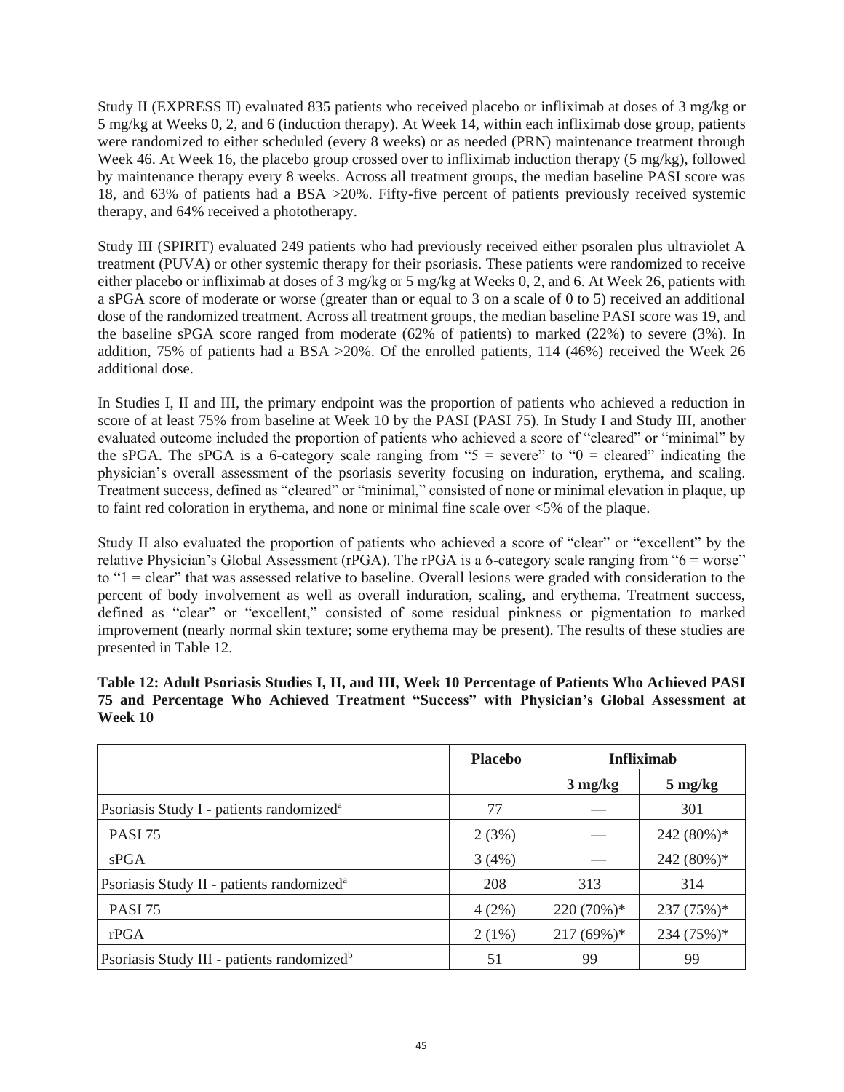Study II (EXPRESS II) evaluated 835 patients who received placebo or infliximab at doses of 3 mg/kg or 5 mg/kg at Weeks 0, 2, and 6 (induction therapy). At Week 14, within each infliximab dose group, patients were randomized to either scheduled (every 8 weeks) or as needed (PRN) maintenance treatment through Week 46. At Week 16, the placebo group crossed over to infliximab induction therapy (5 mg/kg), followed by maintenance therapy every 8 weeks. Across all treatment groups, the median baseline PASI score was 18, and 63% of patients had a BSA >20%. Fifty-five percent of patients previously received systemic therapy, and 64% received a phototherapy.

Study III (SPIRIT) evaluated 249 patients who had previously received either psoralen plus ultraviolet A treatment (PUVA) or other systemic therapy for their psoriasis. These patients were randomized to receive either placebo or infliximab at doses of 3 mg/kg or 5 mg/kg at Weeks 0, 2, and 6. At Week 26, patients with a sPGA score of moderate or worse (greater than or equal to 3 on a scale of 0 to 5) received an additional dose of the randomized treatment. Across all treatment groups, the median baseline PASI score was 19, and the baseline sPGA score ranged from moderate (62% of patients) to marked (22%) to severe (3%). In addition, 75% of patients had a BSA >20%. Of the enrolled patients, 114 (46%) received the Week 26 additional dose.

In Studies I, II and III, the primary endpoint was the proportion of patients who achieved a reduction in score of at least 75% from baseline at Week 10 by the PASI (PASI 75). In Study I and Study III, another evaluated outcome included the proportion of patients who achieved a score of "cleared" or "minimal" by the sPGA. The sPGA is a 6-category scale ranging from " $5$  = severe" to " $0$  = cleared" indicating the physician's overall assessment of the psoriasis severity focusing on induration, erythema, and scaling. Treatment success, defined as "cleared" or "minimal," consisted of none or minimal elevation in plaque, up to faint red coloration in erythema, and none or minimal fine scale over <5% of the plaque.

Study II also evaluated the proportion of patients who achieved a score of "clear" or "excellent" by the relative Physician's Global Assessment (rPGA). The rPGA is a 6-category scale ranging from "6 = worse" to "1 = clear" that was assessed relative to baseline. Overall lesions were graded with consideration to the percent of body involvement as well as overall induration, scaling, and erythema. Treatment success, defined as "clear" or "excellent," consisted of some residual pinkness or pigmentation to marked improvement (nearly normal skin texture; some erythema may be present). The results of these studies are presented in Table 12.

|                                                        | <b>Placebo</b> | <b>Infliximab</b> |                   |
|--------------------------------------------------------|----------------|-------------------|-------------------|
|                                                        |                | $3 \text{ mg/kg}$ | $5 \text{ mg/kg}$ |
| Psoriasis Study I - patients randomized <sup>a</sup>   | 77             |                   | 301               |
| PASI 75                                                | 2(3%)          |                   | 242 (80%)*        |
| sPGA                                                   | 3(4%)          |                   | 242 (80%)*        |
| Psoriasis Study II - patients randomized <sup>a</sup>  | 208            | 313               | 314               |
| PASI 75                                                | 4(2%)          | $220(70\%)*$      | $237(75%)$ *      |
| r <sub>PGA</sub>                                       | $2(1\%)$       | $217(69%)$ *      | 234 (75%)*        |
| Psoriasis Study III - patients randomized <sup>b</sup> | 51             | 99                | 99                |

**Table 12: Adult Psoriasis Studies I, II, and III, Week 10 Percentage of Patients Who Achieved PASI 75 and Percentage Who Achieved Treatment "Success" with Physician's Global Assessment at Week 10**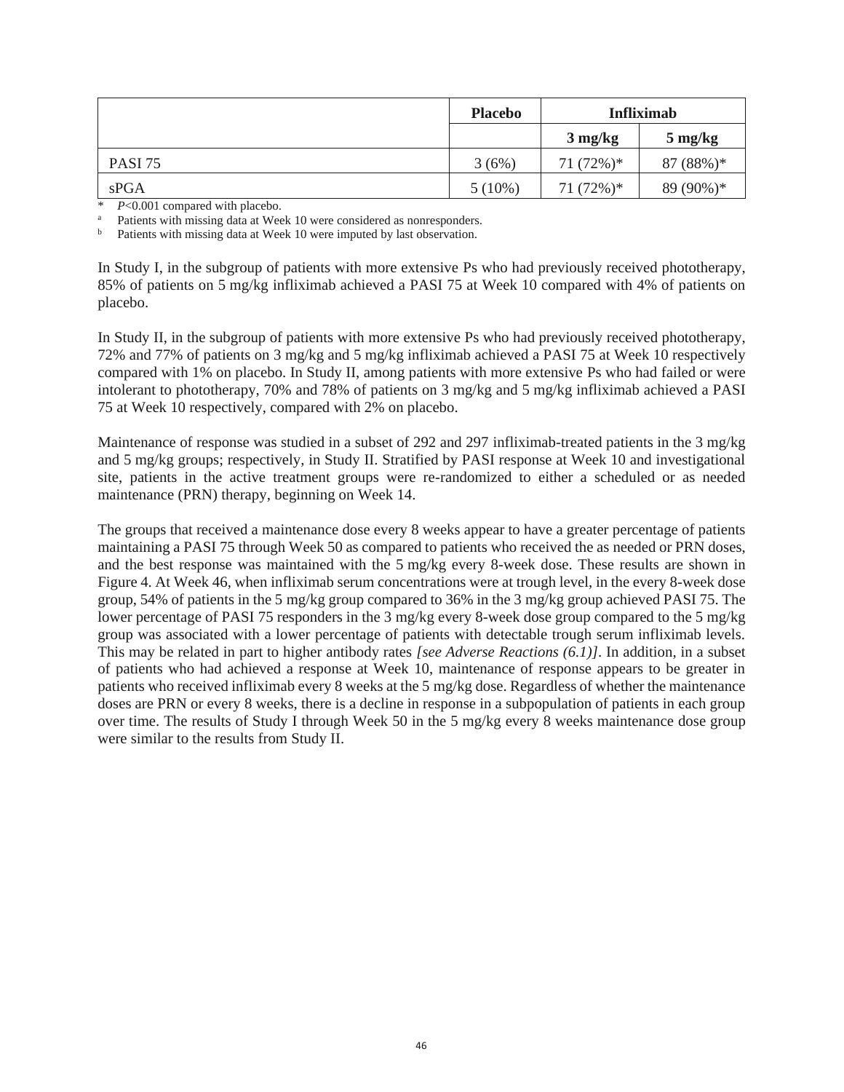|         | <b>Placebo</b> | <b>Infliximab</b> |                                 |
|---------|----------------|-------------------|---------------------------------|
|         |                | $3 \text{ mg/kg}$ | $5 \frac{\text{mg}}{\text{kg}}$ |
| PASI 75 | 3(6%)          | $71(72\%)*$       | $87(88%)*$                      |
| sPGA    | $5(10\%)$      | $71(72\%)*$       | 89 (90%)*                       |

\* *P*<0.001 compared with placebo.

Patients with missing data at Week 10 were considered as nonresponders.

Patients with missing data at Week 10 were imputed by last observation.

In Study I, in the subgroup of patients with more extensive Ps who had previously received phototherapy, 85% of patients on 5 mg/kg infliximab achieved a PASI 75 at Week 10 compared with 4% of patients on placebo.

In Study II, in the subgroup of patients with more extensive Ps who had previously received phototherapy, 72% and 77% of patients on 3 mg/kg and 5 mg/kg infliximab achieved a PASI 75 at Week 10 respectively compared with 1% on placebo. In Study II, among patients with more extensive Ps who had failed or were intolerant to phototherapy, 70% and 78% of patients on 3 mg/kg and 5 mg/kg infliximab achieved a PASI 75 at Week 10 respectively, compared with 2% on placebo.

Maintenance of response was studied in a subset of 292 and 297 infliximab-treated patients in the 3 mg/kg and 5 mg/kg groups; respectively, in Study II. Stratified by PASI response at Week 10 and investigational site, patients in the active treatment groups were re-randomized to either a scheduled or as needed maintenance (PRN) therapy, beginning on Week 14.

The groups that received a maintenance dose every 8 weeks appear to have a greater percentage of patients maintaining a PASI 75 through Week 50 as compared to patients who received the as needed or PRN doses, and the best response was maintained with the 5 mg/kg every 8-week dose. These results are shown in Figure 4. At Week 46, when infliximab serum concentrations were at trough level, in the every 8-week dose group, 54% of patients in the 5 mg/kg group compared to 36% in the 3 mg/kg group achieved PASI 75. The lower percentage of PASI 75 responders in the 3 mg/kg every 8-week dose group compared to the 5 mg/kg group was associated with a lower percentage of patients with detectable trough serum infliximab levels. This may be related in part to higher antibody rates *[see Adverse Reactions (6.1)]*. In addition, in a subset of patients who had achieved a response at Week 10, maintenance of response appears to be greater in patients who received infliximab every 8 weeks at the 5 mg/kg dose. Regardless of whether the maintenance doses are PRN or every 8 weeks, there is a decline in response in a subpopulation of patients in each group over time. The results of Study I through Week 50 in the 5 mg/kg every 8 weeks maintenance dose group were similar to the results from Study II.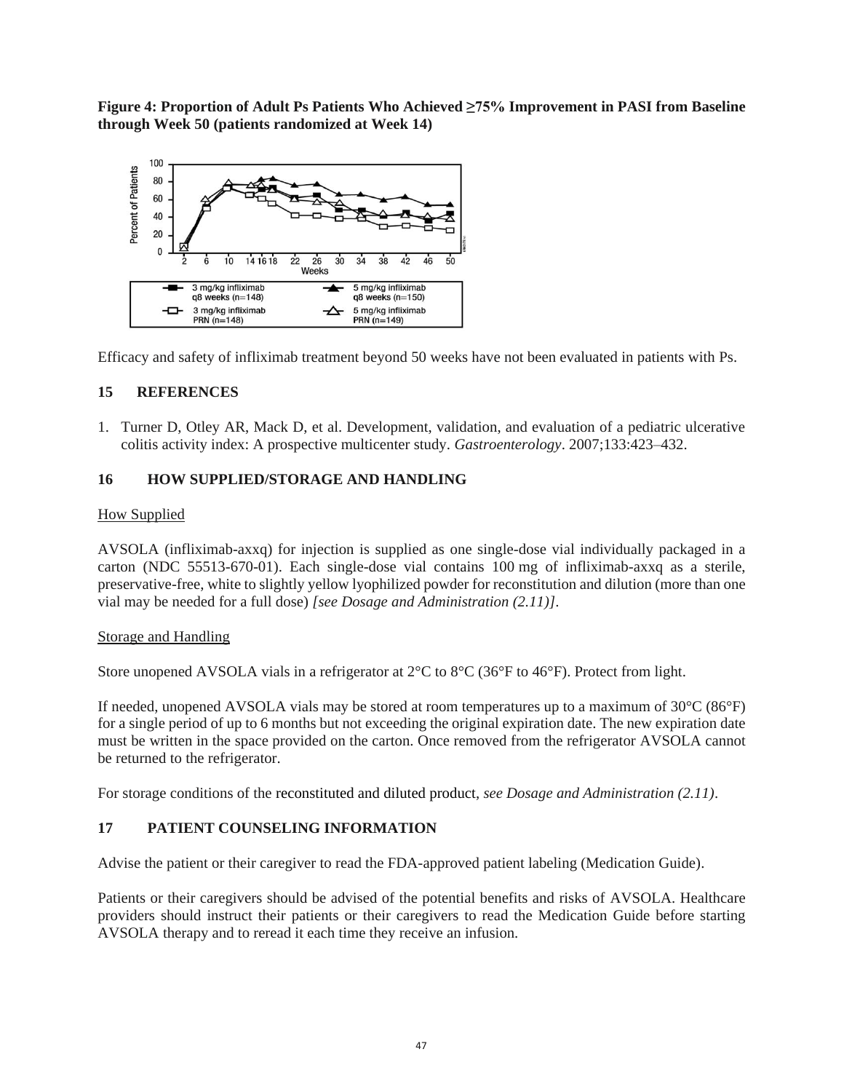**Figure 4: Proportion of Adult Ps Patients Who Achieved ≥75% Improvement in PASI from Baseline through Week 50 (patients randomized at Week 14)**



Efficacy and safety of infliximab treatment beyond 50 weeks have not been evaluated in patients with Ps.

### **15 REFERENCES**

1. Turner D, Otley AR, Mack D, et al. Development, validation, and evaluation of a pediatric ulcerative colitis activity index: A prospective multicenter study. *Gastroenterology*. 2007;133:423–432.

# **16 HOW SUPPLIED/STORAGE AND HANDLING**

### How Supplied

AVSOLA (infliximab-axxq) for injection is supplied as one single-dose vial individually packaged in a carton (NDC 55513-670-01). Each single-dose vial contains 100 mg of infliximab-axxq as a sterile, preservative-free, white to slightly yellow lyophilized powder for reconstitution and dilution (more than one vial may be needed for a full dose) *[see Dosage and Administration (2.11)]*.

### Storage and Handling

Store unopened AVSOLA vials in a refrigerator at 2°C to 8°C (36°F to 46°F). Protect from light.

If needed, unopened AVSOLA vials may be stored at room temperatures up to a maximum of  $30^{\circ}C (86^{\circ}F)$ for a single period of up to 6 months but not exceeding the original expiration date. The new expiration date must be written in the space provided on the carton. Once removed from the refrigerator AVSOLA cannot be returned to the refrigerator.

For storage conditions of the reconstituted and diluted product, *see Dosage and Administration (2.11)*.

### **17 PATIENT COUNSELING INFORMATION**

Advise the patient or their caregiver to read the FDA-approved patient labeling (Medication Guide).

Patients or their caregivers should be advised of the potential benefits and risks of AVSOLA. Healthcare providers should instruct their patients or their caregivers to read the Medication Guide before starting AVSOLA therapy and to reread it each time they receive an infusion.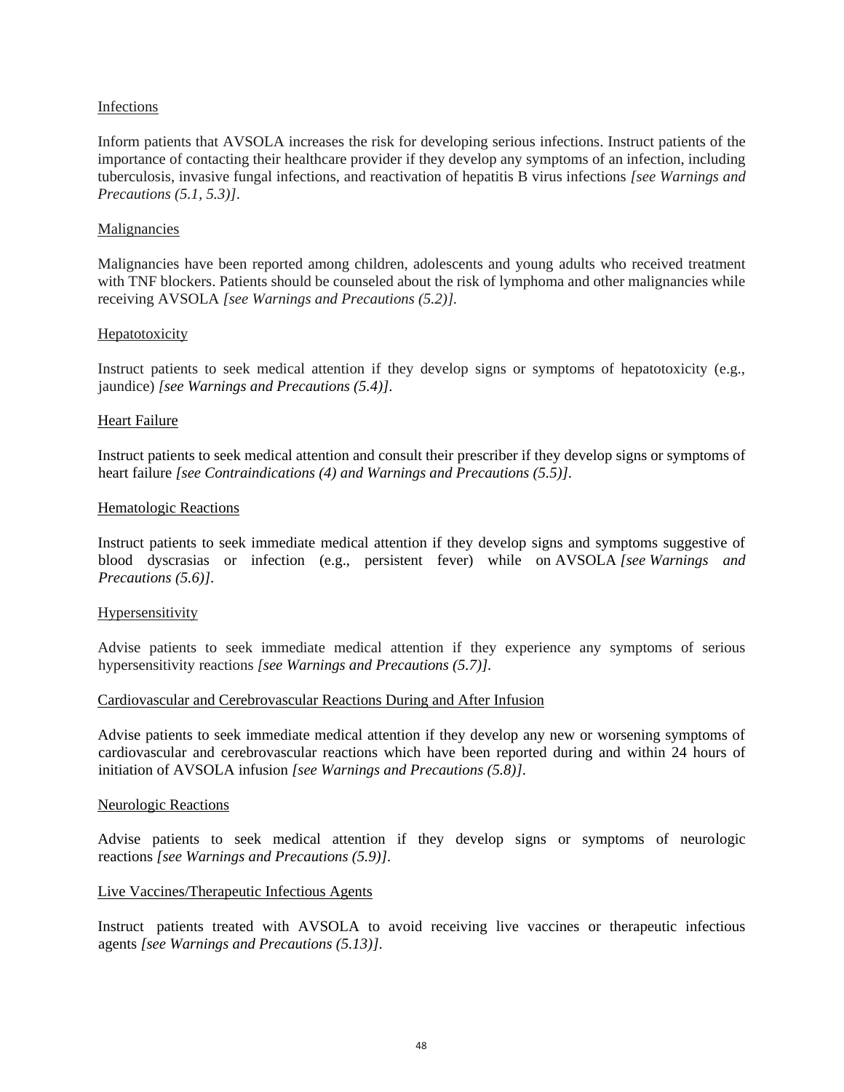#### Infections

Inform patients that AVSOLA increases the risk for developing serious infections. Instruct patients of the importance of contacting their healthcare provider if they develop any symptoms of an infection, including tuberculosis, invasive fungal infections, and reactivation of hepatitis B virus infections *[see Warnings and Precautions (5.1, 5.3)]*.

#### Malignancies

Malignancies have been reported among children, adolescents and young adults who received treatment with TNF blockers. Patients should be counseled about the risk of lymphoma and other malignancies while receiving AVSOLA *[see Warnings and Precautions (5.2)].*

#### Hepatotoxicity

Instruct patients to seek medical attention if they develop signs or symptoms of hepatotoxicity (e.g., jaundice) *[see Warnings and Precautions (5.4)]*.

#### Heart Failure

Instruct patients to seek medical attention and consult their prescriber if they develop signs or symptoms of heart failure *[see Contraindications (4) and Warnings and Precautions (5.5)]*.

#### Hematologic Reactions

Instruct patients to seek immediate medical attention if they develop signs and symptoms suggestive of blood dyscrasias or infection (e.g., persistent fever) while on AVSOLA *[see Warnings and Precautions (5.6)]*.

#### Hypersensitivity

Advise patients to seek immediate medical attention if they experience any symptoms of serious hypersensitivity reactions *[see Warnings and Precautions (5.7)].*

#### Cardiovascular and Cerebrovascular Reactions During and After Infusion

Advise patients to seek immediate medical attention if they develop any new or worsening symptoms of cardiovascular and cerebrovascular reactions which have been reported during and within 24 hours of initiation of AVSOLA infusion *[see Warnings and Precautions (5.8)]*.

#### Neurologic Reactions

Advise patients to seek medical attention if they develop signs or symptoms of neurologic reactions *[see Warnings and Precautions (5.9)]*.

#### Live Vaccines/Therapeutic Infectious Agents

Instruct patients treated with AVSOLA to avoid receiving live vaccines or therapeutic infectious agents *[see Warnings and Precautions (5.13)]*.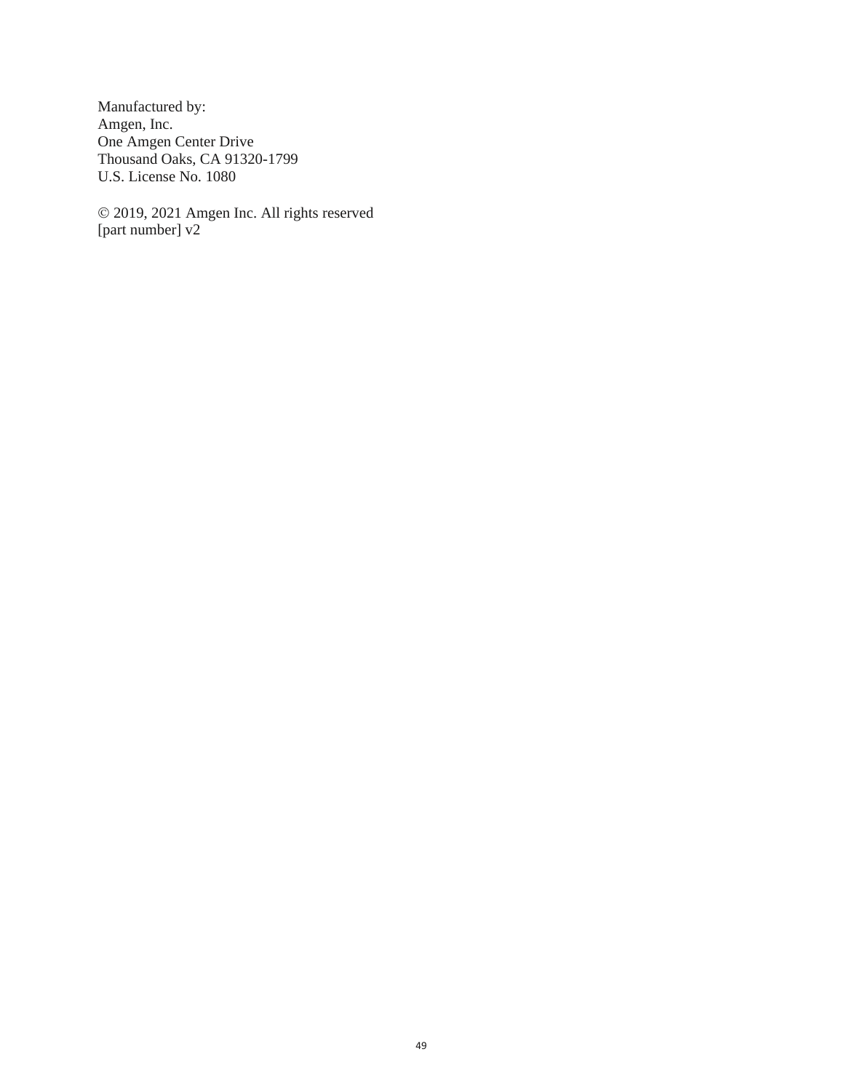Manufactured by: Amgen, Inc. One Amgen Center Drive Thousand Oaks, CA 91320-1799 U.S. License No. 1080

© 2019, 2021 Amgen Inc. All rights reserved [part number] v2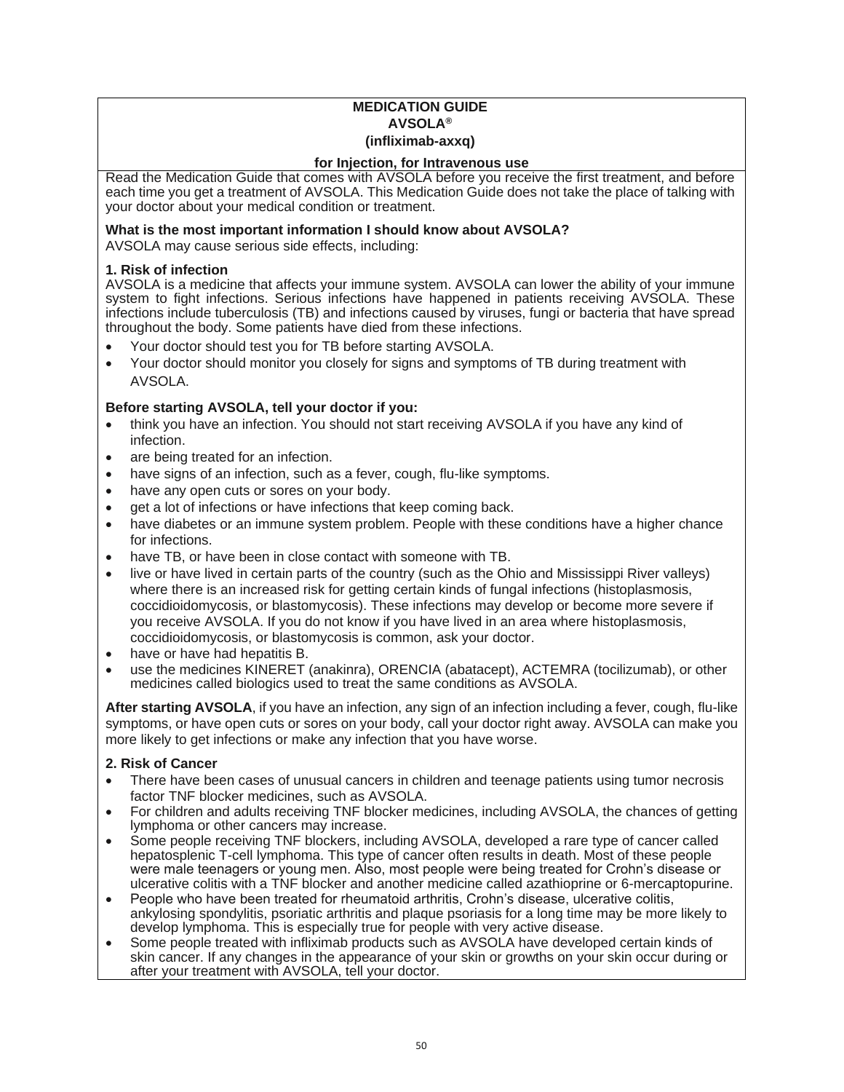### **MEDICATION GUIDE AVSOLA® (infliximab-axxq)**

#### **for Injection, for Intravenous use**

Read the Medication Guide that comes with AVSOLA before you receive the first treatment, and before each time you get a treatment of AVSOLA. This Medication Guide does not take the place of talking with your doctor about your medical condition or treatment.

#### **What is the most important information I should know about AVSOLA?**

AVSOLA may cause serious side effects, including:

#### **1. Risk of infection**

AVSOLA is a medicine that affects your immune system. AVSOLA can lower the ability of your immune system to fight infections. Serious infections have happened in patients receiving AVSOLA. These infections include tuberculosis (TB) and infections caused by viruses, fungi or bacteria that have spread throughout the body. Some patients have died from these infections.

- Your doctor should test you for TB before starting AVSOLA.
- Your doctor should monitor you closely for signs and symptoms of TB during treatment with AVSOLA.

#### **Before starting AVSOLA, tell your doctor if you:**

- think you have an infection. You should not start receiving AVSOLA if you have any kind of infection.
- are being treated for an infection.
- have signs of an infection, such as a fever, cough, flu-like symptoms.
- have any open cuts or sores on your body.
- get a lot of infections or have infections that keep coming back.
- have diabetes or an immune system problem. People with these conditions have a higher chance for infections.
- have TB, or have been in close contact with someone with TB.
- live or have lived in certain parts of the country (such as the Ohio and Mississippi River valleys) where there is an increased risk for getting certain kinds of fungal infections (histoplasmosis, coccidioidomycosis, or blastomycosis). These infections may develop or become more severe if you receive AVSOLA. If you do not know if you have lived in an area where histoplasmosis, coccidioidomycosis, or blastomycosis is common, ask your doctor.
- have or have had hepatitis B.
- use the medicines KINERET (anakinra), ORENCIA (abatacept), ACTEMRA (tocilizumab), or other medicines called biologics used to treat the same conditions as AVSOLA.

**After starting AVSOLA**, if you have an infection, any sign of an infection including a fever, cough, flu-like symptoms, or have open cuts or sores on your body, call your doctor right away. AVSOLA can make you more likely to get infections or make any infection that you have worse.

#### **2. Risk of Cancer**

- There have been cases of unusual cancers in children and teenage patients using tumor necrosis factor TNF blocker medicines, such as AVSOLA.
- For children and adults receiving TNF blocker medicines, including AVSOLA, the chances of getting lymphoma or other cancers may increase.
- Some people receiving TNF blockers, including AVSOLA, developed a rare type of cancer called hepatosplenic T-cell lymphoma. This type of cancer often results in death. Most of these people were male teenagers or young men. Also, most people were being treated for Crohn's disease or ulcerative colitis with a TNF blocker and another medicine called azathioprine or 6-mercaptopurine.
- People who have been treated for rheumatoid arthritis, Crohn's disease, ulcerative colitis, ankylosing spondylitis, psoriatic arthritis and plaque psoriasis for a long time may be more likely to develop lymphoma. This is especially true for people with very active disease.
- Some people treated with infliximab products such as AVSOLA have developed certain kinds of skin cancer. If any changes in the appearance of your skin or growths on your skin occur during or after your treatment with AVSOLA, tell your doctor.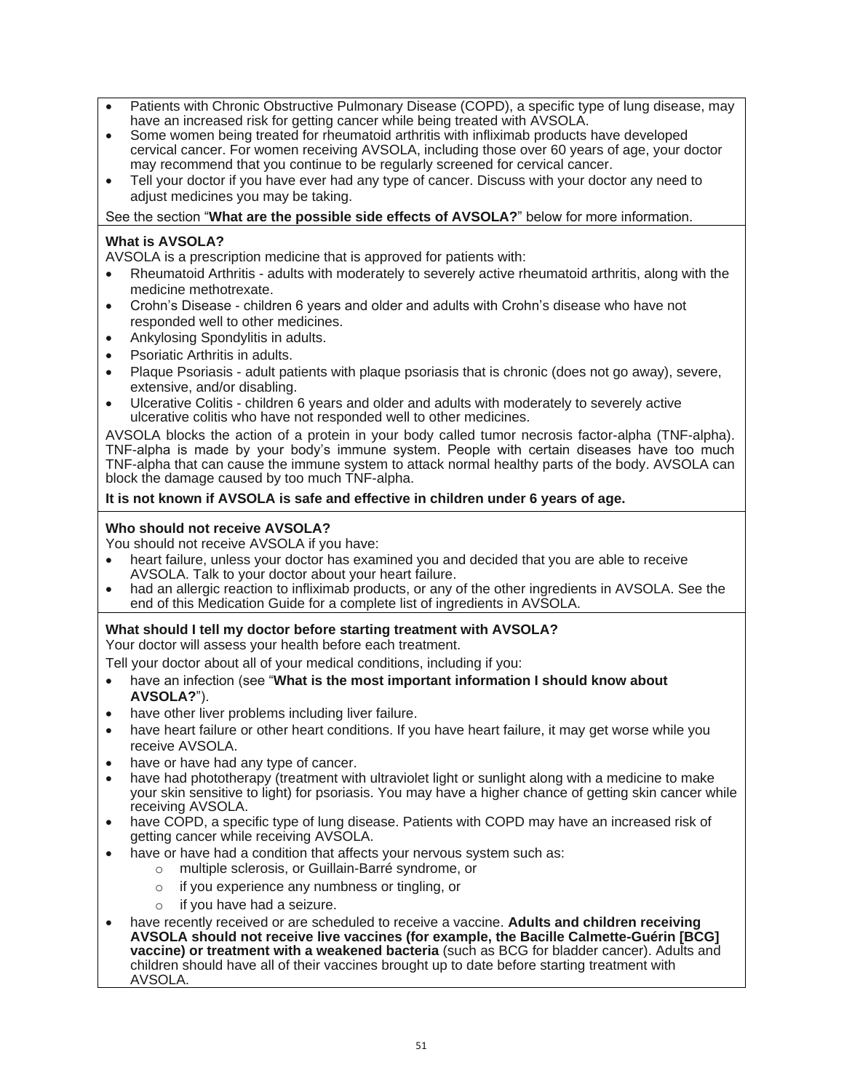- Patients with Chronic Obstructive Pulmonary Disease (COPD), a specific type of lung disease, may have an increased risk for getting cancer while being treated with AVSOLA.
- Some women being treated for rheumatoid arthritis with infliximab products have developed cervical cancer. For women receiving AVSOLA, including those over 60 years of age, your doctor may recommend that you continue to be regularly screened for cervical cancer.
- Tell your doctor if you have ever had any type of cancer. Discuss with your doctor any need to adjust medicines you may be taking.

See the section "**What are the possible side effects of AVSOLA?**" below for more information.

### **What is AVSOLA?**

AVSOLA is a prescription medicine that is approved for patients with:

- Rheumatoid Arthritis adults with moderately to severely active rheumatoid arthritis, along with the medicine methotrexate.
- Crohn's Disease children 6 years and older and adults with Crohn's disease who have not responded well to other medicines.
- Ankylosing Spondylitis in adults.
- Psoriatic Arthritis in adults.
- Plaque Psoriasis adult patients with plaque psoriasis that is chronic (does not go away), severe, extensive, and/or disabling.
- Ulcerative Colitis children 6 years and older and adults with moderately to severely active ulcerative colitis who have not responded well to other medicines.

AVSOLA blocks the action of a protein in your body called tumor necrosis factor-alpha (TNF-alpha). TNF-alpha is made by your body's immune system. People with certain diseases have too much TNF-alpha that can cause the immune system to attack normal healthy parts of the body. AVSOLA can block the damage caused by too much TNF-alpha.

### **It is not known if AVSOLA is safe and effective in children under 6 years of age.**

### **Who should not receive AVSOLA?**

You should not receive AVSOLA if you have:

- heart failure, unless your doctor has examined you and decided that you are able to receive AVSOLA. Talk to your doctor about your heart failure.
- had an allergic reaction to infliximab products, or any of the other ingredients in AVSOLA. See the end of this Medication Guide for a complete list of ingredients in AVSOLA.

# **What should I tell my doctor before starting treatment with AVSOLA?**

Your doctor will assess your health before each treatment.

Tell your doctor about all of your medical conditions, including if you:

- have an infection (see "**What is the most important information I should know about AVSOLA?**").
- have other liver problems including liver failure.
- have heart failure or other heart conditions. If you have heart failure, it may get worse while you receive AVSOLA.
- have or have had any type of cancer.
- have had phototherapy (treatment with ultraviolet light or sunlight along with a medicine to make your skin sensitive to light) for psoriasis. You may have a higher chance of getting skin cancer while receiving AVSOLA.
- have COPD, a specific type of lung disease. Patients with COPD may have an increased risk of getting cancer while receiving AVSOLA.
- have or have had a condition that affects your nervous system such as:
	- multiple sclerosis, or Guillain-Barré syndrome, or
	- o if you experience any numbness or tingling, or
	- o if you have had a seizure.
- have recently received or are scheduled to receive a vaccine. **Adults and children receiving AVSOLA should not receive live vaccines (for example, the Bacille Calmette-Guérin [BCG] vaccine) or treatment with a weakened bacteria** (such as BCG for bladder cancer). Adults and children should have all of their vaccines brought up to date before starting treatment with AVSOLA.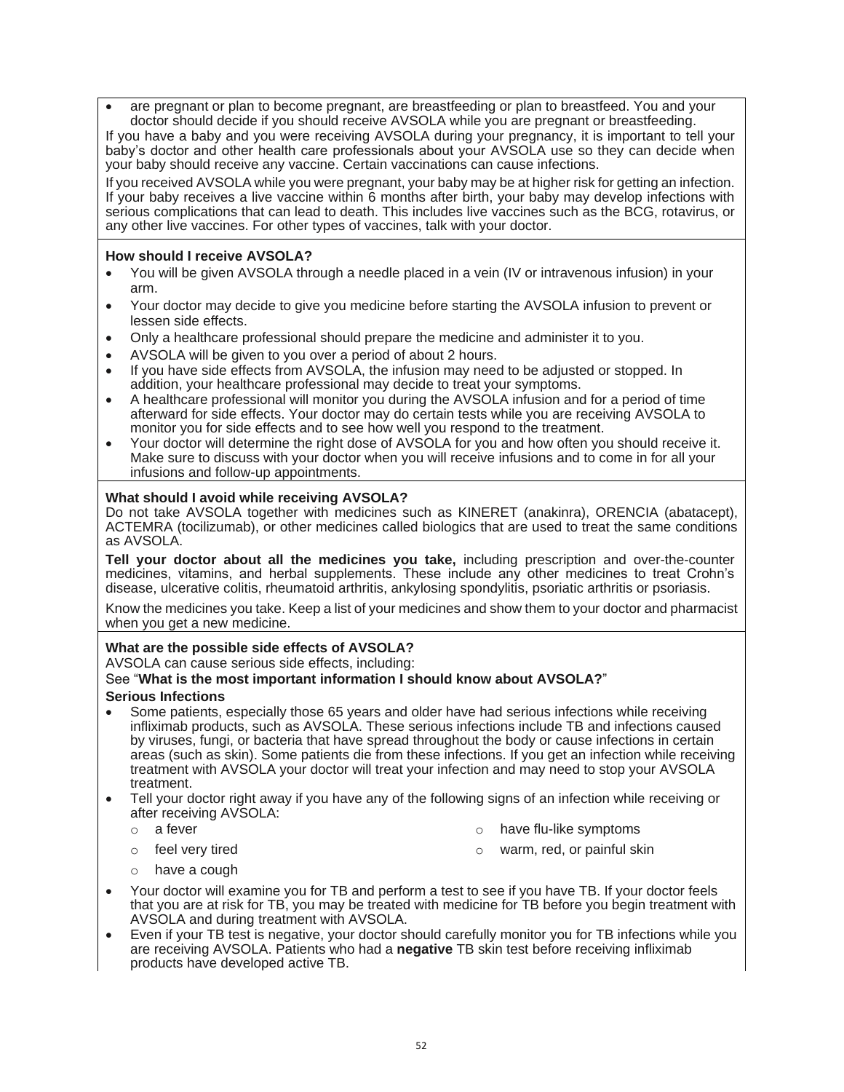• are pregnant or plan to become pregnant, are breastfeeding or plan to breastfeed. You and your doctor should decide if you should receive AVSOLA while you are pregnant or breastfeeding.

If you have a baby and you were receiving AVSOLA during your pregnancy, it is important to tell your baby's doctor and other health care professionals about your AVSOLA use so they can decide when your baby should receive any vaccine. Certain vaccinations can cause infections.

If you received AVSOLA while you were pregnant, your baby may be at higher risk for getting an infection. If your baby receives a live vaccine within 6 months after birth, your baby may develop infections with serious complications that can lead to death. This includes live vaccines such as the BCG, rotavirus, or any other live vaccines. For other types of vaccines, talk with your doctor.

#### **How should I receive AVSOLA?**

- You will be given AVSOLA through a needle placed in a vein (IV or intravenous infusion) in your arm.
- Your doctor may decide to give you medicine before starting the AVSOLA infusion to prevent or lessen side effects.
- Only a healthcare professional should prepare the medicine and administer it to you.
- AVSOLA will be given to you over a period of about 2 hours.
- If you have side effects from AVSOLA, the infusion may need to be adjusted or stopped. In addition, your healthcare professional may decide to treat your symptoms.
- A healthcare professional will monitor you during the AVSOLA infusion and for a period of time afterward for side effects. Your doctor may do certain tests while you are receiving AVSOLA to monitor you for side effects and to see how well you respond to the treatment.
- Your doctor will determine the right dose of AVSOLA for you and how often you should receive it. Make sure to discuss with your doctor when you will receive infusions and to come in for all your infusions and follow-up appointments.

#### **What should I avoid while receiving AVSOLA?**

Do not take AVSOLA together with medicines such as KINERET (anakinra), ORENCIA (abatacept), ACTEMRA (tocilizumab), or other medicines called biologics that are used to treat the same conditions as AVSOLA.

**Tell your doctor about all the medicines you take,** including prescription and over-the-counter medicines, vitamins, and herbal supplements. These include any other medicines to treat Crohn's disease, ulcerative colitis, rheumatoid arthritis, ankylosing spondylitis, psoriatic arthritis or psoriasis.

Know the medicines you take. Keep a list of your medicines and show them to your doctor and pharmacist when you get a new medicine.

#### **What are the possible side effects of AVSOLA?**

AVSOLA can cause serious side effects, including:

#### See "**What is the most important information I should know about AVSOLA?**"

#### **Serious Infections**

- Some patients, especially those 65 years and older have had serious infections while receiving infliximab products, such as AVSOLA. These serious infections include TB and infections caused by viruses, fungi, or bacteria that have spread throughout the body or cause infections in certain areas (such as skin). Some patients die from these infections. If you get an infection while receiving treatment with AVSOLA your doctor will treat your infection and may need to stop your AVSOLA treatment.
- Tell your doctor right away if you have any of the following signs of an infection while receiving or after receiving AVSOLA:
	-
	- o a fever **o have flu-like symptoms**
	-
	- o feel very tired **o warm, red, or painful skin**
	- o have a cough
- Your doctor will examine you for TB and perform a test to see if you have TB. If your doctor feels that you are at risk for TB, you may be treated with medicine for TB before you begin treatment with AVSOLA and during treatment with AVSOLA.
- Even if your TB test is negative, your doctor should carefully monitor you for TB infections while you are receiving AVSOLA. Patients who had a **negative** TB skin test before receiving infliximab products have developed active TB.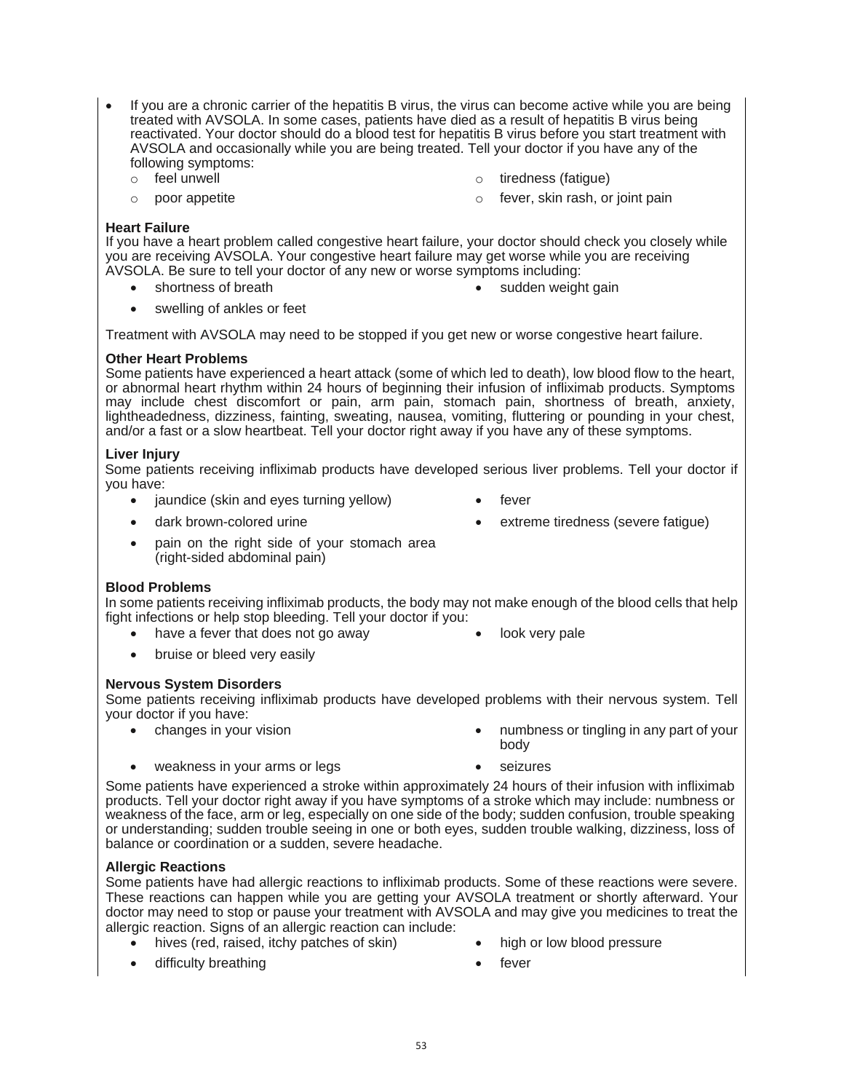- If you are a chronic carrier of the hepatitis B virus, the virus can become active while you are being treated with AVSOLA. In some cases, patients have died as a result of hepatitis B virus being reactivated. Your doctor should do a blood test for hepatitis B virus before you start treatment with AVSOLA and occasionally while you are being treated. Tell your doctor if you have any of the following symptoms:
	-
	-
	- o feel unwell o tiredness (fatigue)
	- o poor appetite **o fever**, skin rash, or joint pain

#### **Heart Failure**

If you have a heart problem called congestive heart failure, your doctor should check you closely while you are receiving AVSOLA. Your congestive heart failure may get worse while you are receiving AVSOLA. Be sure to tell your doctor of any new or worse symptoms including:

- 
- shortness of breath **•** sudden weight gain
- swelling of ankles or feet

Treatment with AVSOLA may need to be stopped if you get new or worse congestive heart failure.

#### **Other Heart Problems**

Some patients have experienced a heart attack (some of which led to death), low blood flow to the heart, or abnormal heart rhythm within 24 hours of beginning their infusion of infliximab products. Symptoms may include chest discomfort or pain, arm pain, stomach pain, shortness of breath, anxiety, lightheadedness, dizziness, fainting, sweating, nausea, vomiting, fluttering or pounding in your chest, and/or a fast or a slow heartbeat. Tell your doctor right away if you have any of these symptoms.

#### **Liver Injury**

Some patients receiving infliximab products have developed serious liver problems. Tell your doctor if you have:

- jaundice (skin and eyes turning yellow) fever
- dark brown-colored urine **•** extreme tiredness (severe fatigue)
- pain on the right side of your stomach area (right-sided abdominal pain)

#### **Blood Problems**

In some patients receiving infliximab products, the body may not make enough of the blood cells that help fight infections or help stop bleeding. Tell your doctor if you:

- have a fever that does not go away **•** look very pale
- bruise or bleed very easily

#### **Nervous System Disorders**

Some patients receiving infliximab products have developed problems with their nervous system. Tell your doctor if you have:

- 
- changes in your vision **•** numbness or tingling in any part of your body
- weakness in your arms or legs seizures
- 

Some patients have experienced a stroke within approximately 24 hours of their infusion with infliximab products. Tell your doctor right away if you have symptoms of a stroke which may include: numbness or weakness of the face, arm or leg, especially on one side of the body; sudden confusion, trouble speaking or understanding; sudden trouble seeing in one or both eyes, sudden trouble walking, dizziness, loss of balance or coordination or a sudden, severe headache.

#### **Allergic Reactions**

Some patients have had allergic reactions to infliximab products. Some of these reactions were severe. These reactions can happen while you are getting your AVSOLA treatment or shortly afterward. Your doctor may need to stop or pause your treatment with AVSOLA and may give you medicines to treat the allergic reaction. Signs of an allergic reaction can include:

- hives (red, raised, itchy patches of skin) high or low blood pressure
- difficulty breathing example of the state of the state of the state of the state of the state of the state of the state of the state of the state of the state of the state of the state of the state of the state of the stat
- -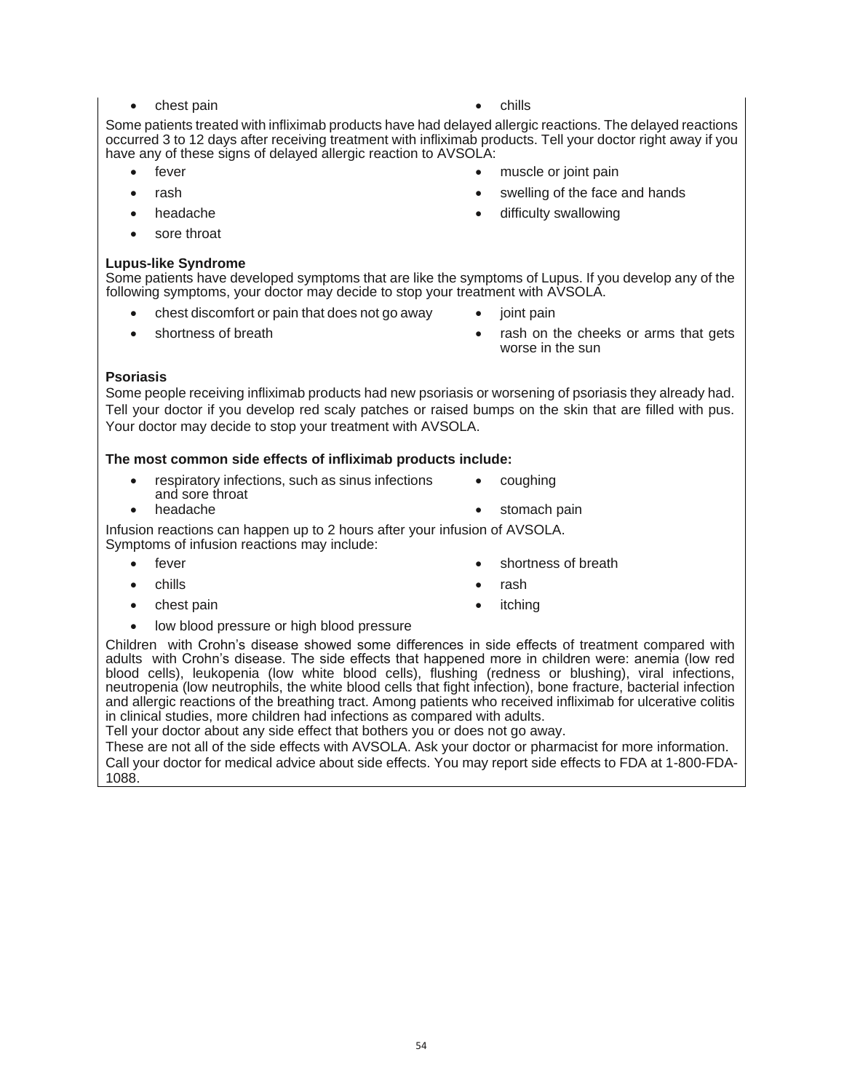- chest pain chills
	-

Some patients treated with infliximab products have had delayed allergic reactions. The delayed reactions occurred 3 to 12 days after receiving treatment with infliximab products. Tell your doctor right away if you have any of these signs of delayed allergic reaction to AVSOLA:

- fever  **Fever •** muscle or joint pain
- rash swelling of the face and hands
- headache difficulty swallowing
- sore throat

#### **Lupus-like Syndrome**

Some patients have developed symptoms that are like the symptoms of Lupus. If you develop any of the following symptoms, your doctor may decide to stop your treatment with AVSOLA.

- chest discomfort or pain that does not go away joint pain
- 
- 
- shortness of breath rash on the cheeks or arms that gets worse in the sun

### **Psoriasis**

Some people receiving infliximab products had new psoriasis or worsening of psoriasis they already had. Tell your doctor if you develop red scaly patches or raised bumps on the skin that are filled with pus. Your doctor may decide to stop your treatment with AVSOLA.

#### **The most common side effects of infliximab products include:**

- respiratory infections, such as sinus infections and sore throat<br>headache coughing
- 

stomach pain

Infusion reactions can happen up to 2 hours after your infusion of AVSOLA. Symptoms of infusion reactions may include:

- 
- chills rash
- 
- fever  **shortness of breath •** shortness of breath
	-
	- chest pain itching
- low blood pressure or high blood pressure

Children with Crohn's disease showed some differences in side effects of treatment compared with adults with Crohn's disease. The side effects that happened more in children were: anemia (low red blood cells), leukopenia (low white blood cells), flushing (redness or blushing), viral infections, neutropenia (low neutrophils, the white blood cells that fight infection), bone fracture, bacterial infection and allergic reactions of the breathing tract. Among patients who received infliximab for ulcerative colitis in clinical studies, more children had infections as compared with adults.

Tell your doctor about any side effect that bothers you or does not go away.

These are not all of the side effects with AVSOLA. Ask your doctor or pharmacist for more information. Call your doctor for medical advice about side effects. You may report side effects to FDA at 1-800-FDA-1088.